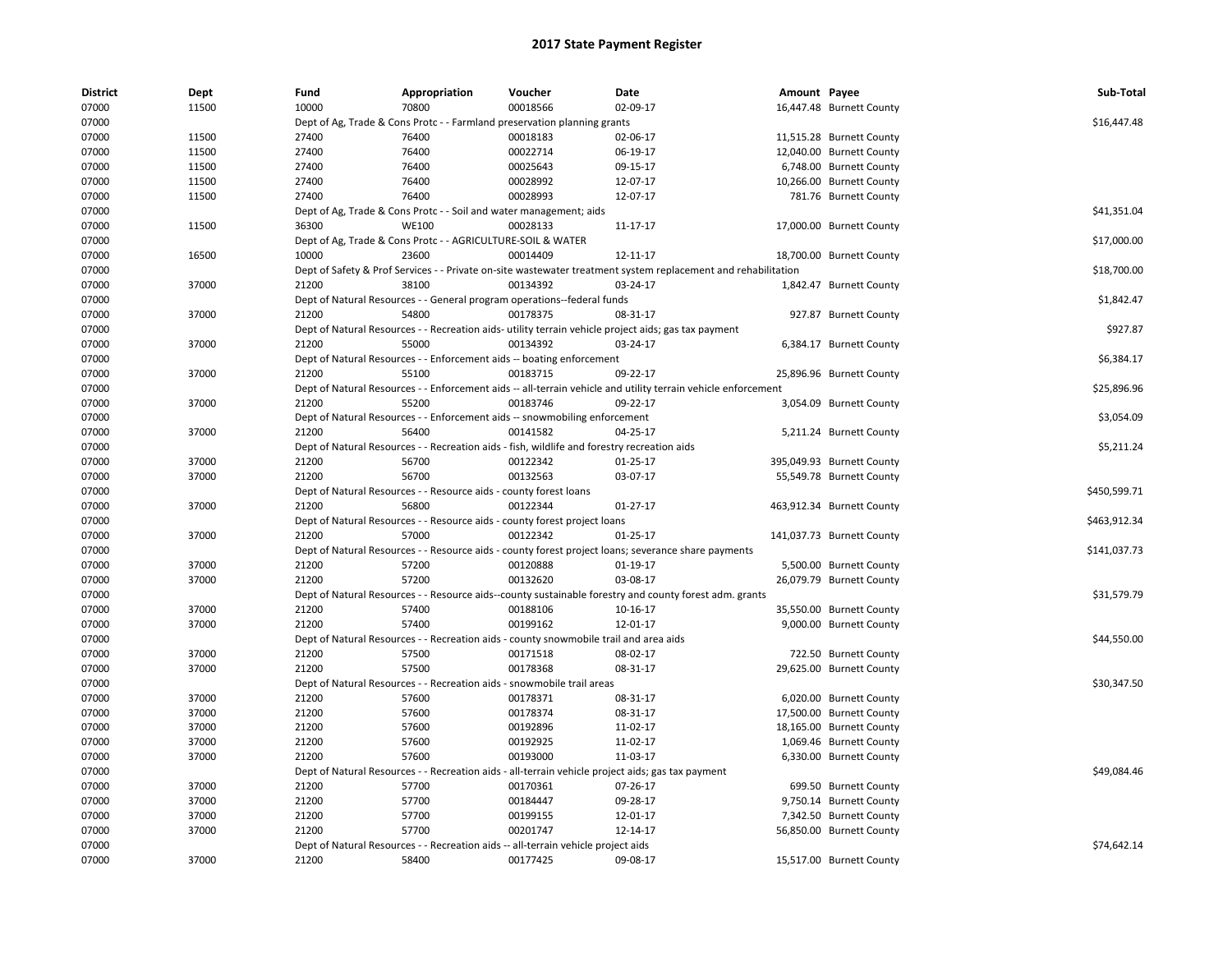| <b>District</b> | Dept  | Fund  | Appropriation                                                                               | Voucher  | Date                                                                                                          | Amount Payee |                           | Sub-Total    |
|-----------------|-------|-------|---------------------------------------------------------------------------------------------|----------|---------------------------------------------------------------------------------------------------------------|--------------|---------------------------|--------------|
| 07000           | 11500 | 10000 | 70800                                                                                       | 00018566 | 02-09-17                                                                                                      |              | 16,447.48 Burnett County  |              |
| 07000           |       |       | Dept of Ag, Trade & Cons Protc - - Farmland preservation planning grants                    |          |                                                                                                               |              |                           | \$16,447.48  |
| 07000           | 11500 | 27400 | 76400                                                                                       | 00018183 | 02-06-17                                                                                                      |              | 11,515.28 Burnett County  |              |
| 07000           | 11500 | 27400 | 76400                                                                                       | 00022714 | 06-19-17                                                                                                      |              | 12,040.00 Burnett County  |              |
| 07000           | 11500 | 27400 | 76400                                                                                       | 00025643 | 09-15-17                                                                                                      |              | 6,748.00 Burnett County   |              |
| 07000           | 11500 | 27400 | 76400                                                                                       | 00028992 | 12-07-17                                                                                                      |              | 10,266.00 Burnett County  |              |
| 07000           | 11500 | 27400 | 76400                                                                                       | 00028993 | 12-07-17                                                                                                      |              | 781.76 Burnett County     |              |
| 07000           |       |       | Dept of Ag, Trade & Cons Protc - - Soil and water management; aids                          |          |                                                                                                               |              |                           | \$41,351.04  |
| 07000           | 11500 | 36300 | <b>WE100</b>                                                                                | 00028133 | 11-17-17                                                                                                      |              | 17,000.00 Burnett County  |              |
| 07000           |       |       | Dept of Ag, Trade & Cons Protc - - AGRICULTURE-SOIL & WATER                                 |          |                                                                                                               |              |                           | \$17,000.00  |
| 07000           | 16500 | 10000 | 23600                                                                                       | 00014409 | 12-11-17                                                                                                      |              | 18,700.00 Burnett County  |              |
| 07000           |       |       |                                                                                             |          | Dept of Safety & Prof Services - - Private on-site wastewater treatment system replacement and rehabilitation |              |                           | \$18,700.00  |
| 07000           | 37000 | 21200 | 38100                                                                                       | 00134392 | 03-24-17                                                                                                      |              | 1,842.47 Burnett County   |              |
| 07000           |       |       | Dept of Natural Resources - - General program operations--federal funds                     |          |                                                                                                               |              |                           | \$1,842.47   |
| 07000           | 37000 | 21200 | 54800                                                                                       | 00178375 | 08-31-17                                                                                                      |              | 927.87 Burnett County     |              |
| 07000           |       |       |                                                                                             |          | Dept of Natural Resources - - Recreation aids- utility terrain vehicle project aids; gas tax payment          |              |                           | \$927.87     |
| 07000           | 37000 | 21200 | 55000                                                                                       | 00134392 | 03-24-17                                                                                                      |              | 6,384.17 Burnett County   |              |
| 07000           |       |       | Dept of Natural Resources - - Enforcement aids -- boating enforcement                       |          |                                                                                                               |              |                           | \$6,384.17   |
| 07000           | 37000 | 21200 | 55100                                                                                       | 00183715 | 09-22-17                                                                                                      |              | 25,896.96 Burnett County  |              |
| 07000           |       |       |                                                                                             |          | Dept of Natural Resources - - Enforcement aids -- all-terrain vehicle and utility terrain vehicle enforcement |              |                           | \$25,896.96  |
| 07000           | 37000 | 21200 | 55200                                                                                       | 00183746 | 09-22-17                                                                                                      |              | 3,054.09 Burnett County   |              |
| 07000           |       |       | Dept of Natural Resources - - Enforcement aids -- snowmobiling enforcement                  |          |                                                                                                               |              |                           | \$3,054.09   |
|                 |       |       | 56400                                                                                       |          |                                                                                                               |              |                           |              |
| 07000           | 37000 | 21200 |                                                                                             | 00141582 | 04-25-17                                                                                                      |              | 5,211.24 Burnett County   |              |
| 07000           |       |       | Dept of Natural Resources - - Recreation aids - fish, wildlife and forestry recreation aids |          |                                                                                                               |              |                           | \$5,211.24   |
| 07000           | 37000 | 21200 | 56700                                                                                       | 00122342 | 01-25-17                                                                                                      |              | 395,049.93 Burnett County |              |
| 07000           | 37000 | 21200 | 56700                                                                                       | 00132563 | 03-07-17                                                                                                      |              | 55,549.78 Burnett County  |              |
| 07000           |       |       | Dept of Natural Resources - - Resource aids - county forest loans                           |          |                                                                                                               |              |                           | \$450,599.71 |
| 07000           | 37000 | 21200 | 56800                                                                                       | 00122344 | $01 - 27 - 17$                                                                                                |              | 463,912.34 Burnett County |              |
| 07000           |       |       | Dept of Natural Resources - - Resource aids - county forest project loans                   |          |                                                                                                               |              |                           | \$463,912.34 |
| 07000           | 37000 | 21200 | 57000                                                                                       | 00122342 | 01-25-17                                                                                                      |              | 141,037.73 Burnett County |              |
| 07000           |       |       |                                                                                             |          | Dept of Natural Resources - - Resource aids - county forest project loans; severance share payments           |              |                           | \$141,037.73 |
| 07000           | 37000 | 21200 | 57200                                                                                       | 00120888 | $01-19-17$                                                                                                    |              | 5,500.00 Burnett County   |              |
| 07000           | 37000 | 21200 | 57200                                                                                       | 00132620 | 03-08-17                                                                                                      |              | 26,079.79 Burnett County  |              |
| 07000           |       |       |                                                                                             |          | Dept of Natural Resources - - Resource aids--county sustainable forestry and county forest adm. grants        |              |                           | \$31,579.79  |
| 07000           | 37000 | 21200 | 57400                                                                                       | 00188106 | 10-16-17                                                                                                      |              | 35,550.00 Burnett County  |              |
| 07000           | 37000 | 21200 | 57400                                                                                       | 00199162 | 12-01-17                                                                                                      |              | 9,000.00 Burnett County   |              |
| 07000           |       |       | Dept of Natural Resources - - Recreation aids - county snowmobile trail and area aids       |          |                                                                                                               |              |                           | \$44,550.00  |
| 07000           | 37000 | 21200 | 57500                                                                                       | 00171518 | 08-02-17                                                                                                      |              | 722.50 Burnett County     |              |
| 07000           | 37000 | 21200 | 57500                                                                                       | 00178368 | 08-31-17                                                                                                      |              | 29,625.00 Burnett County  |              |
| 07000           |       |       | Dept of Natural Resources - - Recreation aids - snowmobile trail areas                      |          |                                                                                                               |              |                           | \$30,347.50  |
| 07000           | 37000 | 21200 | 57600                                                                                       | 00178371 | 08-31-17                                                                                                      |              | 6,020.00 Burnett County   |              |
| 07000           | 37000 | 21200 | 57600                                                                                       | 00178374 | 08-31-17                                                                                                      |              | 17,500.00 Burnett County  |              |
| 07000           | 37000 | 21200 | 57600                                                                                       | 00192896 | 11-02-17                                                                                                      |              | 18,165.00 Burnett County  |              |
| 07000           | 37000 | 21200 | 57600                                                                                       | 00192925 | 11-02-17                                                                                                      |              | 1,069.46 Burnett County   |              |
| 07000           | 37000 | 21200 | 57600                                                                                       | 00193000 | 11-03-17                                                                                                      |              | 6,330.00 Burnett County   |              |
| 07000           |       |       |                                                                                             |          | Dept of Natural Resources - - Recreation aids - all-terrain vehicle project aids; gas tax payment             |              |                           | \$49,084.46  |
| 07000           | 37000 | 21200 | 57700                                                                                       | 00170361 | 07-26-17                                                                                                      |              | 699.50 Burnett County     |              |
| 07000           | 37000 | 21200 | 57700                                                                                       | 00184447 | 09-28-17                                                                                                      |              | 9,750.14 Burnett County   |              |
| 07000           | 37000 | 21200 | 57700                                                                                       | 00199155 | 12-01-17                                                                                                      |              | 7,342.50 Burnett County   |              |
| 07000           | 37000 | 21200 | 57700                                                                                       | 00201747 | 12-14-17                                                                                                      |              | 56,850.00 Burnett County  |              |
| 07000           |       |       | Dept of Natural Resources - - Recreation aids -- all-terrain vehicle project aids           |          |                                                                                                               |              |                           | \$74,642.14  |
| 07000           | 37000 | 21200 | 58400                                                                                       | 00177425 | 09-08-17                                                                                                      |              | 15,517.00 Burnett County  |              |
|                 |       |       |                                                                                             |          |                                                                                                               |              |                           |              |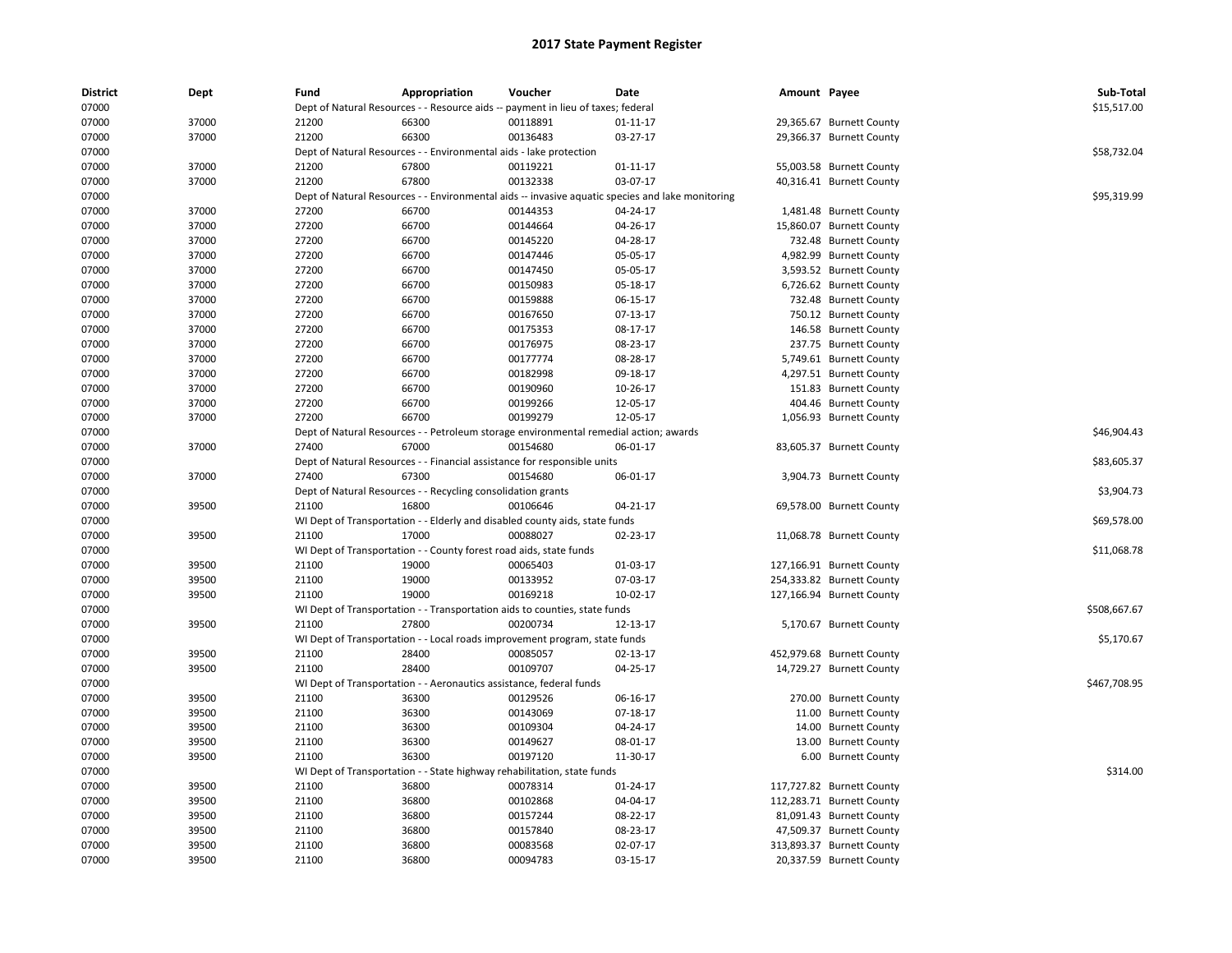| District<br>07000 | Dept  | Fund  | Appropriation                                                       | Voucher<br>Dept of Natural Resources - - Resource aids -- payment in lieu of taxes; federal | Date                                                                                             | Amount Payee |                           | Sub-Total<br>\$15,517.00 |
|-------------------|-------|-------|---------------------------------------------------------------------|---------------------------------------------------------------------------------------------|--------------------------------------------------------------------------------------------------|--------------|---------------------------|--------------------------|
| 07000             | 37000 | 21200 | 66300                                                               | 00118891                                                                                    | 01-11-17                                                                                         |              | 29,365.67 Burnett County  |                          |
| 07000             | 37000 | 21200 | 66300                                                               | 00136483                                                                                    | 03-27-17                                                                                         |              | 29,366.37 Burnett County  |                          |
| 07000             |       |       | Dept of Natural Resources - - Environmental aids - lake protection  |                                                                                             |                                                                                                  |              |                           | \$58,732.04              |
| 07000             | 37000 | 21200 | 67800                                                               | 00119221                                                                                    | $01 - 11 - 17$                                                                                   |              | 55,003.58 Burnett County  |                          |
| 07000             | 37000 | 21200 | 67800                                                               | 00132338                                                                                    | 03-07-17                                                                                         |              | 40,316.41 Burnett County  |                          |
| 07000             |       |       |                                                                     |                                                                                             | Dept of Natural Resources - - Environmental aids -- invasive aquatic species and lake monitoring |              |                           | \$95,319.99              |
| 07000             | 37000 | 27200 | 66700                                                               | 00144353                                                                                    | 04-24-17                                                                                         |              | 1,481.48 Burnett County   |                          |
| 07000             | 37000 | 27200 | 66700                                                               | 00144664                                                                                    | 04-26-17                                                                                         |              | 15,860.07 Burnett County  |                          |
| 07000             | 37000 | 27200 | 66700                                                               | 00145220                                                                                    | 04-28-17                                                                                         |              | 732.48 Burnett County     |                          |
| 07000             | 37000 | 27200 | 66700                                                               | 00147446                                                                                    | 05-05-17                                                                                         |              | 4,982.99 Burnett County   |                          |
| 07000             | 37000 | 27200 | 66700                                                               | 00147450                                                                                    | 05-05-17                                                                                         |              | 3,593.52 Burnett County   |                          |
| 07000             | 37000 | 27200 | 66700                                                               | 00150983                                                                                    | 05-18-17                                                                                         |              | 6,726.62 Burnett County   |                          |
|                   | 37000 | 27200 |                                                                     |                                                                                             | 06-15-17                                                                                         |              |                           |                          |
| 07000<br>07000    | 37000 | 27200 | 66700<br>66700                                                      | 00159888<br>00167650                                                                        | 07-13-17                                                                                         |              | 732.48 Burnett County     |                          |
|                   |       |       |                                                                     |                                                                                             |                                                                                                  |              | 750.12 Burnett County     |                          |
| 07000             | 37000 | 27200 | 66700                                                               | 00175353                                                                                    | 08-17-17                                                                                         |              | 146.58 Burnett County     |                          |
| 07000             | 37000 | 27200 | 66700                                                               | 00176975                                                                                    | 08-23-17                                                                                         |              | 237.75 Burnett County     |                          |
| 07000             | 37000 | 27200 | 66700                                                               | 00177774                                                                                    | 08-28-17                                                                                         |              | 5,749.61 Burnett County   |                          |
| 07000             | 37000 | 27200 | 66700                                                               | 00182998                                                                                    | 09-18-17                                                                                         |              | 4,297.51 Burnett County   |                          |
| 07000             | 37000 | 27200 | 66700                                                               | 00190960                                                                                    | 10-26-17                                                                                         |              | 151.83 Burnett County     |                          |
| 07000             | 37000 | 27200 | 66700                                                               | 00199266                                                                                    | 12-05-17                                                                                         |              | 404.46 Burnett County     |                          |
| 07000             | 37000 | 27200 | 66700                                                               | 00199279                                                                                    | 12-05-17                                                                                         |              | 1,056.93 Burnett County   |                          |
| 07000             |       |       |                                                                     | Dept of Natural Resources - - Petroleum storage environmental remedial action; awards       |                                                                                                  |              |                           | \$46,904.43              |
| 07000             | 37000 | 27400 | 67000                                                               | 00154680                                                                                    | 06-01-17                                                                                         |              | 83,605.37 Burnett County  |                          |
| 07000             |       |       |                                                                     | Dept of Natural Resources - - Financial assistance for responsible units                    |                                                                                                  |              |                           | \$83,605.37              |
| 07000             | 37000 | 27400 | 67300                                                               | 00154680                                                                                    | 06-01-17                                                                                         |              | 3,904.73 Burnett County   |                          |
| 07000             |       |       | Dept of Natural Resources - - Recycling consolidation grants        |                                                                                             |                                                                                                  |              |                           | \$3,904.73               |
| 07000             | 39500 | 21100 | 16800                                                               | 00106646                                                                                    | 04-21-17                                                                                         |              | 69,578.00 Burnett County  |                          |
| 07000             |       |       |                                                                     | WI Dept of Transportation - - Elderly and disabled county aids, state funds                 |                                                                                                  |              |                           | \$69,578.00              |
| 07000             | 39500 | 21100 | 17000                                                               | 00088027                                                                                    | 02-23-17                                                                                         |              | 11,068.78 Burnett County  |                          |
| 07000             |       |       | WI Dept of Transportation - - County forest road aids, state funds  |                                                                                             |                                                                                                  |              |                           | \$11,068.78              |
| 07000             | 39500 | 21100 | 19000                                                               | 00065403                                                                                    | 01-03-17                                                                                         |              | 127,166.91 Burnett County |                          |
| 07000             | 39500 | 21100 | 19000                                                               | 00133952                                                                                    | 07-03-17                                                                                         |              | 254,333.82 Burnett County |                          |
| 07000             | 39500 | 21100 | 19000                                                               | 00169218                                                                                    | 10-02-17                                                                                         |              | 127,166.94 Burnett County |                          |
| 07000             |       |       |                                                                     | WI Dept of Transportation - - Transportation aids to counties, state funds                  |                                                                                                  |              |                           | \$508,667.67             |
| 07000             | 39500 | 21100 | 27800                                                               | 00200734                                                                                    | 12-13-17                                                                                         |              | 5,170.67 Burnett County   |                          |
| 07000             |       |       |                                                                     | WI Dept of Transportation - - Local roads improvement program, state funds                  |                                                                                                  |              |                           | \$5,170.67               |
| 07000             | 39500 | 21100 | 28400                                                               | 00085057                                                                                    | 02-13-17                                                                                         |              | 452,979.68 Burnett County |                          |
| 07000             | 39500 | 21100 | 28400                                                               | 00109707                                                                                    | 04-25-17                                                                                         |              | 14,729.27 Burnett County  |                          |
| 07000             |       |       | WI Dept of Transportation - - Aeronautics assistance, federal funds |                                                                                             |                                                                                                  |              |                           | \$467,708.95             |
| 07000             | 39500 | 21100 | 36300                                                               | 00129526                                                                                    | 06-16-17                                                                                         |              | 270.00 Burnett County     |                          |
| 07000             | 39500 | 21100 | 36300                                                               | 00143069                                                                                    | 07-18-17                                                                                         |              | 11.00 Burnett County      |                          |
| 07000             | 39500 | 21100 | 36300                                                               | 00109304                                                                                    | 04-24-17                                                                                         |              | 14.00 Burnett County      |                          |
| 07000             | 39500 | 21100 | 36300                                                               | 00149627                                                                                    | 08-01-17                                                                                         |              | 13.00 Burnett County      |                          |
| 07000             | 39500 | 21100 | 36300                                                               | 00197120                                                                                    | 11-30-17                                                                                         |              | 6.00 Burnett County       |                          |
| 07000             |       |       |                                                                     | WI Dept of Transportation - - State highway rehabilitation, state funds                     |                                                                                                  |              |                           | \$314.00                 |
| 07000             | 39500 | 21100 | 36800                                                               | 00078314                                                                                    | 01-24-17                                                                                         |              | 117,727.82 Burnett County |                          |
| 07000             | 39500 | 21100 | 36800                                                               | 00102868                                                                                    | 04-04-17                                                                                         |              | 112,283.71 Burnett County |                          |
| 07000             | 39500 | 21100 | 36800                                                               | 00157244                                                                                    | 08-22-17                                                                                         |              | 81,091.43 Burnett County  |                          |
| 07000             | 39500 | 21100 | 36800                                                               | 00157840                                                                                    | 08-23-17                                                                                         |              | 47,509.37 Burnett County  |                          |
| 07000             | 39500 | 21100 | 36800                                                               | 00083568                                                                                    | 02-07-17                                                                                         |              | 313,893.37 Burnett County |                          |
| 07000             | 39500 | 21100 | 36800                                                               | 00094783                                                                                    | 03-15-17                                                                                         |              | 20,337.59 Burnett County  |                          |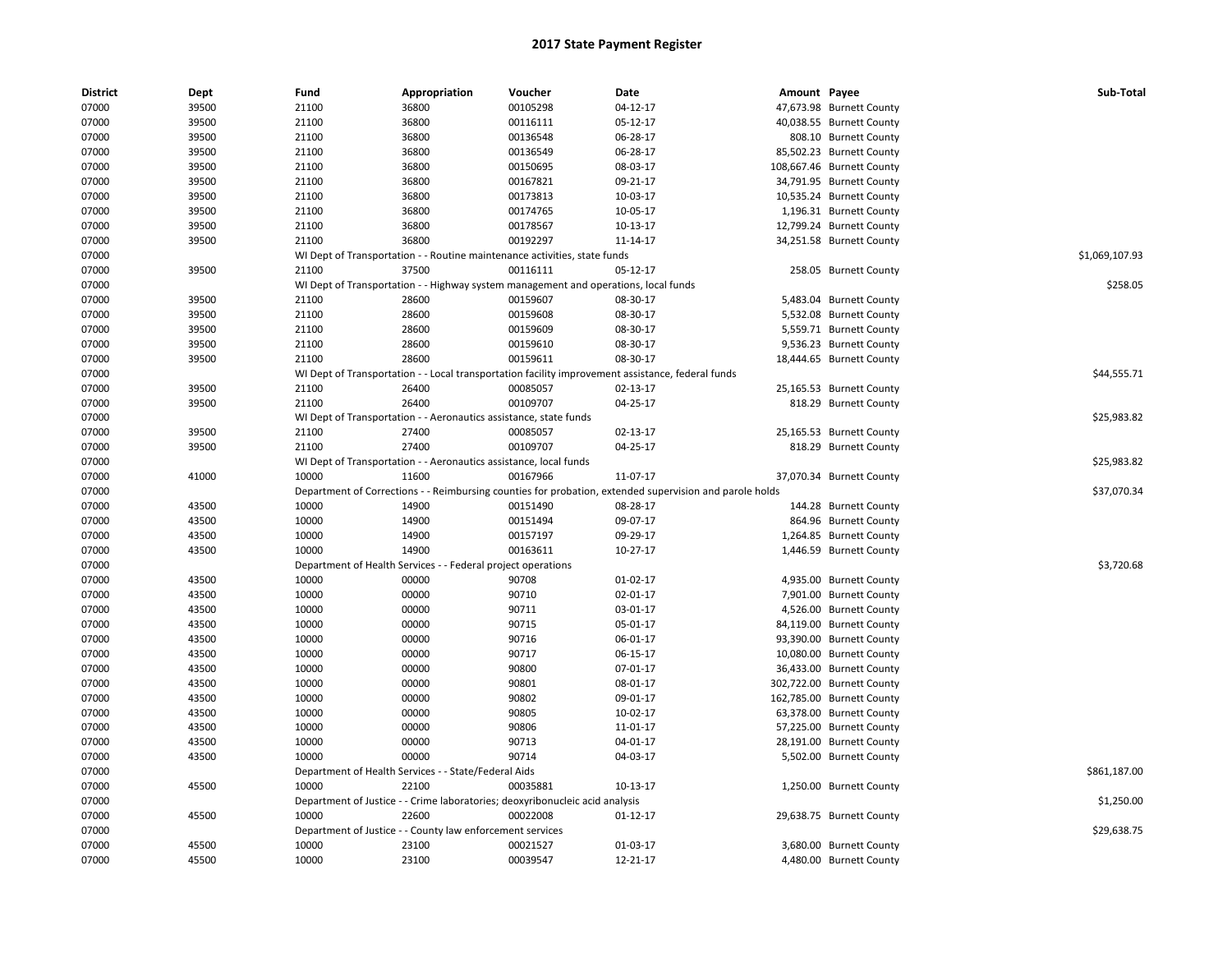| 07000<br>39500<br>21100<br>36800<br>00105298<br>$04-12-17$<br>47,673.98 Burnett County<br>21100<br>36800<br>07000<br>39500<br>00116111<br>05-12-17<br>40,038.55 Burnett County<br>07000<br>39500<br>21100<br>36800<br>00136548<br>06-28-17<br>808.10 Burnett County<br>00136549<br>07000<br>39500<br>21100<br>36800<br>06-28-17<br>85,502.23 Burnett County<br>00150695<br>07000<br>39500<br>21100<br>36800<br>08-03-17<br>108,667.46 Burnett County<br>07000<br>39500<br>36800<br>00167821<br>09-21-17<br>21100<br>34,791.95 Burnett County<br>00173813<br>07000<br>39500<br>21100<br>36800<br>10-03-17<br>10,535.24 Burnett County<br>07000<br>39500<br>21100<br>36800<br>00174765<br>10-05-17<br>1,196.31 Burnett County<br>07000<br>39500<br>00178567<br>21100<br>36800<br>10-13-17<br>12,799.24 Burnett County<br>00192297<br>07000<br>39500<br>21100<br>36800<br>11-14-17<br>34,251.58 Burnett County<br>\$1,069,107.93<br>07000<br>WI Dept of Transportation - - Routine maintenance activities, state funds<br>39500<br>21100<br>37500<br>00116111<br>05-12-17<br>07000<br>258.05 Burnett County<br>07000<br>WI Dept of Transportation - - Highway system management and operations, local funds<br>\$258.05<br>00159607<br>07000<br>39500<br>21100<br>28600<br>08-30-17<br>5,483.04 Burnett County<br>07000<br>39500<br>21100<br>28600<br>00159608<br>08-30-17<br>5,532.08 Burnett County<br>21100<br>28600<br>00159609<br>08-30-17<br>07000<br>39500<br>5,559.71 Burnett County<br>07000<br>39500<br>21100<br>28600<br>00159610<br>08-30-17<br>9,536.23 Burnett County<br>07000<br>39500<br>21100<br>28600<br>00159611<br>08-30-17<br>18,444.65 Burnett County<br>\$44,555.71<br>07000<br>WI Dept of Transportation - - Local transportation facility improvement assistance, federal funds<br>00085057<br>07000<br>39500<br>21100<br>26400<br>02-13-17<br>25,165.53 Burnett County<br>39500<br>21100<br>26400<br>00109707<br>04-25-17<br>07000<br>818.29 Burnett County<br>07000<br>\$25,983.82<br>WI Dept of Transportation - - Aeronautics assistance, state funds<br>27400<br>00085057<br>07000<br>39500<br>21100<br>02-13-17<br>25,165.53 Burnett County<br>39500<br>21100<br>27400<br>00109707<br>04-25-17<br>818.29 Burnett County<br>07000<br>07000<br>WI Dept of Transportation - - Aeronautics assistance, local funds<br>\$25,983.82<br>41000<br>11600<br>00167966<br>11-07-17<br>07000<br>10000<br>37,070.34 Burnett County<br>07000<br>\$37,070.34<br>Department of Corrections - - Reimbursing counties for probation, extended supervision and parole holds<br>10000<br>07000<br>43500<br>14900<br>00151490<br>08-28-17<br>144.28 Burnett County<br>07000<br>43500<br>10000<br>14900<br>00151494<br>09-07-17<br>864.96 Burnett County<br>10000<br>07000<br>43500<br>14900<br>00157197<br>09-29-17<br>1,264.85 Burnett County<br>07000<br>43500<br>10000<br>14900<br>00163611<br>10-27-17<br>1,446.59 Burnett County<br>07000<br>\$3,720.68<br>Department of Health Services - - Federal project operations<br>90708<br>07000<br>43500<br>10000<br>00000<br>01-02-17<br>4,935.00 Burnett County<br>90710<br>07000<br>43500<br>10000<br>00000<br>02-01-17<br>7,901.00 Burnett County<br>10000<br>90711<br>07000<br>43500<br>00000<br>03-01-17<br>4,526.00 Burnett County<br>07000<br>43500<br>10000<br>00000<br>90715<br>05-01-17<br>84,119.00 Burnett County<br>07000<br>43500<br>10000<br>00000<br>90716<br>93,390.00 Burnett County<br>06-01-17<br>07000<br>43500<br>10000<br>00000<br>90717<br>10,080.00 Burnett County<br>06-15-17<br>07000<br>43500<br>10000<br>00000<br>90800<br>07-01-17<br>36,433.00 Burnett County<br>10000<br>90801<br>07000<br>43500<br>00000<br>08-01-17<br>302,722.00 Burnett County<br>90802<br>07000<br>43500<br>10000<br>00000<br>09-01-17<br>162,785.00 Burnett County<br>10000<br>00000<br>90805<br>07000<br>43500<br>10-02-17<br>63,378.00 Burnett County<br>07000<br>43500<br>10000<br>00000<br>90806<br>11-01-17<br>57,225.00 Burnett County<br>07000<br>43500<br>10000<br>00000<br>90713<br>04-01-17<br>28,191.00 Burnett County<br>90714<br>07000<br>43500<br>10000<br>00000<br>04-03-17<br>5,502.00 Burnett County<br>07000<br>Department of Health Services - - State/Federal Aids<br>\$861,187.00<br>45500<br>10000<br>22100<br>00035881<br>10-13-17<br>07000<br>1,250.00 Burnett County<br>07000<br>Department of Justice - - Crime laboratories; deoxyribonucleic acid analysis<br>\$1,250.00<br>45500<br>10000<br>22600<br>00022008<br>07000<br>$01 - 12 - 17$<br>29,638.75 Burnett County<br>\$29,638.75<br>07000<br>Department of Justice - - County law enforcement services<br>07000<br>45500<br>10000<br>23100<br>00021527<br>01-03-17<br>3,680.00 Burnett County<br>10000<br>00039547<br>07000<br>45500<br>23100<br>12-21-17<br>4,480.00 Burnett County | <b>District</b> | Dept | Fund | Appropriation | Voucher | <b>Date</b> | Amount Payee | Sub-Total |
|------------------------------------------------------------------------------------------------------------------------------------------------------------------------------------------------------------------------------------------------------------------------------------------------------------------------------------------------------------------------------------------------------------------------------------------------------------------------------------------------------------------------------------------------------------------------------------------------------------------------------------------------------------------------------------------------------------------------------------------------------------------------------------------------------------------------------------------------------------------------------------------------------------------------------------------------------------------------------------------------------------------------------------------------------------------------------------------------------------------------------------------------------------------------------------------------------------------------------------------------------------------------------------------------------------------------------------------------------------------------------------------------------------------------------------------------------------------------------------------------------------------------------------------------------------------------------------------------------------------------------------------------------------------------------------------------------------------------------------------------------------------------------------------------------------------------------------------------------------------------------------------------------------------------------------------------------------------------------------------------------------------------------------------------------------------------------------------------------------------------------------------------------------------------------------------------------------------------------------------------------------------------------------------------------------------------------------------------------------------------------------------------------------------------------------------------------------------------------------------------------------------------------------------------------------------------------------------------------------------------------------------------------------------------------------------------------------------------------------------------------------------------------------------------------------------------------------------------------------------------------------------------------------------------------------------------------------------------------------------------------------------------------------------------------------------------------------------------------------------------------------------------------------------------------------------------------------------------------------------------------------------------------------------------------------------------------------------------------------------------------------------------------------------------------------------------------------------------------------------------------------------------------------------------------------------------------------------------------------------------------------------------------------------------------------------------------------------------------------------------------------------------------------------------------------------------------------------------------------------------------------------------------------------------------------------------------------------------------------------------------------------------------------------------------------------------------------------------------------------------------------------------------------------------------------------------------------------------------------------------------------------------------------------------------------------------------------------------------------------------------------------------------------------------------------------------------------------------------------------------------------------------------------------------------------------------------------------------------------------------------------------------------------------------------------------------------------------------------------------------------------------------------------------------------------------------------------|-----------------|------|------|---------------|---------|-------------|--------------|-----------|
|                                                                                                                                                                                                                                                                                                                                                                                                                                                                                                                                                                                                                                                                                                                                                                                                                                                                                                                                                                                                                                                                                                                                                                                                                                                                                                                                                                                                                                                                                                                                                                                                                                                                                                                                                                                                                                                                                                                                                                                                                                                                                                                                                                                                                                                                                                                                                                                                                                                                                                                                                                                                                                                                                                                                                                                                                                                                                                                                                                                                                                                                                                                                                                                                                                                                                                                                                                                                                                                                                                                                                                                                                                                                                                                                                                                                                                                                                                                                                                                                                                                                                                                                                                                                                                                                                                                                                                                                                                                                                                                                                                                                                                                                                                                                                                                                                                    |                 |      |      |               |         |             |              |           |
|                                                                                                                                                                                                                                                                                                                                                                                                                                                                                                                                                                                                                                                                                                                                                                                                                                                                                                                                                                                                                                                                                                                                                                                                                                                                                                                                                                                                                                                                                                                                                                                                                                                                                                                                                                                                                                                                                                                                                                                                                                                                                                                                                                                                                                                                                                                                                                                                                                                                                                                                                                                                                                                                                                                                                                                                                                                                                                                                                                                                                                                                                                                                                                                                                                                                                                                                                                                                                                                                                                                                                                                                                                                                                                                                                                                                                                                                                                                                                                                                                                                                                                                                                                                                                                                                                                                                                                                                                                                                                                                                                                                                                                                                                                                                                                                                                                    |                 |      |      |               |         |             |              |           |
|                                                                                                                                                                                                                                                                                                                                                                                                                                                                                                                                                                                                                                                                                                                                                                                                                                                                                                                                                                                                                                                                                                                                                                                                                                                                                                                                                                                                                                                                                                                                                                                                                                                                                                                                                                                                                                                                                                                                                                                                                                                                                                                                                                                                                                                                                                                                                                                                                                                                                                                                                                                                                                                                                                                                                                                                                                                                                                                                                                                                                                                                                                                                                                                                                                                                                                                                                                                                                                                                                                                                                                                                                                                                                                                                                                                                                                                                                                                                                                                                                                                                                                                                                                                                                                                                                                                                                                                                                                                                                                                                                                                                                                                                                                                                                                                                                                    |                 |      |      |               |         |             |              |           |
|                                                                                                                                                                                                                                                                                                                                                                                                                                                                                                                                                                                                                                                                                                                                                                                                                                                                                                                                                                                                                                                                                                                                                                                                                                                                                                                                                                                                                                                                                                                                                                                                                                                                                                                                                                                                                                                                                                                                                                                                                                                                                                                                                                                                                                                                                                                                                                                                                                                                                                                                                                                                                                                                                                                                                                                                                                                                                                                                                                                                                                                                                                                                                                                                                                                                                                                                                                                                                                                                                                                                                                                                                                                                                                                                                                                                                                                                                                                                                                                                                                                                                                                                                                                                                                                                                                                                                                                                                                                                                                                                                                                                                                                                                                                                                                                                                                    |                 |      |      |               |         |             |              |           |
|                                                                                                                                                                                                                                                                                                                                                                                                                                                                                                                                                                                                                                                                                                                                                                                                                                                                                                                                                                                                                                                                                                                                                                                                                                                                                                                                                                                                                                                                                                                                                                                                                                                                                                                                                                                                                                                                                                                                                                                                                                                                                                                                                                                                                                                                                                                                                                                                                                                                                                                                                                                                                                                                                                                                                                                                                                                                                                                                                                                                                                                                                                                                                                                                                                                                                                                                                                                                                                                                                                                                                                                                                                                                                                                                                                                                                                                                                                                                                                                                                                                                                                                                                                                                                                                                                                                                                                                                                                                                                                                                                                                                                                                                                                                                                                                                                                    |                 |      |      |               |         |             |              |           |
|                                                                                                                                                                                                                                                                                                                                                                                                                                                                                                                                                                                                                                                                                                                                                                                                                                                                                                                                                                                                                                                                                                                                                                                                                                                                                                                                                                                                                                                                                                                                                                                                                                                                                                                                                                                                                                                                                                                                                                                                                                                                                                                                                                                                                                                                                                                                                                                                                                                                                                                                                                                                                                                                                                                                                                                                                                                                                                                                                                                                                                                                                                                                                                                                                                                                                                                                                                                                                                                                                                                                                                                                                                                                                                                                                                                                                                                                                                                                                                                                                                                                                                                                                                                                                                                                                                                                                                                                                                                                                                                                                                                                                                                                                                                                                                                                                                    |                 |      |      |               |         |             |              |           |
|                                                                                                                                                                                                                                                                                                                                                                                                                                                                                                                                                                                                                                                                                                                                                                                                                                                                                                                                                                                                                                                                                                                                                                                                                                                                                                                                                                                                                                                                                                                                                                                                                                                                                                                                                                                                                                                                                                                                                                                                                                                                                                                                                                                                                                                                                                                                                                                                                                                                                                                                                                                                                                                                                                                                                                                                                                                                                                                                                                                                                                                                                                                                                                                                                                                                                                                                                                                                                                                                                                                                                                                                                                                                                                                                                                                                                                                                                                                                                                                                                                                                                                                                                                                                                                                                                                                                                                                                                                                                                                                                                                                                                                                                                                                                                                                                                                    |                 |      |      |               |         |             |              |           |
|                                                                                                                                                                                                                                                                                                                                                                                                                                                                                                                                                                                                                                                                                                                                                                                                                                                                                                                                                                                                                                                                                                                                                                                                                                                                                                                                                                                                                                                                                                                                                                                                                                                                                                                                                                                                                                                                                                                                                                                                                                                                                                                                                                                                                                                                                                                                                                                                                                                                                                                                                                                                                                                                                                                                                                                                                                                                                                                                                                                                                                                                                                                                                                                                                                                                                                                                                                                                                                                                                                                                                                                                                                                                                                                                                                                                                                                                                                                                                                                                                                                                                                                                                                                                                                                                                                                                                                                                                                                                                                                                                                                                                                                                                                                                                                                                                                    |                 |      |      |               |         |             |              |           |
|                                                                                                                                                                                                                                                                                                                                                                                                                                                                                                                                                                                                                                                                                                                                                                                                                                                                                                                                                                                                                                                                                                                                                                                                                                                                                                                                                                                                                                                                                                                                                                                                                                                                                                                                                                                                                                                                                                                                                                                                                                                                                                                                                                                                                                                                                                                                                                                                                                                                                                                                                                                                                                                                                                                                                                                                                                                                                                                                                                                                                                                                                                                                                                                                                                                                                                                                                                                                                                                                                                                                                                                                                                                                                                                                                                                                                                                                                                                                                                                                                                                                                                                                                                                                                                                                                                                                                                                                                                                                                                                                                                                                                                                                                                                                                                                                                                    |                 |      |      |               |         |             |              |           |
|                                                                                                                                                                                                                                                                                                                                                                                                                                                                                                                                                                                                                                                                                                                                                                                                                                                                                                                                                                                                                                                                                                                                                                                                                                                                                                                                                                                                                                                                                                                                                                                                                                                                                                                                                                                                                                                                                                                                                                                                                                                                                                                                                                                                                                                                                                                                                                                                                                                                                                                                                                                                                                                                                                                                                                                                                                                                                                                                                                                                                                                                                                                                                                                                                                                                                                                                                                                                                                                                                                                                                                                                                                                                                                                                                                                                                                                                                                                                                                                                                                                                                                                                                                                                                                                                                                                                                                                                                                                                                                                                                                                                                                                                                                                                                                                                                                    |                 |      |      |               |         |             |              |           |
|                                                                                                                                                                                                                                                                                                                                                                                                                                                                                                                                                                                                                                                                                                                                                                                                                                                                                                                                                                                                                                                                                                                                                                                                                                                                                                                                                                                                                                                                                                                                                                                                                                                                                                                                                                                                                                                                                                                                                                                                                                                                                                                                                                                                                                                                                                                                                                                                                                                                                                                                                                                                                                                                                                                                                                                                                                                                                                                                                                                                                                                                                                                                                                                                                                                                                                                                                                                                                                                                                                                                                                                                                                                                                                                                                                                                                                                                                                                                                                                                                                                                                                                                                                                                                                                                                                                                                                                                                                                                                                                                                                                                                                                                                                                                                                                                                                    |                 |      |      |               |         |             |              |           |
|                                                                                                                                                                                                                                                                                                                                                                                                                                                                                                                                                                                                                                                                                                                                                                                                                                                                                                                                                                                                                                                                                                                                                                                                                                                                                                                                                                                                                                                                                                                                                                                                                                                                                                                                                                                                                                                                                                                                                                                                                                                                                                                                                                                                                                                                                                                                                                                                                                                                                                                                                                                                                                                                                                                                                                                                                                                                                                                                                                                                                                                                                                                                                                                                                                                                                                                                                                                                                                                                                                                                                                                                                                                                                                                                                                                                                                                                                                                                                                                                                                                                                                                                                                                                                                                                                                                                                                                                                                                                                                                                                                                                                                                                                                                                                                                                                                    |                 |      |      |               |         |             |              |           |
|                                                                                                                                                                                                                                                                                                                                                                                                                                                                                                                                                                                                                                                                                                                                                                                                                                                                                                                                                                                                                                                                                                                                                                                                                                                                                                                                                                                                                                                                                                                                                                                                                                                                                                                                                                                                                                                                                                                                                                                                                                                                                                                                                                                                                                                                                                                                                                                                                                                                                                                                                                                                                                                                                                                                                                                                                                                                                                                                                                                                                                                                                                                                                                                                                                                                                                                                                                                                                                                                                                                                                                                                                                                                                                                                                                                                                                                                                                                                                                                                                                                                                                                                                                                                                                                                                                                                                                                                                                                                                                                                                                                                                                                                                                                                                                                                                                    |                 |      |      |               |         |             |              |           |
|                                                                                                                                                                                                                                                                                                                                                                                                                                                                                                                                                                                                                                                                                                                                                                                                                                                                                                                                                                                                                                                                                                                                                                                                                                                                                                                                                                                                                                                                                                                                                                                                                                                                                                                                                                                                                                                                                                                                                                                                                                                                                                                                                                                                                                                                                                                                                                                                                                                                                                                                                                                                                                                                                                                                                                                                                                                                                                                                                                                                                                                                                                                                                                                                                                                                                                                                                                                                                                                                                                                                                                                                                                                                                                                                                                                                                                                                                                                                                                                                                                                                                                                                                                                                                                                                                                                                                                                                                                                                                                                                                                                                                                                                                                                                                                                                                                    |                 |      |      |               |         |             |              |           |
|                                                                                                                                                                                                                                                                                                                                                                                                                                                                                                                                                                                                                                                                                                                                                                                                                                                                                                                                                                                                                                                                                                                                                                                                                                                                                                                                                                                                                                                                                                                                                                                                                                                                                                                                                                                                                                                                                                                                                                                                                                                                                                                                                                                                                                                                                                                                                                                                                                                                                                                                                                                                                                                                                                                                                                                                                                                                                                                                                                                                                                                                                                                                                                                                                                                                                                                                                                                                                                                                                                                                                                                                                                                                                                                                                                                                                                                                                                                                                                                                                                                                                                                                                                                                                                                                                                                                                                                                                                                                                                                                                                                                                                                                                                                                                                                                                                    |                 |      |      |               |         |             |              |           |
|                                                                                                                                                                                                                                                                                                                                                                                                                                                                                                                                                                                                                                                                                                                                                                                                                                                                                                                                                                                                                                                                                                                                                                                                                                                                                                                                                                                                                                                                                                                                                                                                                                                                                                                                                                                                                                                                                                                                                                                                                                                                                                                                                                                                                                                                                                                                                                                                                                                                                                                                                                                                                                                                                                                                                                                                                                                                                                                                                                                                                                                                                                                                                                                                                                                                                                                                                                                                                                                                                                                                                                                                                                                                                                                                                                                                                                                                                                                                                                                                                                                                                                                                                                                                                                                                                                                                                                                                                                                                                                                                                                                                                                                                                                                                                                                                                                    |                 |      |      |               |         |             |              |           |
|                                                                                                                                                                                                                                                                                                                                                                                                                                                                                                                                                                                                                                                                                                                                                                                                                                                                                                                                                                                                                                                                                                                                                                                                                                                                                                                                                                                                                                                                                                                                                                                                                                                                                                                                                                                                                                                                                                                                                                                                                                                                                                                                                                                                                                                                                                                                                                                                                                                                                                                                                                                                                                                                                                                                                                                                                                                                                                                                                                                                                                                                                                                                                                                                                                                                                                                                                                                                                                                                                                                                                                                                                                                                                                                                                                                                                                                                                                                                                                                                                                                                                                                                                                                                                                                                                                                                                                                                                                                                                                                                                                                                                                                                                                                                                                                                                                    |                 |      |      |               |         |             |              |           |
|                                                                                                                                                                                                                                                                                                                                                                                                                                                                                                                                                                                                                                                                                                                                                                                                                                                                                                                                                                                                                                                                                                                                                                                                                                                                                                                                                                                                                                                                                                                                                                                                                                                                                                                                                                                                                                                                                                                                                                                                                                                                                                                                                                                                                                                                                                                                                                                                                                                                                                                                                                                                                                                                                                                                                                                                                                                                                                                                                                                                                                                                                                                                                                                                                                                                                                                                                                                                                                                                                                                                                                                                                                                                                                                                                                                                                                                                                                                                                                                                                                                                                                                                                                                                                                                                                                                                                                                                                                                                                                                                                                                                                                                                                                                                                                                                                                    |                 |      |      |               |         |             |              |           |
|                                                                                                                                                                                                                                                                                                                                                                                                                                                                                                                                                                                                                                                                                                                                                                                                                                                                                                                                                                                                                                                                                                                                                                                                                                                                                                                                                                                                                                                                                                                                                                                                                                                                                                                                                                                                                                                                                                                                                                                                                                                                                                                                                                                                                                                                                                                                                                                                                                                                                                                                                                                                                                                                                                                                                                                                                                                                                                                                                                                                                                                                                                                                                                                                                                                                                                                                                                                                                                                                                                                                                                                                                                                                                                                                                                                                                                                                                                                                                                                                                                                                                                                                                                                                                                                                                                                                                                                                                                                                                                                                                                                                                                                                                                                                                                                                                                    |                 |      |      |               |         |             |              |           |
|                                                                                                                                                                                                                                                                                                                                                                                                                                                                                                                                                                                                                                                                                                                                                                                                                                                                                                                                                                                                                                                                                                                                                                                                                                                                                                                                                                                                                                                                                                                                                                                                                                                                                                                                                                                                                                                                                                                                                                                                                                                                                                                                                                                                                                                                                                                                                                                                                                                                                                                                                                                                                                                                                                                                                                                                                                                                                                                                                                                                                                                                                                                                                                                                                                                                                                                                                                                                                                                                                                                                                                                                                                                                                                                                                                                                                                                                                                                                                                                                                                                                                                                                                                                                                                                                                                                                                                                                                                                                                                                                                                                                                                                                                                                                                                                                                                    |                 |      |      |               |         |             |              |           |
|                                                                                                                                                                                                                                                                                                                                                                                                                                                                                                                                                                                                                                                                                                                                                                                                                                                                                                                                                                                                                                                                                                                                                                                                                                                                                                                                                                                                                                                                                                                                                                                                                                                                                                                                                                                                                                                                                                                                                                                                                                                                                                                                                                                                                                                                                                                                                                                                                                                                                                                                                                                                                                                                                                                                                                                                                                                                                                                                                                                                                                                                                                                                                                                                                                                                                                                                                                                                                                                                                                                                                                                                                                                                                                                                                                                                                                                                                                                                                                                                                                                                                                                                                                                                                                                                                                                                                                                                                                                                                                                                                                                                                                                                                                                                                                                                                                    |                 |      |      |               |         |             |              |           |
|                                                                                                                                                                                                                                                                                                                                                                                                                                                                                                                                                                                                                                                                                                                                                                                                                                                                                                                                                                                                                                                                                                                                                                                                                                                                                                                                                                                                                                                                                                                                                                                                                                                                                                                                                                                                                                                                                                                                                                                                                                                                                                                                                                                                                                                                                                                                                                                                                                                                                                                                                                                                                                                                                                                                                                                                                                                                                                                                                                                                                                                                                                                                                                                                                                                                                                                                                                                                                                                                                                                                                                                                                                                                                                                                                                                                                                                                                                                                                                                                                                                                                                                                                                                                                                                                                                                                                                                                                                                                                                                                                                                                                                                                                                                                                                                                                                    |                 |      |      |               |         |             |              |           |
|                                                                                                                                                                                                                                                                                                                                                                                                                                                                                                                                                                                                                                                                                                                                                                                                                                                                                                                                                                                                                                                                                                                                                                                                                                                                                                                                                                                                                                                                                                                                                                                                                                                                                                                                                                                                                                                                                                                                                                                                                                                                                                                                                                                                                                                                                                                                                                                                                                                                                                                                                                                                                                                                                                                                                                                                                                                                                                                                                                                                                                                                                                                                                                                                                                                                                                                                                                                                                                                                                                                                                                                                                                                                                                                                                                                                                                                                                                                                                                                                                                                                                                                                                                                                                                                                                                                                                                                                                                                                                                                                                                                                                                                                                                                                                                                                                                    |                 |      |      |               |         |             |              |           |
|                                                                                                                                                                                                                                                                                                                                                                                                                                                                                                                                                                                                                                                                                                                                                                                                                                                                                                                                                                                                                                                                                                                                                                                                                                                                                                                                                                                                                                                                                                                                                                                                                                                                                                                                                                                                                                                                                                                                                                                                                                                                                                                                                                                                                                                                                                                                                                                                                                                                                                                                                                                                                                                                                                                                                                                                                                                                                                                                                                                                                                                                                                                                                                                                                                                                                                                                                                                                                                                                                                                                                                                                                                                                                                                                                                                                                                                                                                                                                                                                                                                                                                                                                                                                                                                                                                                                                                                                                                                                                                                                                                                                                                                                                                                                                                                                                                    |                 |      |      |               |         |             |              |           |
|                                                                                                                                                                                                                                                                                                                                                                                                                                                                                                                                                                                                                                                                                                                                                                                                                                                                                                                                                                                                                                                                                                                                                                                                                                                                                                                                                                                                                                                                                                                                                                                                                                                                                                                                                                                                                                                                                                                                                                                                                                                                                                                                                                                                                                                                                                                                                                                                                                                                                                                                                                                                                                                                                                                                                                                                                                                                                                                                                                                                                                                                                                                                                                                                                                                                                                                                                                                                                                                                                                                                                                                                                                                                                                                                                                                                                                                                                                                                                                                                                                                                                                                                                                                                                                                                                                                                                                                                                                                                                                                                                                                                                                                                                                                                                                                                                                    |                 |      |      |               |         |             |              |           |
|                                                                                                                                                                                                                                                                                                                                                                                                                                                                                                                                                                                                                                                                                                                                                                                                                                                                                                                                                                                                                                                                                                                                                                                                                                                                                                                                                                                                                                                                                                                                                                                                                                                                                                                                                                                                                                                                                                                                                                                                                                                                                                                                                                                                                                                                                                                                                                                                                                                                                                                                                                                                                                                                                                                                                                                                                                                                                                                                                                                                                                                                                                                                                                                                                                                                                                                                                                                                                                                                                                                                                                                                                                                                                                                                                                                                                                                                                                                                                                                                                                                                                                                                                                                                                                                                                                                                                                                                                                                                                                                                                                                                                                                                                                                                                                                                                                    |                 |      |      |               |         |             |              |           |
|                                                                                                                                                                                                                                                                                                                                                                                                                                                                                                                                                                                                                                                                                                                                                                                                                                                                                                                                                                                                                                                                                                                                                                                                                                                                                                                                                                                                                                                                                                                                                                                                                                                                                                                                                                                                                                                                                                                                                                                                                                                                                                                                                                                                                                                                                                                                                                                                                                                                                                                                                                                                                                                                                                                                                                                                                                                                                                                                                                                                                                                                                                                                                                                                                                                                                                                                                                                                                                                                                                                                                                                                                                                                                                                                                                                                                                                                                                                                                                                                                                                                                                                                                                                                                                                                                                                                                                                                                                                                                                                                                                                                                                                                                                                                                                                                                                    |                 |      |      |               |         |             |              |           |
|                                                                                                                                                                                                                                                                                                                                                                                                                                                                                                                                                                                                                                                                                                                                                                                                                                                                                                                                                                                                                                                                                                                                                                                                                                                                                                                                                                                                                                                                                                                                                                                                                                                                                                                                                                                                                                                                                                                                                                                                                                                                                                                                                                                                                                                                                                                                                                                                                                                                                                                                                                                                                                                                                                                                                                                                                                                                                                                                                                                                                                                                                                                                                                                                                                                                                                                                                                                                                                                                                                                                                                                                                                                                                                                                                                                                                                                                                                                                                                                                                                                                                                                                                                                                                                                                                                                                                                                                                                                                                                                                                                                                                                                                                                                                                                                                                                    |                 |      |      |               |         |             |              |           |
|                                                                                                                                                                                                                                                                                                                                                                                                                                                                                                                                                                                                                                                                                                                                                                                                                                                                                                                                                                                                                                                                                                                                                                                                                                                                                                                                                                                                                                                                                                                                                                                                                                                                                                                                                                                                                                                                                                                                                                                                                                                                                                                                                                                                                                                                                                                                                                                                                                                                                                                                                                                                                                                                                                                                                                                                                                                                                                                                                                                                                                                                                                                                                                                                                                                                                                                                                                                                                                                                                                                                                                                                                                                                                                                                                                                                                                                                                                                                                                                                                                                                                                                                                                                                                                                                                                                                                                                                                                                                                                                                                                                                                                                                                                                                                                                                                                    |                 |      |      |               |         |             |              |           |
|                                                                                                                                                                                                                                                                                                                                                                                                                                                                                                                                                                                                                                                                                                                                                                                                                                                                                                                                                                                                                                                                                                                                                                                                                                                                                                                                                                                                                                                                                                                                                                                                                                                                                                                                                                                                                                                                                                                                                                                                                                                                                                                                                                                                                                                                                                                                                                                                                                                                                                                                                                                                                                                                                                                                                                                                                                                                                                                                                                                                                                                                                                                                                                                                                                                                                                                                                                                                                                                                                                                                                                                                                                                                                                                                                                                                                                                                                                                                                                                                                                                                                                                                                                                                                                                                                                                                                                                                                                                                                                                                                                                                                                                                                                                                                                                                                                    |                 |      |      |               |         |             |              |           |
|                                                                                                                                                                                                                                                                                                                                                                                                                                                                                                                                                                                                                                                                                                                                                                                                                                                                                                                                                                                                                                                                                                                                                                                                                                                                                                                                                                                                                                                                                                                                                                                                                                                                                                                                                                                                                                                                                                                                                                                                                                                                                                                                                                                                                                                                                                                                                                                                                                                                                                                                                                                                                                                                                                                                                                                                                                                                                                                                                                                                                                                                                                                                                                                                                                                                                                                                                                                                                                                                                                                                                                                                                                                                                                                                                                                                                                                                                                                                                                                                                                                                                                                                                                                                                                                                                                                                                                                                                                                                                                                                                                                                                                                                                                                                                                                                                                    |                 |      |      |               |         |             |              |           |
|                                                                                                                                                                                                                                                                                                                                                                                                                                                                                                                                                                                                                                                                                                                                                                                                                                                                                                                                                                                                                                                                                                                                                                                                                                                                                                                                                                                                                                                                                                                                                                                                                                                                                                                                                                                                                                                                                                                                                                                                                                                                                                                                                                                                                                                                                                                                                                                                                                                                                                                                                                                                                                                                                                                                                                                                                                                                                                                                                                                                                                                                                                                                                                                                                                                                                                                                                                                                                                                                                                                                                                                                                                                                                                                                                                                                                                                                                                                                                                                                                                                                                                                                                                                                                                                                                                                                                                                                                                                                                                                                                                                                                                                                                                                                                                                                                                    |                 |      |      |               |         |             |              |           |
|                                                                                                                                                                                                                                                                                                                                                                                                                                                                                                                                                                                                                                                                                                                                                                                                                                                                                                                                                                                                                                                                                                                                                                                                                                                                                                                                                                                                                                                                                                                                                                                                                                                                                                                                                                                                                                                                                                                                                                                                                                                                                                                                                                                                                                                                                                                                                                                                                                                                                                                                                                                                                                                                                                                                                                                                                                                                                                                                                                                                                                                                                                                                                                                                                                                                                                                                                                                                                                                                                                                                                                                                                                                                                                                                                                                                                                                                                                                                                                                                                                                                                                                                                                                                                                                                                                                                                                                                                                                                                                                                                                                                                                                                                                                                                                                                                                    |                 |      |      |               |         |             |              |           |
|                                                                                                                                                                                                                                                                                                                                                                                                                                                                                                                                                                                                                                                                                                                                                                                                                                                                                                                                                                                                                                                                                                                                                                                                                                                                                                                                                                                                                                                                                                                                                                                                                                                                                                                                                                                                                                                                                                                                                                                                                                                                                                                                                                                                                                                                                                                                                                                                                                                                                                                                                                                                                                                                                                                                                                                                                                                                                                                                                                                                                                                                                                                                                                                                                                                                                                                                                                                                                                                                                                                                                                                                                                                                                                                                                                                                                                                                                                                                                                                                                                                                                                                                                                                                                                                                                                                                                                                                                                                                                                                                                                                                                                                                                                                                                                                                                                    |                 |      |      |               |         |             |              |           |
|                                                                                                                                                                                                                                                                                                                                                                                                                                                                                                                                                                                                                                                                                                                                                                                                                                                                                                                                                                                                                                                                                                                                                                                                                                                                                                                                                                                                                                                                                                                                                                                                                                                                                                                                                                                                                                                                                                                                                                                                                                                                                                                                                                                                                                                                                                                                                                                                                                                                                                                                                                                                                                                                                                                                                                                                                                                                                                                                                                                                                                                                                                                                                                                                                                                                                                                                                                                                                                                                                                                                                                                                                                                                                                                                                                                                                                                                                                                                                                                                                                                                                                                                                                                                                                                                                                                                                                                                                                                                                                                                                                                                                                                                                                                                                                                                                                    |                 |      |      |               |         |             |              |           |
|                                                                                                                                                                                                                                                                                                                                                                                                                                                                                                                                                                                                                                                                                                                                                                                                                                                                                                                                                                                                                                                                                                                                                                                                                                                                                                                                                                                                                                                                                                                                                                                                                                                                                                                                                                                                                                                                                                                                                                                                                                                                                                                                                                                                                                                                                                                                                                                                                                                                                                                                                                                                                                                                                                                                                                                                                                                                                                                                                                                                                                                                                                                                                                                                                                                                                                                                                                                                                                                                                                                                                                                                                                                                                                                                                                                                                                                                                                                                                                                                                                                                                                                                                                                                                                                                                                                                                                                                                                                                                                                                                                                                                                                                                                                                                                                                                                    |                 |      |      |               |         |             |              |           |
|                                                                                                                                                                                                                                                                                                                                                                                                                                                                                                                                                                                                                                                                                                                                                                                                                                                                                                                                                                                                                                                                                                                                                                                                                                                                                                                                                                                                                                                                                                                                                                                                                                                                                                                                                                                                                                                                                                                                                                                                                                                                                                                                                                                                                                                                                                                                                                                                                                                                                                                                                                                                                                                                                                                                                                                                                                                                                                                                                                                                                                                                                                                                                                                                                                                                                                                                                                                                                                                                                                                                                                                                                                                                                                                                                                                                                                                                                                                                                                                                                                                                                                                                                                                                                                                                                                                                                                                                                                                                                                                                                                                                                                                                                                                                                                                                                                    |                 |      |      |               |         |             |              |           |
|                                                                                                                                                                                                                                                                                                                                                                                                                                                                                                                                                                                                                                                                                                                                                                                                                                                                                                                                                                                                                                                                                                                                                                                                                                                                                                                                                                                                                                                                                                                                                                                                                                                                                                                                                                                                                                                                                                                                                                                                                                                                                                                                                                                                                                                                                                                                                                                                                                                                                                                                                                                                                                                                                                                                                                                                                                                                                                                                                                                                                                                                                                                                                                                                                                                                                                                                                                                                                                                                                                                                                                                                                                                                                                                                                                                                                                                                                                                                                                                                                                                                                                                                                                                                                                                                                                                                                                                                                                                                                                                                                                                                                                                                                                                                                                                                                                    |                 |      |      |               |         |             |              |           |
|                                                                                                                                                                                                                                                                                                                                                                                                                                                                                                                                                                                                                                                                                                                                                                                                                                                                                                                                                                                                                                                                                                                                                                                                                                                                                                                                                                                                                                                                                                                                                                                                                                                                                                                                                                                                                                                                                                                                                                                                                                                                                                                                                                                                                                                                                                                                                                                                                                                                                                                                                                                                                                                                                                                                                                                                                                                                                                                                                                                                                                                                                                                                                                                                                                                                                                                                                                                                                                                                                                                                                                                                                                                                                                                                                                                                                                                                                                                                                                                                                                                                                                                                                                                                                                                                                                                                                                                                                                                                                                                                                                                                                                                                                                                                                                                                                                    |                 |      |      |               |         |             |              |           |
|                                                                                                                                                                                                                                                                                                                                                                                                                                                                                                                                                                                                                                                                                                                                                                                                                                                                                                                                                                                                                                                                                                                                                                                                                                                                                                                                                                                                                                                                                                                                                                                                                                                                                                                                                                                                                                                                                                                                                                                                                                                                                                                                                                                                                                                                                                                                                                                                                                                                                                                                                                                                                                                                                                                                                                                                                                                                                                                                                                                                                                                                                                                                                                                                                                                                                                                                                                                                                                                                                                                                                                                                                                                                                                                                                                                                                                                                                                                                                                                                                                                                                                                                                                                                                                                                                                                                                                                                                                                                                                                                                                                                                                                                                                                                                                                                                                    |                 |      |      |               |         |             |              |           |
|                                                                                                                                                                                                                                                                                                                                                                                                                                                                                                                                                                                                                                                                                                                                                                                                                                                                                                                                                                                                                                                                                                                                                                                                                                                                                                                                                                                                                                                                                                                                                                                                                                                                                                                                                                                                                                                                                                                                                                                                                                                                                                                                                                                                                                                                                                                                                                                                                                                                                                                                                                                                                                                                                                                                                                                                                                                                                                                                                                                                                                                                                                                                                                                                                                                                                                                                                                                                                                                                                                                                                                                                                                                                                                                                                                                                                                                                                                                                                                                                                                                                                                                                                                                                                                                                                                                                                                                                                                                                                                                                                                                                                                                                                                                                                                                                                                    |                 |      |      |               |         |             |              |           |
|                                                                                                                                                                                                                                                                                                                                                                                                                                                                                                                                                                                                                                                                                                                                                                                                                                                                                                                                                                                                                                                                                                                                                                                                                                                                                                                                                                                                                                                                                                                                                                                                                                                                                                                                                                                                                                                                                                                                                                                                                                                                                                                                                                                                                                                                                                                                                                                                                                                                                                                                                                                                                                                                                                                                                                                                                                                                                                                                                                                                                                                                                                                                                                                                                                                                                                                                                                                                                                                                                                                                                                                                                                                                                                                                                                                                                                                                                                                                                                                                                                                                                                                                                                                                                                                                                                                                                                                                                                                                                                                                                                                                                                                                                                                                                                                                                                    |                 |      |      |               |         |             |              |           |
|                                                                                                                                                                                                                                                                                                                                                                                                                                                                                                                                                                                                                                                                                                                                                                                                                                                                                                                                                                                                                                                                                                                                                                                                                                                                                                                                                                                                                                                                                                                                                                                                                                                                                                                                                                                                                                                                                                                                                                                                                                                                                                                                                                                                                                                                                                                                                                                                                                                                                                                                                                                                                                                                                                                                                                                                                                                                                                                                                                                                                                                                                                                                                                                                                                                                                                                                                                                                                                                                                                                                                                                                                                                                                                                                                                                                                                                                                                                                                                                                                                                                                                                                                                                                                                                                                                                                                                                                                                                                                                                                                                                                                                                                                                                                                                                                                                    |                 |      |      |               |         |             |              |           |
|                                                                                                                                                                                                                                                                                                                                                                                                                                                                                                                                                                                                                                                                                                                                                                                                                                                                                                                                                                                                                                                                                                                                                                                                                                                                                                                                                                                                                                                                                                                                                                                                                                                                                                                                                                                                                                                                                                                                                                                                                                                                                                                                                                                                                                                                                                                                                                                                                                                                                                                                                                                                                                                                                                                                                                                                                                                                                                                                                                                                                                                                                                                                                                                                                                                                                                                                                                                                                                                                                                                                                                                                                                                                                                                                                                                                                                                                                                                                                                                                                                                                                                                                                                                                                                                                                                                                                                                                                                                                                                                                                                                                                                                                                                                                                                                                                                    |                 |      |      |               |         |             |              |           |
|                                                                                                                                                                                                                                                                                                                                                                                                                                                                                                                                                                                                                                                                                                                                                                                                                                                                                                                                                                                                                                                                                                                                                                                                                                                                                                                                                                                                                                                                                                                                                                                                                                                                                                                                                                                                                                                                                                                                                                                                                                                                                                                                                                                                                                                                                                                                                                                                                                                                                                                                                                                                                                                                                                                                                                                                                                                                                                                                                                                                                                                                                                                                                                                                                                                                                                                                                                                                                                                                                                                                                                                                                                                                                                                                                                                                                                                                                                                                                                                                                                                                                                                                                                                                                                                                                                                                                                                                                                                                                                                                                                                                                                                                                                                                                                                                                                    |                 |      |      |               |         |             |              |           |
|                                                                                                                                                                                                                                                                                                                                                                                                                                                                                                                                                                                                                                                                                                                                                                                                                                                                                                                                                                                                                                                                                                                                                                                                                                                                                                                                                                                                                                                                                                                                                                                                                                                                                                                                                                                                                                                                                                                                                                                                                                                                                                                                                                                                                                                                                                                                                                                                                                                                                                                                                                                                                                                                                                                                                                                                                                                                                                                                                                                                                                                                                                                                                                                                                                                                                                                                                                                                                                                                                                                                                                                                                                                                                                                                                                                                                                                                                                                                                                                                                                                                                                                                                                                                                                                                                                                                                                                                                                                                                                                                                                                                                                                                                                                                                                                                                                    |                 |      |      |               |         |             |              |           |
|                                                                                                                                                                                                                                                                                                                                                                                                                                                                                                                                                                                                                                                                                                                                                                                                                                                                                                                                                                                                                                                                                                                                                                                                                                                                                                                                                                                                                                                                                                                                                                                                                                                                                                                                                                                                                                                                                                                                                                                                                                                                                                                                                                                                                                                                                                                                                                                                                                                                                                                                                                                                                                                                                                                                                                                                                                                                                                                                                                                                                                                                                                                                                                                                                                                                                                                                                                                                                                                                                                                                                                                                                                                                                                                                                                                                                                                                                                                                                                                                                                                                                                                                                                                                                                                                                                                                                                                                                                                                                                                                                                                                                                                                                                                                                                                                                                    |                 |      |      |               |         |             |              |           |
|                                                                                                                                                                                                                                                                                                                                                                                                                                                                                                                                                                                                                                                                                                                                                                                                                                                                                                                                                                                                                                                                                                                                                                                                                                                                                                                                                                                                                                                                                                                                                                                                                                                                                                                                                                                                                                                                                                                                                                                                                                                                                                                                                                                                                                                                                                                                                                                                                                                                                                                                                                                                                                                                                                                                                                                                                                                                                                                                                                                                                                                                                                                                                                                                                                                                                                                                                                                                                                                                                                                                                                                                                                                                                                                                                                                                                                                                                                                                                                                                                                                                                                                                                                                                                                                                                                                                                                                                                                                                                                                                                                                                                                                                                                                                                                                                                                    |                 |      |      |               |         |             |              |           |
|                                                                                                                                                                                                                                                                                                                                                                                                                                                                                                                                                                                                                                                                                                                                                                                                                                                                                                                                                                                                                                                                                                                                                                                                                                                                                                                                                                                                                                                                                                                                                                                                                                                                                                                                                                                                                                                                                                                                                                                                                                                                                                                                                                                                                                                                                                                                                                                                                                                                                                                                                                                                                                                                                                                                                                                                                                                                                                                                                                                                                                                                                                                                                                                                                                                                                                                                                                                                                                                                                                                                                                                                                                                                                                                                                                                                                                                                                                                                                                                                                                                                                                                                                                                                                                                                                                                                                                                                                                                                                                                                                                                                                                                                                                                                                                                                                                    |                 |      |      |               |         |             |              |           |
|                                                                                                                                                                                                                                                                                                                                                                                                                                                                                                                                                                                                                                                                                                                                                                                                                                                                                                                                                                                                                                                                                                                                                                                                                                                                                                                                                                                                                                                                                                                                                                                                                                                                                                                                                                                                                                                                                                                                                                                                                                                                                                                                                                                                                                                                                                                                                                                                                                                                                                                                                                                                                                                                                                                                                                                                                                                                                                                                                                                                                                                                                                                                                                                                                                                                                                                                                                                                                                                                                                                                                                                                                                                                                                                                                                                                                                                                                                                                                                                                                                                                                                                                                                                                                                                                                                                                                                                                                                                                                                                                                                                                                                                                                                                                                                                                                                    |                 |      |      |               |         |             |              |           |
|                                                                                                                                                                                                                                                                                                                                                                                                                                                                                                                                                                                                                                                                                                                                                                                                                                                                                                                                                                                                                                                                                                                                                                                                                                                                                                                                                                                                                                                                                                                                                                                                                                                                                                                                                                                                                                                                                                                                                                                                                                                                                                                                                                                                                                                                                                                                                                                                                                                                                                                                                                                                                                                                                                                                                                                                                                                                                                                                                                                                                                                                                                                                                                                                                                                                                                                                                                                                                                                                                                                                                                                                                                                                                                                                                                                                                                                                                                                                                                                                                                                                                                                                                                                                                                                                                                                                                                                                                                                                                                                                                                                                                                                                                                                                                                                                                                    |                 |      |      |               |         |             |              |           |
|                                                                                                                                                                                                                                                                                                                                                                                                                                                                                                                                                                                                                                                                                                                                                                                                                                                                                                                                                                                                                                                                                                                                                                                                                                                                                                                                                                                                                                                                                                                                                                                                                                                                                                                                                                                                                                                                                                                                                                                                                                                                                                                                                                                                                                                                                                                                                                                                                                                                                                                                                                                                                                                                                                                                                                                                                                                                                                                                                                                                                                                                                                                                                                                                                                                                                                                                                                                                                                                                                                                                                                                                                                                                                                                                                                                                                                                                                                                                                                                                                                                                                                                                                                                                                                                                                                                                                                                                                                                                                                                                                                                                                                                                                                                                                                                                                                    |                 |      |      |               |         |             |              |           |
|                                                                                                                                                                                                                                                                                                                                                                                                                                                                                                                                                                                                                                                                                                                                                                                                                                                                                                                                                                                                                                                                                                                                                                                                                                                                                                                                                                                                                                                                                                                                                                                                                                                                                                                                                                                                                                                                                                                                                                                                                                                                                                                                                                                                                                                                                                                                                                                                                                                                                                                                                                                                                                                                                                                                                                                                                                                                                                                                                                                                                                                                                                                                                                                                                                                                                                                                                                                                                                                                                                                                                                                                                                                                                                                                                                                                                                                                                                                                                                                                                                                                                                                                                                                                                                                                                                                                                                                                                                                                                                                                                                                                                                                                                                                                                                                                                                    |                 |      |      |               |         |             |              |           |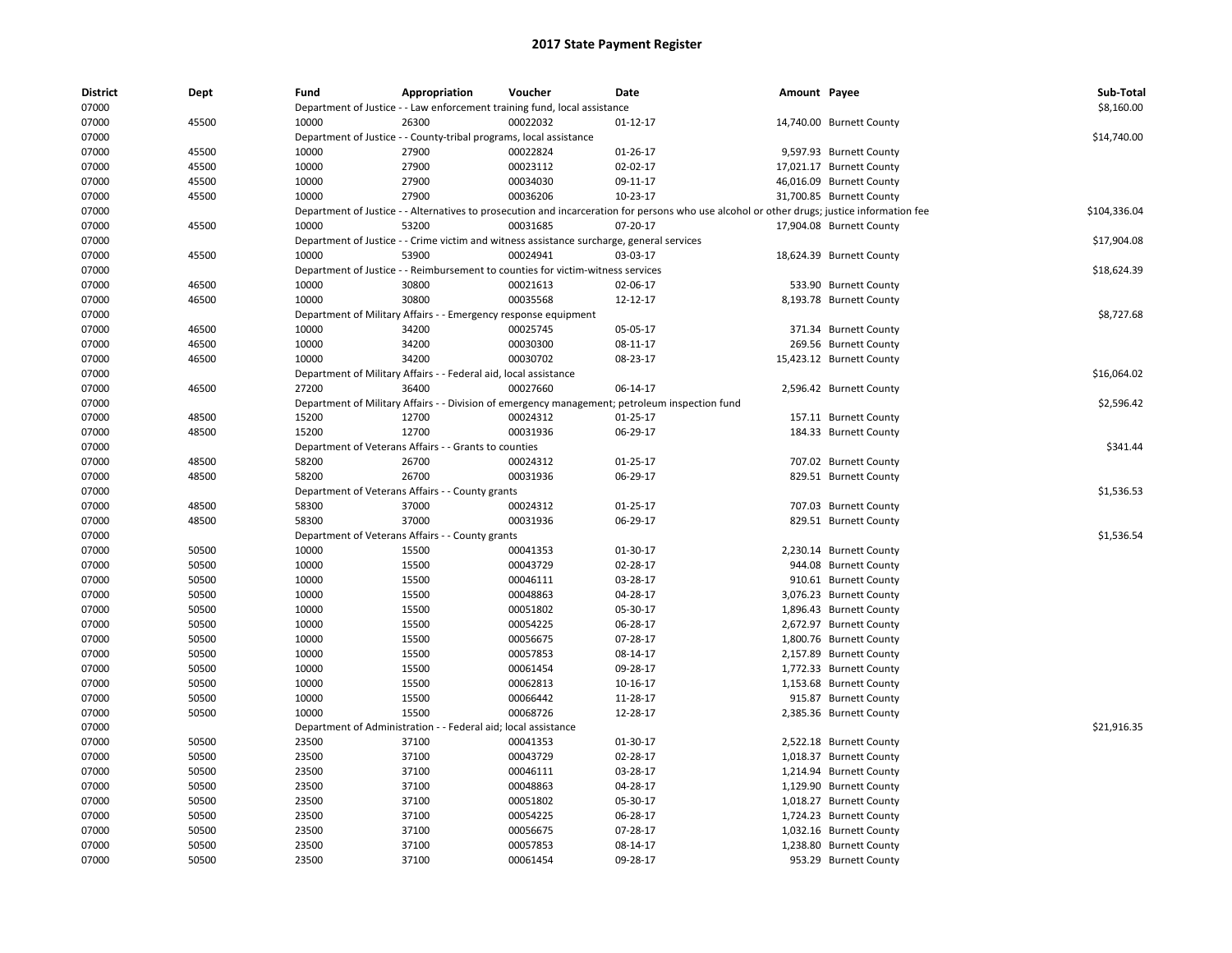| <b>District</b><br>07000 | Dept  | Fund           | Appropriation                                                      | Voucher<br>Department of Justice - - Law enforcement training fund, local assistance      | <b>Date</b>                                                                                                                                 | Amount Payee |                                                    | Sub-Total<br>\$8,160.00 |
|--------------------------|-------|----------------|--------------------------------------------------------------------|-------------------------------------------------------------------------------------------|---------------------------------------------------------------------------------------------------------------------------------------------|--------------|----------------------------------------------------|-------------------------|
| 07000                    | 45500 | 10000          | 26300                                                              | 00022032                                                                                  | $01 - 12 - 17$                                                                                                                              |              | 14,740.00 Burnett County                           |                         |
| 07000                    |       |                | Department of Justice - - County-tribal programs, local assistance |                                                                                           |                                                                                                                                             |              |                                                    | \$14,740.00             |
| 07000                    | 45500 | 10000          | 27900                                                              | 00022824                                                                                  | 01-26-17                                                                                                                                    |              | 9,597.93 Burnett County                            |                         |
| 07000                    | 45500 | 10000          | 27900                                                              | 00023112                                                                                  | 02-02-17                                                                                                                                    |              | 17,021.17 Burnett County                           |                         |
|                          |       |                |                                                                    |                                                                                           |                                                                                                                                             |              | 46,016.09 Burnett County                           |                         |
| 07000                    | 45500 | 10000<br>10000 | 27900<br>27900                                                     | 00034030<br>00036206                                                                      | 09-11-17<br>10-23-17                                                                                                                        |              |                                                    |                         |
| 07000                    | 45500 |                |                                                                    |                                                                                           |                                                                                                                                             |              | 31,700.85 Burnett County                           | \$104,336.04            |
| 07000                    |       |                |                                                                    |                                                                                           | Department of Justice - - Alternatives to prosecution and incarceration for persons who use alcohol or other drugs; justice information fee |              |                                                    |                         |
| 07000                    | 45500 | 10000          | 53200                                                              | 00031685                                                                                  | 07-20-17                                                                                                                                    |              | 17,904.08 Burnett County                           |                         |
| 07000                    |       |                |                                                                    | Department of Justice - - Crime victim and witness assistance surcharge, general services |                                                                                                                                             |              |                                                    | \$17,904.08             |
| 07000                    | 45500 | 10000          | 53900                                                              | 00024941                                                                                  | 03-03-17                                                                                                                                    |              | 18,624.39 Burnett County                           |                         |
| 07000                    |       |                |                                                                    | Department of Justice - - Reimbursement to counties for victim-witness services           |                                                                                                                                             |              |                                                    | \$18,624.39             |
| 07000                    | 46500 | 10000          | 30800                                                              | 00021613                                                                                  | 02-06-17                                                                                                                                    |              | 533.90 Burnett County                              |                         |
| 07000                    | 46500 | 10000          | 30800                                                              | 00035568                                                                                  | 12-12-17                                                                                                                                    |              | 8,193.78 Burnett County                            |                         |
| 07000                    |       |                | Department of Military Affairs - - Emergency response equipment    |                                                                                           |                                                                                                                                             |              |                                                    | \$8,727.68              |
| 07000                    | 46500 | 10000          | 34200                                                              | 00025745                                                                                  | 05-05-17                                                                                                                                    |              | 371.34 Burnett County                              |                         |
| 07000                    | 46500 | 10000          | 34200                                                              | 00030300                                                                                  | 08-11-17                                                                                                                                    |              | 269.56 Burnett County                              |                         |
| 07000                    | 46500 | 10000          | 34200                                                              | 00030702                                                                                  | 08-23-17                                                                                                                                    |              | 15,423.12 Burnett County                           |                         |
| 07000                    |       |                | Department of Military Affairs - - Federal aid, local assistance   |                                                                                           |                                                                                                                                             |              |                                                    | \$16,064.02             |
| 07000                    | 46500 | 27200          | 36400                                                              | 00027660                                                                                  | 06-14-17                                                                                                                                    |              | 2,596.42 Burnett County                            |                         |
| 07000                    |       |                |                                                                    |                                                                                           | Department of Military Affairs - - Division of emergency management; petroleum inspection fund                                              |              |                                                    | \$2,596.42              |
| 07000                    | 48500 | 15200          | 12700                                                              | 00024312                                                                                  | $01 - 25 - 17$                                                                                                                              |              | 157.11 Burnett County                              |                         |
| 07000                    | 48500 | 15200          | 12700                                                              | 00031936                                                                                  | 06-29-17                                                                                                                                    |              | 184.33 Burnett County                              |                         |
| 07000                    |       |                | Department of Veterans Affairs - - Grants to counties              |                                                                                           |                                                                                                                                             |              |                                                    | \$341.44                |
| 07000                    | 48500 | 58200          | 26700                                                              | 00024312                                                                                  | $01 - 25 - 17$                                                                                                                              |              | 707.02 Burnett County                              |                         |
| 07000                    | 48500 | 58200          | 26700                                                              | 00031936                                                                                  | 06-29-17                                                                                                                                    |              | 829.51 Burnett County                              |                         |
| 07000                    |       |                | Department of Veterans Affairs - - County grants                   |                                                                                           |                                                                                                                                             |              |                                                    | \$1,536.53              |
| 07000                    | 48500 | 58300          | 37000                                                              | 00024312                                                                                  | $01 - 25 - 17$                                                                                                                              |              | 707.03 Burnett County                              |                         |
| 07000                    | 48500 | 58300          | 37000                                                              | 00031936                                                                                  | 06-29-17                                                                                                                                    |              | 829.51 Burnett County                              |                         |
| 07000                    |       |                | Department of Veterans Affairs - - County grants                   |                                                                                           |                                                                                                                                             |              |                                                    | \$1,536.54              |
| 07000                    | 50500 | 10000          | 15500                                                              | 00041353                                                                                  | 01-30-17                                                                                                                                    |              | 2,230.14 Burnett County                            |                         |
| 07000                    | 50500 | 10000          | 15500                                                              | 00043729                                                                                  | 02-28-17                                                                                                                                    |              | 944.08 Burnett County                              |                         |
| 07000                    | 50500 | 10000          | 15500                                                              | 00046111                                                                                  | 03-28-17                                                                                                                                    |              | 910.61 Burnett County                              |                         |
| 07000                    | 50500 | 10000          | 15500                                                              | 00048863                                                                                  | 04-28-17                                                                                                                                    |              | 3,076.23 Burnett County                            |                         |
| 07000                    | 50500 | 10000          | 15500                                                              | 00051802                                                                                  | 05-30-17                                                                                                                                    |              | 1,896.43 Burnett County                            |                         |
| 07000                    | 50500 | 10000          | 15500                                                              | 00054225                                                                                  | 06-28-17                                                                                                                                    |              | 2,672.97 Burnett County                            |                         |
| 07000                    | 50500 | 10000          | 15500                                                              | 00056675                                                                                  | 07-28-17                                                                                                                                    |              | 1,800.76 Burnett County                            |                         |
| 07000                    | 50500 | 10000          | 15500                                                              | 00057853                                                                                  | 08-14-17                                                                                                                                    |              | 2,157.89 Burnett County                            |                         |
| 07000                    | 50500 | 10000          | 15500                                                              | 00061454                                                                                  | 09-28-17                                                                                                                                    |              | 1,772.33 Burnett County                            |                         |
| 07000                    | 50500 | 10000          | 15500                                                              | 00062813                                                                                  | 10-16-17                                                                                                                                    |              | 1,153.68 Burnett County                            |                         |
| 07000                    | 50500 | 10000          | 15500                                                              | 00066442                                                                                  | 11-28-17                                                                                                                                    |              | 915.87 Burnett County                              |                         |
| 07000                    | 50500 | 10000          | 15500                                                              | 00068726                                                                                  | 12-28-17                                                                                                                                    |              | 2,385.36 Burnett County                            |                         |
| 07000                    |       |                | Department of Administration - - Federal aid; local assistance     |                                                                                           |                                                                                                                                             |              |                                                    | \$21,916.35             |
| 07000                    | 50500 | 23500          | 37100                                                              | 00041353                                                                                  | 01-30-17                                                                                                                                    |              | 2,522.18 Burnett County                            |                         |
| 07000                    | 50500 | 23500          | 37100                                                              | 00043729                                                                                  | 02-28-17                                                                                                                                    |              |                                                    |                         |
| 07000                    | 50500 | 23500          | 37100                                                              | 00046111                                                                                  | 03-28-17                                                                                                                                    |              | 1,018.37 Burnett County<br>1,214.94 Burnett County |                         |
|                          |       |                |                                                                    |                                                                                           |                                                                                                                                             |              |                                                    |                         |
| 07000                    | 50500 | 23500          | 37100                                                              | 00048863                                                                                  | 04-28-17                                                                                                                                    |              | 1,129.90 Burnett County                            |                         |
| 07000                    | 50500 | 23500          | 37100                                                              | 00051802                                                                                  | 05-30-17                                                                                                                                    |              | 1,018.27 Burnett County                            |                         |
| 07000                    | 50500 | 23500          | 37100                                                              | 00054225                                                                                  | 06-28-17                                                                                                                                    |              | 1,724.23 Burnett County                            |                         |
| 07000                    | 50500 | 23500          | 37100                                                              | 00056675                                                                                  | 07-28-17                                                                                                                                    |              | 1,032.16 Burnett County                            |                         |
| 07000                    | 50500 | 23500          | 37100                                                              | 00057853                                                                                  | 08-14-17                                                                                                                                    |              | 1,238.80 Burnett County                            |                         |
| 07000                    | 50500 | 23500          | 37100                                                              | 00061454                                                                                  | 09-28-17                                                                                                                                    |              | 953.29 Burnett County                              |                         |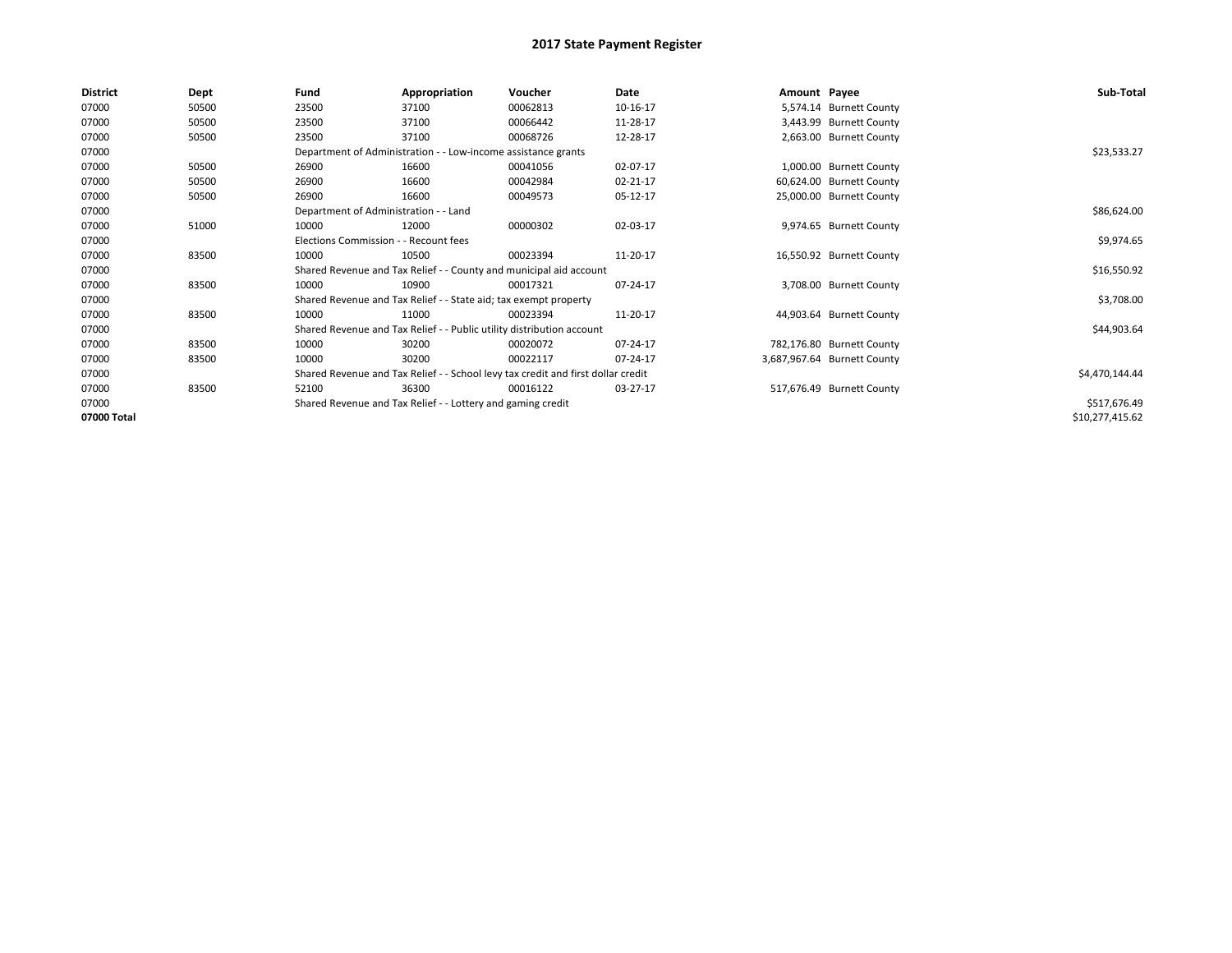| <b>District</b> | Dept  | Fund                                  | Appropriation                                                         | Voucher                                                                          | Date     | Amount Payee |                             | Sub-Total       |
|-----------------|-------|---------------------------------------|-----------------------------------------------------------------------|----------------------------------------------------------------------------------|----------|--------------|-----------------------------|-----------------|
| 07000           | 50500 | 23500                                 | 37100                                                                 | 00062813                                                                         | 10-16-17 |              | 5,574.14 Burnett County     |                 |
| 07000           | 50500 | 23500                                 | 37100                                                                 | 00066442                                                                         | 11-28-17 |              | 3,443.99 Burnett County     |                 |
| 07000           | 50500 | 23500                                 | 37100                                                                 | 00068726                                                                         | 12-28-17 |              | 2,663.00 Burnett County     |                 |
| 07000           |       |                                       | Department of Administration - - Low-income assistance grants         |                                                                                  |          |              |                             | \$23,533.27     |
| 07000           | 50500 | 26900                                 | 16600                                                                 | 00041056                                                                         | 02-07-17 |              | 1,000.00 Burnett County     |                 |
| 07000           | 50500 | 26900                                 | 16600                                                                 | 00042984                                                                         | 02-21-17 |              | 60,624.00 Burnett County    |                 |
| 07000           | 50500 | 26900                                 | 16600                                                                 | 00049573                                                                         | 05-12-17 |              | 25,000.00 Burnett County    |                 |
| 07000           |       | Department of Administration - - Land |                                                                       |                                                                                  |          |              |                             | \$86,624.00     |
| 07000           | 51000 | 10000                                 | 12000                                                                 | 00000302                                                                         | 02-03-17 |              | 9,974.65 Burnett County     |                 |
| 07000           |       | Elections Commission - - Recount fees |                                                                       |                                                                                  |          |              |                             | \$9,974.65      |
| 07000           | 83500 | 10000                                 | 10500                                                                 | 00023394                                                                         | 11-20-17 |              | 16,550.92 Burnett County    |                 |
| 07000           |       |                                       |                                                                       | Shared Revenue and Tax Relief - - County and municipal aid account               |          |              |                             | \$16,550.92     |
| 07000           | 83500 | 10000                                 | 10900                                                                 | 00017321                                                                         | 07-24-17 |              | 3,708.00 Burnett County     |                 |
| 07000           |       |                                       | Shared Revenue and Tax Relief - - State aid; tax exempt property      |                                                                                  |          |              |                             | \$3,708.00      |
| 07000           | 83500 | 10000                                 | 11000                                                                 | 00023394                                                                         | 11-20-17 |              | 44,903.64 Burnett County    |                 |
| 07000           |       |                                       | Shared Revenue and Tax Relief - - Public utility distribution account |                                                                                  |          |              |                             | \$44,903.64     |
| 07000           | 83500 | 10000                                 | 30200                                                                 | 00020072                                                                         | 07-24-17 |              | 782,176.80 Burnett County   |                 |
| 07000           | 83500 | 10000                                 | 30200                                                                 | 00022117                                                                         | 07-24-17 |              | 3,687,967.64 Burnett County |                 |
| 07000           |       |                                       |                                                                       | Shared Revenue and Tax Relief - - School levy tax credit and first dollar credit |          |              |                             | \$4,470,144.44  |
| 07000           | 83500 | 52100                                 | 36300                                                                 | 00016122                                                                         | 03-27-17 |              | 517,676.49 Burnett County   |                 |
| 07000           |       |                                       | Shared Revenue and Tax Relief - - Lottery and gaming credit           |                                                                                  |          |              |                             | \$517,676.49    |
| 07000 Total     |       |                                       |                                                                       |                                                                                  |          |              |                             | \$10,277,415.62 |
|                 |       |                                       |                                                                       |                                                                                  |          |              |                             |                 |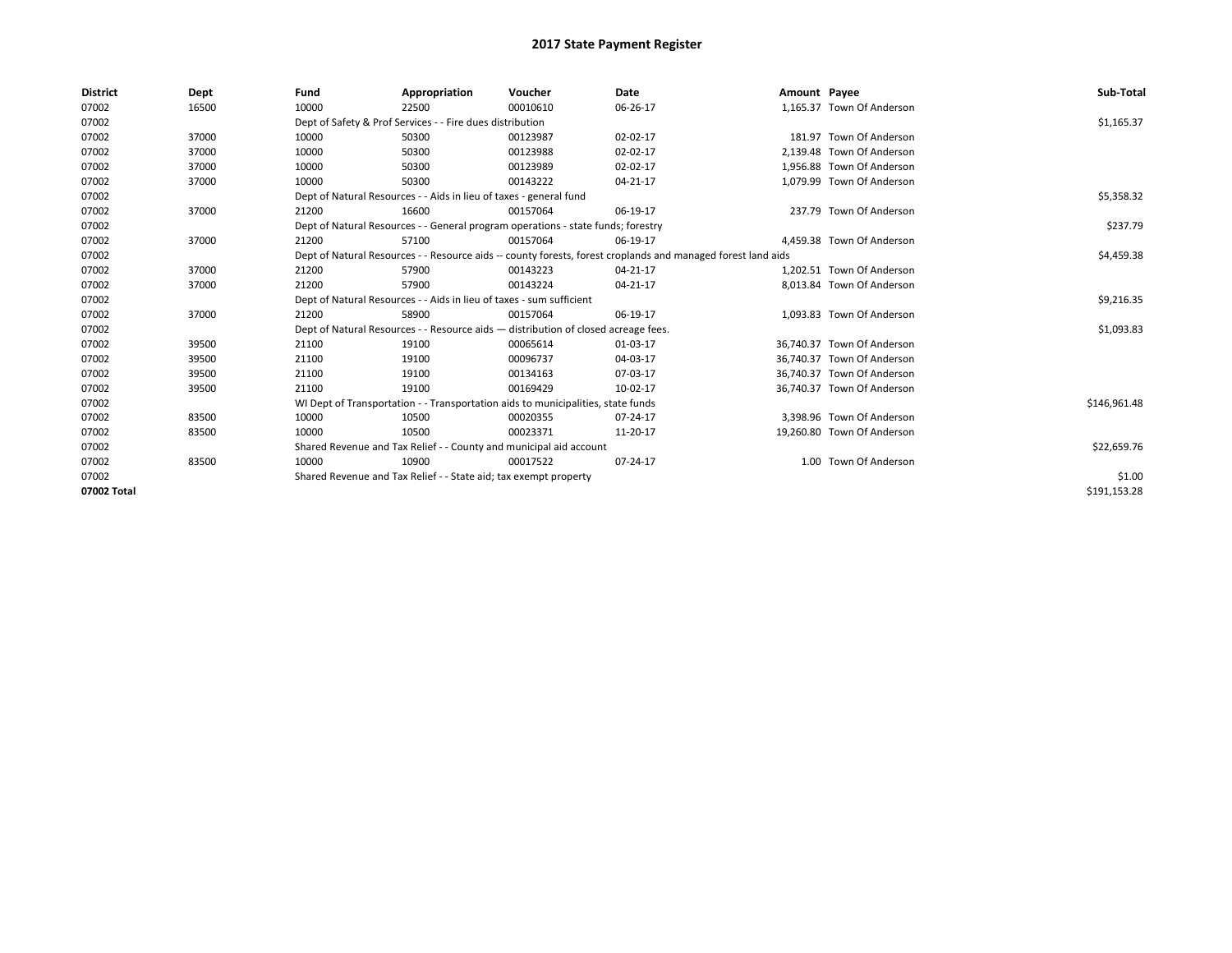| <b>District</b> | Dept  | Fund                                                               | Appropriation                                                                      | Voucher     | <b>Date</b>                                                                                                  | Amount Payee |                            | Sub-Total    |
|-----------------|-------|--------------------------------------------------------------------|------------------------------------------------------------------------------------|-------------|--------------------------------------------------------------------------------------------------------------|--------------|----------------------------|--------------|
| 07002           | 16500 | 10000                                                              | 22500                                                                              | 00010610    | 06-26-17                                                                                                     |              | 1,165.37 Town Of Anderson  |              |
| 07002           |       |                                                                    | Dept of Safety & Prof Services - - Fire dues distribution                          |             |                                                                                                              |              |                            | \$1,165.37   |
| 07002           | 37000 | 10000                                                              | 50300                                                                              | 00123987    | 02-02-17                                                                                                     |              | 181.97 Town Of Anderson    |              |
| 07002           | 37000 | 10000                                                              | 50300                                                                              | 00123988    | 02-02-17                                                                                                     |              | 2,139.48 Town Of Anderson  |              |
| 07002           | 37000 | 10000                                                              | 50300                                                                              | 00123989    | 02-02-17                                                                                                     |              | 1,956.88 Town Of Anderson  |              |
| 07002           | 37000 | 10000                                                              | 50300                                                                              | 00143222    | 04-21-17                                                                                                     |              | 1.079.99 Town Of Anderson  |              |
| 07002           |       |                                                                    | Dept of Natural Resources - - Aids in lieu of taxes - general fund                 |             |                                                                                                              |              |                            | \$5,358.32   |
| 07002           | 37000 | 21200                                                              | 16600                                                                              | 00157064    | 06-19-17                                                                                                     |              | 237.79 Town Of Anderson    |              |
| 07002           |       |                                                                    | Dept of Natural Resources - - General program operations - state funds; forestry   |             |                                                                                                              |              |                            | \$237.79     |
| 07002           | 37000 | 21200                                                              | 57100                                                                              | 00157064    | 06-19-17                                                                                                     |              | 4,459.38 Town Of Anderson  |              |
| 07002           |       |                                                                    |                                                                                    |             | Dept of Natural Resources - - Resource aids -- county forests, forest croplands and managed forest land aids |              |                            | \$4,459.38   |
| 07002           | 37000 | 21200                                                              | 57900                                                                              | 00143223    | 04-21-17                                                                                                     |              | 1,202.51 Town Of Anderson  |              |
| 07002           | 37000 | 21200                                                              | 57900                                                                              | 00143224    | 04-21-17                                                                                                     |              | 8,013.84 Town Of Anderson  |              |
| 07002           |       |                                                                    | Dept of Natural Resources - - Aids in lieu of taxes - sum sufficient               |             |                                                                                                              |              |                            | \$9,216.35   |
| 07002           | 37000 | 21200                                                              | 58900                                                                              | 00157064    | 06-19-17                                                                                                     |              | 1.093.83 Town Of Anderson  |              |
| 07002           |       |                                                                    | Dept of Natural Resources - - Resource aids - distribution of closed acreage fees. |             |                                                                                                              |              |                            | \$1,093.83   |
| 07002           | 39500 | 21100                                                              | 19100                                                                              | 00065614    | 01-03-17                                                                                                     |              | 36,740.37 Town Of Anderson |              |
| 07002           | 39500 | 21100                                                              | 19100                                                                              | 00096737    | 04-03-17                                                                                                     |              | 36.740.37 Town Of Anderson |              |
| 07002           | 39500 | 21100                                                              | 19100                                                                              | 00134163    | 07-03-17                                                                                                     |              | 36.740.37 Town Of Anderson |              |
| 07002           | 39500 | 21100                                                              | 19100                                                                              | 00169429    | 10-02-17                                                                                                     |              | 36.740.37 Town Of Anderson |              |
| 07002           |       |                                                                    | WI Dept of Transportation - - Transportation aids to municipalities, state funds   |             |                                                                                                              |              |                            | \$146,961.48 |
| 07002           | 83500 | 10000                                                              | 10500                                                                              | 00020355    | 07-24-17                                                                                                     |              | 3,398.96 Town Of Anderson  |              |
| 07002           | 83500 | 10000                                                              | 10500                                                                              | 00023371    | 11-20-17                                                                                                     |              | 19,260.80 Town Of Anderson |              |
| 07002           |       | Shared Revenue and Tax Relief - - County and municipal aid account |                                                                                    | \$22,659.76 |                                                                                                              |              |                            |              |
| 07002           | 83500 | 10000                                                              | 10900                                                                              | 00017522    | 07-24-17                                                                                                     |              | 1.00 Town Of Anderson      |              |
| 07002           |       | Shared Revenue and Tax Relief - - State aid; tax exempt property   |                                                                                    | \$1.00      |                                                                                                              |              |                            |              |
| 07002 Total     |       |                                                                    |                                                                                    |             |                                                                                                              |              |                            | \$191,153.28 |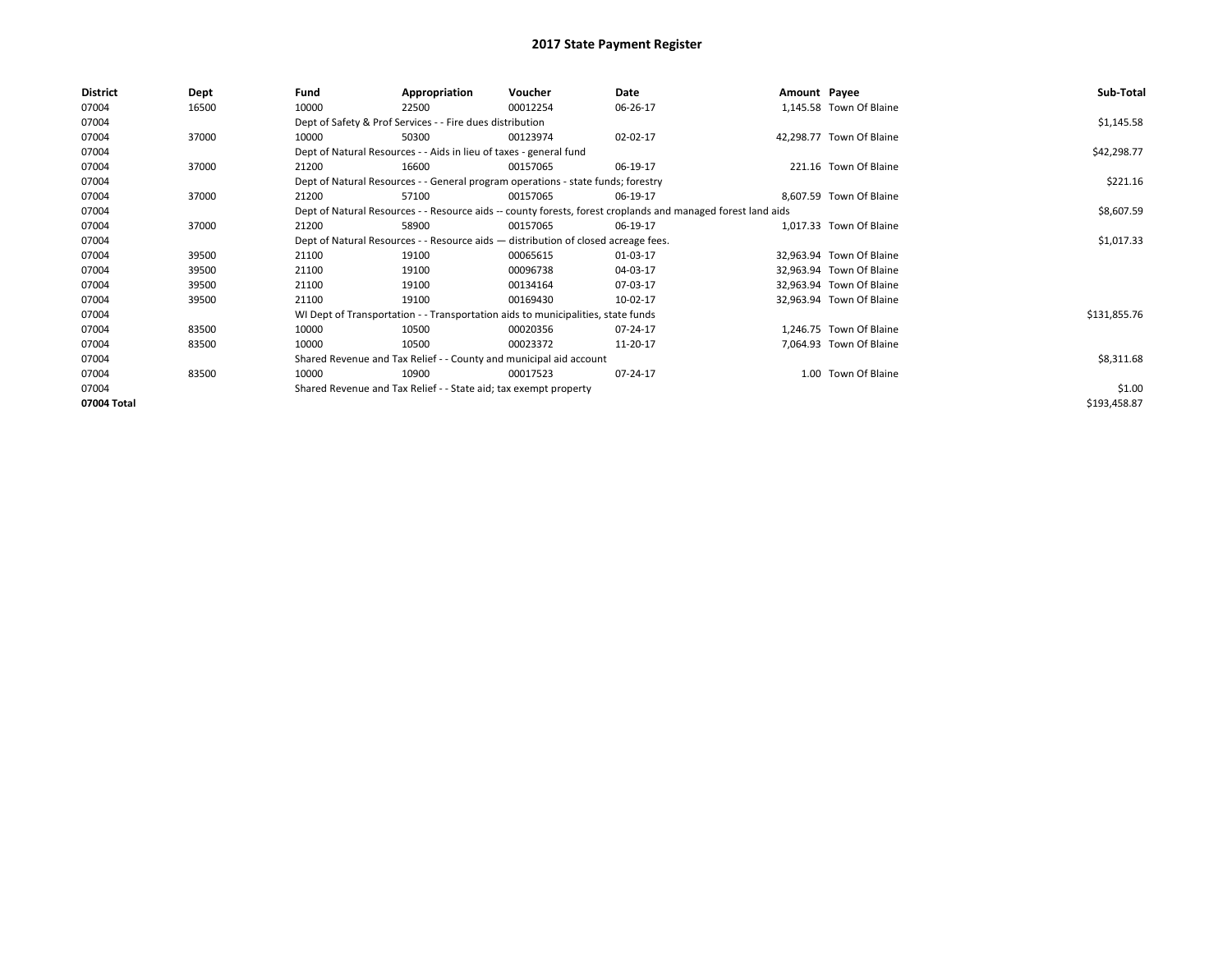| <b>District</b> | Dept  | Fund  | Appropriation                                                                      | Voucher  | Date                                                                                                         | Amount Payee |                          | Sub-Total    |
|-----------------|-------|-------|------------------------------------------------------------------------------------|----------|--------------------------------------------------------------------------------------------------------------|--------------|--------------------------|--------------|
| 07004           | 16500 | 10000 | 22500                                                                              | 00012254 | 06-26-17                                                                                                     |              | 1,145.58 Town Of Blaine  |              |
| 07004           |       |       | Dept of Safety & Prof Services - - Fire dues distribution                          |          |                                                                                                              |              |                          | \$1,145.58   |
| 07004           | 37000 | 10000 | 50300                                                                              | 00123974 | 02-02-17                                                                                                     |              | 42,298.77 Town Of Blaine |              |
| 07004           |       |       | Dept of Natural Resources - - Aids in lieu of taxes - general fund                 |          |                                                                                                              |              |                          | \$42,298.77  |
| 07004           | 37000 | 21200 | 16600                                                                              | 00157065 | 06-19-17                                                                                                     |              | 221.16 Town Of Blaine    |              |
| 07004           |       |       | Dept of Natural Resources - - General program operations - state funds; forestry   |          |                                                                                                              |              |                          | \$221.16     |
| 07004           | 37000 | 21200 | 57100                                                                              | 00157065 | 06-19-17                                                                                                     |              | 8,607.59 Town Of Blaine  |              |
| 07004           |       |       |                                                                                    |          | Dept of Natural Resources - - Resource aids -- county forests, forest croplands and managed forest land aids |              |                          | \$8,607.59   |
| 07004           | 37000 | 21200 | 58900                                                                              | 00157065 | 06-19-17                                                                                                     |              | 1,017.33 Town Of Blaine  |              |
| 07004           |       |       | Dept of Natural Resources - - Resource aids - distribution of closed acreage fees. |          |                                                                                                              |              |                          | \$1,017.33   |
| 07004           | 39500 | 21100 | 19100                                                                              | 00065615 | 01-03-17                                                                                                     |              | 32,963.94 Town Of Blaine |              |
| 07004           | 39500 | 21100 | 19100                                                                              | 00096738 | 04-03-17                                                                                                     |              | 32,963.94 Town Of Blaine |              |
| 07004           | 39500 | 21100 | 19100                                                                              | 00134164 | 07-03-17                                                                                                     |              | 32,963.94 Town Of Blaine |              |
| 07004           | 39500 | 21100 | 19100                                                                              | 00169430 | 10-02-17                                                                                                     |              | 32,963.94 Town Of Blaine |              |
| 07004           |       |       | WI Dept of Transportation - - Transportation aids to municipalities, state funds   |          |                                                                                                              |              |                          | \$131,855.76 |
| 07004           | 83500 | 10000 | 10500                                                                              | 00020356 | 07-24-17                                                                                                     |              | 1,246.75 Town Of Blaine  |              |
| 07004           | 83500 | 10000 | 10500                                                                              | 00023372 | 11-20-17                                                                                                     |              | 7,064.93 Town Of Blaine  |              |
| 07004           |       |       | Shared Revenue and Tax Relief - - County and municipal aid account                 |          |                                                                                                              |              |                          | \$8,311.68   |
| 07004           | 83500 | 10000 | 10900                                                                              | 00017523 | 07-24-17                                                                                                     |              | 1.00 Town Of Blaine      |              |
| 07004           |       |       | Shared Revenue and Tax Relief - - State aid; tax exempt property                   |          |                                                                                                              |              |                          | \$1.00       |
| 07004 Total     |       |       |                                                                                    |          |                                                                                                              |              |                          | \$193,458.87 |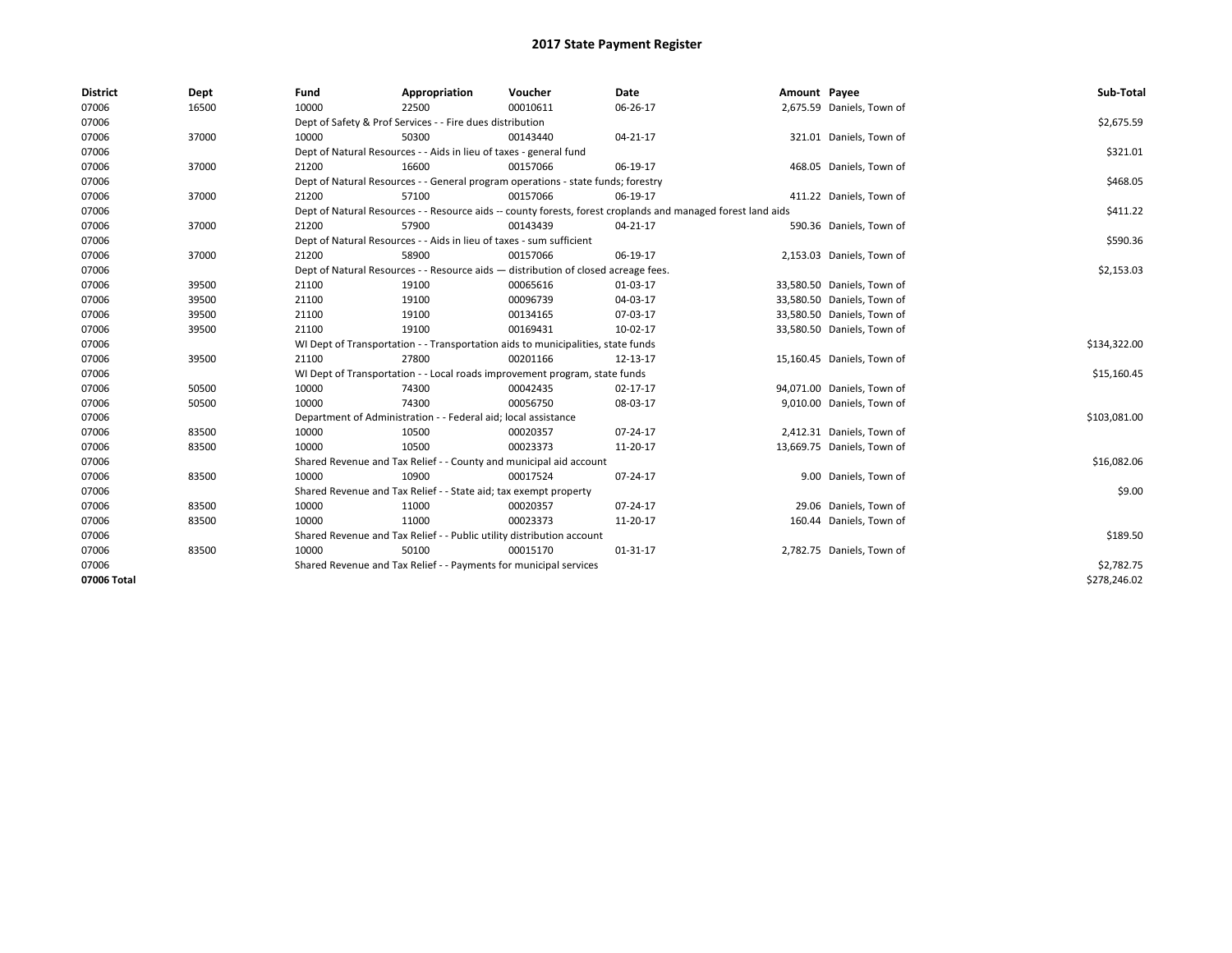| <b>District</b> | Dept  | Fund                                                              | Appropriation                                                         | Voucher                                                                            | <b>Date</b>                                                                                                  | Amount Payee |                            | Sub-Total    |
|-----------------|-------|-------------------------------------------------------------------|-----------------------------------------------------------------------|------------------------------------------------------------------------------------|--------------------------------------------------------------------------------------------------------------|--------------|----------------------------|--------------|
| 07006           | 16500 | 10000                                                             | 22500                                                                 | 00010611                                                                           | 06-26-17                                                                                                     |              | 2,675.59 Daniels, Town of  |              |
| 07006           |       |                                                                   | Dept of Safety & Prof Services - - Fire dues distribution             |                                                                                    |                                                                                                              |              |                            | \$2,675.59   |
| 07006           | 37000 | 10000                                                             | 50300                                                                 | 00143440                                                                           | 04-21-17                                                                                                     |              | 321.01 Daniels, Town of    |              |
| 07006           |       |                                                                   | Dept of Natural Resources - - Aids in lieu of taxes - general fund    |                                                                                    |                                                                                                              |              |                            | \$321.01     |
| 07006           | 37000 | 21200                                                             | 16600                                                                 | 00157066                                                                           | 06-19-17                                                                                                     |              | 468.05 Daniels, Town of    |              |
| 07006           |       |                                                                   |                                                                       | Dept of Natural Resources - - General program operations - state funds; forestry   |                                                                                                              |              |                            | \$468.05     |
| 07006           | 37000 | 21200                                                             | 57100                                                                 | 00157066                                                                           | 06-19-17                                                                                                     |              | 411.22 Daniels, Town of    |              |
| 07006           |       |                                                                   |                                                                       |                                                                                    | Dept of Natural Resources - - Resource aids -- county forests, forest croplands and managed forest land aids |              |                            | \$411.22     |
| 07006           | 37000 | 21200                                                             | 57900                                                                 | 00143439                                                                           | 04-21-17                                                                                                     |              | 590.36 Daniels, Town of    |              |
| 07006           |       |                                                                   | Dept of Natural Resources - - Aids in lieu of taxes - sum sufficient  |                                                                                    |                                                                                                              |              |                            | \$590.36     |
| 07006           | 37000 | 21200                                                             | 58900                                                                 | 00157066                                                                           | 06-19-17                                                                                                     |              | 2,153.03 Daniels, Town of  |              |
| 07006           |       |                                                                   |                                                                       | Dept of Natural Resources - - Resource aids - distribution of closed acreage fees. |                                                                                                              |              |                            | \$2,153.03   |
| 07006           | 39500 | 21100                                                             | 19100                                                                 | 00065616                                                                           | 01-03-17                                                                                                     |              | 33,580.50 Daniels, Town of |              |
| 07006           | 39500 | 21100                                                             | 19100                                                                 | 00096739                                                                           | 04-03-17                                                                                                     |              | 33,580.50 Daniels, Town of |              |
| 07006           | 39500 | 21100                                                             | 19100                                                                 | 00134165                                                                           | 07-03-17                                                                                                     |              | 33,580.50 Daniels, Town of |              |
| 07006           | 39500 | 21100                                                             | 19100                                                                 | 00169431                                                                           | 10-02-17                                                                                                     |              | 33,580.50 Daniels, Town of |              |
| 07006           |       |                                                                   |                                                                       | WI Dept of Transportation - - Transportation aids to municipalities, state funds   |                                                                                                              |              |                            | \$134,322.00 |
| 07006           | 39500 | 21100                                                             | 27800                                                                 | 00201166                                                                           | 12-13-17                                                                                                     |              | 15,160.45 Daniels, Town of |              |
| 07006           |       |                                                                   |                                                                       | WI Dept of Transportation - - Local roads improvement program, state funds         |                                                                                                              |              |                            | \$15,160.45  |
| 07006           | 50500 | 10000                                                             | 74300                                                                 | 00042435                                                                           | 02-17-17                                                                                                     |              | 94,071.00 Daniels, Town of |              |
| 07006           | 50500 | 10000                                                             | 74300                                                                 | 00056750                                                                           | 08-03-17                                                                                                     |              | 9,010.00 Daniels, Town of  |              |
| 07006           |       |                                                                   | Department of Administration - - Federal aid; local assistance        |                                                                                    |                                                                                                              |              |                            | \$103,081.00 |
| 07006           | 83500 | 10000                                                             | 10500                                                                 | 00020357                                                                           | 07-24-17                                                                                                     |              | 2,412.31 Daniels, Town of  |              |
| 07006           | 83500 | 10000                                                             | 10500                                                                 | 00023373                                                                           | 11-20-17                                                                                                     |              | 13,669.75 Daniels, Town of |              |
| 07006           |       |                                                                   |                                                                       | Shared Revenue and Tax Relief - - County and municipal aid account                 |                                                                                                              |              |                            | \$16,082.06  |
| 07006           | 83500 | 10000                                                             | 10900                                                                 | 00017524                                                                           | 07-24-17                                                                                                     |              | 9.00 Daniels, Town of      |              |
| 07006           |       |                                                                   | Shared Revenue and Tax Relief - - State aid; tax exempt property      |                                                                                    |                                                                                                              |              |                            | \$9.00       |
| 07006           | 83500 | 10000                                                             | 11000                                                                 | 00020357                                                                           | 07-24-17                                                                                                     |              | 29.06 Daniels, Town of     |              |
| 07006           | 83500 | 10000                                                             | 11000                                                                 | 00023373                                                                           | 11-20-17                                                                                                     |              | 160.44 Daniels, Town of    |              |
| 07006           |       |                                                                   | Shared Revenue and Tax Relief - - Public utility distribution account |                                                                                    |                                                                                                              |              |                            | \$189.50     |
| 07006           | 83500 | 10000                                                             | 50100                                                                 | 00015170                                                                           | 01-31-17                                                                                                     |              | 2,782.75 Daniels, Town of  |              |
| 07006           |       | Shared Revenue and Tax Relief - - Payments for municipal services | \$2,782.75                                                            |                                                                                    |                                                                                                              |              |                            |              |
| 07006 Total     |       |                                                                   |                                                                       |                                                                                    |                                                                                                              |              |                            | \$278,246.02 |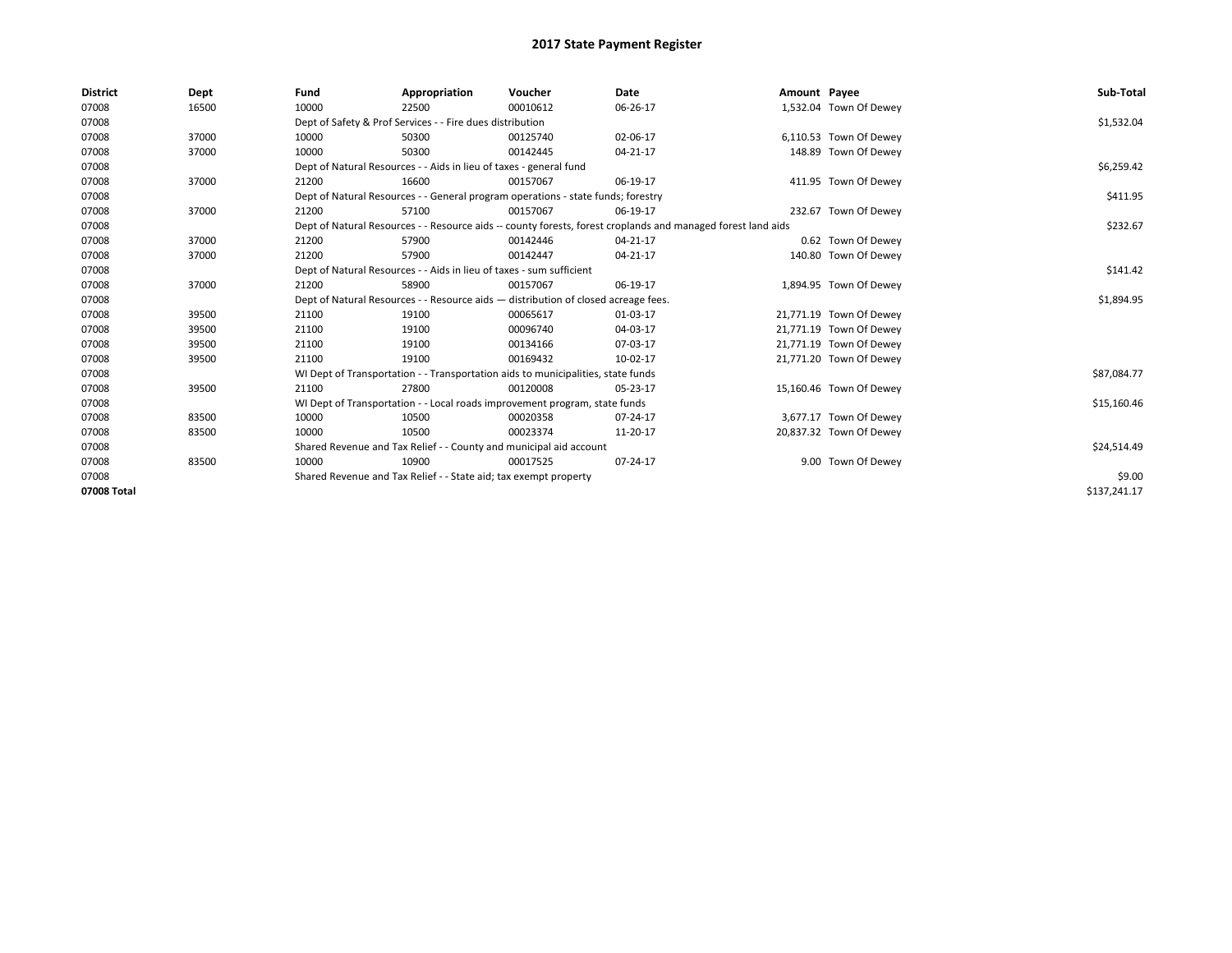| <b>District</b> | Dept  | Fund                                                             | Appropriation                                                                      | Voucher  | Date                                                                                                         | Amount Payee |                         | Sub-Total    |
|-----------------|-------|------------------------------------------------------------------|------------------------------------------------------------------------------------|----------|--------------------------------------------------------------------------------------------------------------|--------------|-------------------------|--------------|
| 07008           | 16500 | 10000                                                            | 22500                                                                              | 00010612 | 06-26-17                                                                                                     |              | 1,532.04 Town Of Dewey  |              |
| 07008           |       |                                                                  | Dept of Safety & Prof Services - - Fire dues distribution                          |          |                                                                                                              |              |                         | \$1,532.04   |
| 07008           | 37000 | 10000                                                            | 50300                                                                              | 00125740 | 02-06-17                                                                                                     |              | 6,110.53 Town Of Dewey  |              |
| 07008           | 37000 | 10000                                                            | 50300                                                                              | 00142445 | 04-21-17                                                                                                     |              | 148.89 Town Of Dewey    |              |
| 07008           |       |                                                                  | Dept of Natural Resources - - Aids in lieu of taxes - general fund                 |          |                                                                                                              |              |                         | \$6,259.42   |
| 07008           | 37000 | 21200                                                            | 16600                                                                              | 00157067 | 06-19-17                                                                                                     |              | 411.95 Town Of Dewey    |              |
| 07008           |       |                                                                  | Dept of Natural Resources - - General program operations - state funds; forestry   |          |                                                                                                              |              |                         | \$411.95     |
| 07008           | 37000 | 21200                                                            | 57100                                                                              | 00157067 | 06-19-17                                                                                                     |              | 232.67 Town Of Dewey    |              |
| 07008           |       |                                                                  |                                                                                    |          | Dept of Natural Resources - - Resource aids -- county forests, forest croplands and managed forest land aids |              |                         | \$232.67     |
| 07008           | 37000 | 21200                                                            | 57900                                                                              | 00142446 | 04-21-17                                                                                                     |              | 0.62 Town Of Dewey      |              |
| 07008           | 37000 | 21200                                                            | 57900                                                                              | 00142447 | 04-21-17                                                                                                     |              | 140.80 Town Of Dewey    |              |
| 07008           |       |                                                                  | Dept of Natural Resources - - Aids in lieu of taxes - sum sufficient               |          |                                                                                                              |              |                         | \$141.42     |
| 07008           | 37000 | 21200                                                            | 58900                                                                              | 00157067 | 06-19-17                                                                                                     |              | 1,894.95 Town Of Dewey  |              |
| 07008           |       |                                                                  | Dept of Natural Resources - - Resource aids - distribution of closed acreage fees. |          |                                                                                                              |              |                         | \$1,894.95   |
| 07008           | 39500 | 21100                                                            | 19100                                                                              | 00065617 | 01-03-17                                                                                                     |              | 21,771.19 Town Of Dewey |              |
| 07008           | 39500 | 21100                                                            | 19100                                                                              | 00096740 | 04-03-17                                                                                                     |              | 21,771.19 Town Of Dewey |              |
| 07008           | 39500 | 21100                                                            | 19100                                                                              | 00134166 | 07-03-17                                                                                                     |              | 21,771.19 Town Of Dewey |              |
| 07008           | 39500 | 21100                                                            | 19100                                                                              | 00169432 | 10-02-17                                                                                                     |              | 21,771.20 Town Of Dewey |              |
| 07008           |       |                                                                  | WI Dept of Transportation - - Transportation aids to municipalities, state funds   |          |                                                                                                              |              |                         | \$87,084.77  |
| 07008           | 39500 | 21100                                                            | 27800                                                                              | 00120008 | 05-23-17                                                                                                     |              | 15,160.46 Town Of Dewey |              |
| 07008           |       |                                                                  | WI Dept of Transportation - - Local roads improvement program, state funds         |          |                                                                                                              |              |                         | \$15,160.46  |
| 07008           | 83500 | 10000                                                            | 10500                                                                              | 00020358 | 07-24-17                                                                                                     |              | 3,677.17 Town Of Dewey  |              |
| 07008           | 83500 | 10000                                                            | 10500                                                                              | 00023374 | 11-20-17                                                                                                     |              | 20,837.32 Town Of Dewey |              |
| 07008           |       |                                                                  | Shared Revenue and Tax Relief - - County and municipal aid account                 |          |                                                                                                              |              |                         | \$24,514.49  |
| 07008           | 83500 | 10000                                                            | 10900                                                                              | 00017525 | 07-24-17                                                                                                     |              | 9.00 Town Of Dewey      |              |
| 07008           |       | Shared Revenue and Tax Relief - - State aid; tax exempt property |                                                                                    | \$9.00   |                                                                                                              |              |                         |              |
| 07008 Total     |       |                                                                  |                                                                                    |          |                                                                                                              |              |                         | \$137,241.17 |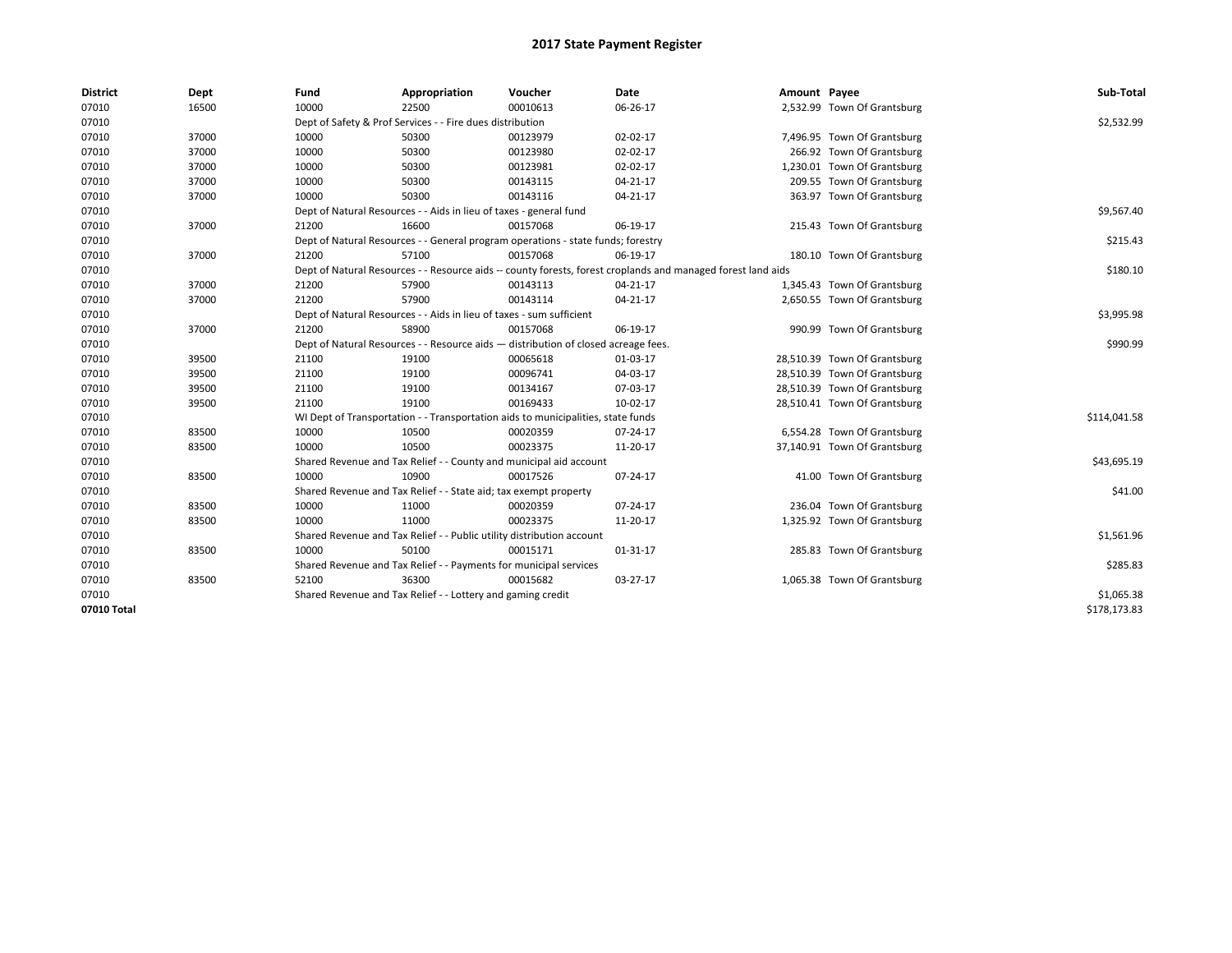| <b>District</b> | Dept  | Fund  | Appropriation                                                                                                | Voucher  | Date     | Amount Payee |                              | Sub-Total    |  |  |
|-----------------|-------|-------|--------------------------------------------------------------------------------------------------------------|----------|----------|--------------|------------------------------|--------------|--|--|
| 07010           | 16500 | 10000 | 22500                                                                                                        | 00010613 | 06-26-17 |              | 2,532.99 Town Of Grantsburg  |              |  |  |
| 07010           |       |       | Dept of Safety & Prof Services - - Fire dues distribution                                                    |          |          |              |                              | \$2,532.99   |  |  |
| 07010           | 37000 | 10000 | 50300                                                                                                        | 00123979 | 02-02-17 |              | 7,496.95 Town Of Grantsburg  |              |  |  |
| 07010           | 37000 | 10000 | 50300                                                                                                        | 00123980 | 02-02-17 |              | 266.92 Town Of Grantsburg    |              |  |  |
| 07010           | 37000 | 10000 | 50300                                                                                                        | 00123981 | 02-02-17 |              | 1,230.01 Town Of Grantsburg  |              |  |  |
| 07010           | 37000 | 10000 | 50300                                                                                                        | 00143115 | 04-21-17 |              | 209.55 Town Of Grantsburg    |              |  |  |
| 07010           | 37000 | 10000 | 50300                                                                                                        | 00143116 | 04-21-17 |              | 363.97 Town Of Grantsburg    |              |  |  |
| 07010           |       |       | Dept of Natural Resources - - Aids in lieu of taxes - general fund                                           |          |          |              |                              | \$9,567.40   |  |  |
| 07010           | 37000 | 21200 | 16600                                                                                                        | 00157068 | 06-19-17 |              | 215.43 Town Of Grantsburg    |              |  |  |
| 07010           |       |       | Dept of Natural Resources - - General program operations - state funds; forestry                             |          |          |              |                              | \$215.43     |  |  |
| 07010           | 37000 | 21200 | 57100                                                                                                        | 00157068 | 06-19-17 |              | 180.10 Town Of Grantsburg    |              |  |  |
| 07010           |       |       | Dept of Natural Resources - - Resource aids -- county forests, forest croplands and managed forest land aids |          |          |              |                              | \$180.10     |  |  |
| 07010           | 37000 | 21200 | 57900                                                                                                        | 00143113 | 04-21-17 |              | 1,345.43 Town Of Grantsburg  |              |  |  |
| 07010           | 37000 | 21200 | 57900                                                                                                        | 00143114 | 04-21-17 |              | 2,650.55 Town Of Grantsburg  |              |  |  |
| 07010           |       |       | Dept of Natural Resources - - Aids in lieu of taxes - sum sufficient                                         |          |          |              |                              | \$3,995.98   |  |  |
| 07010           | 37000 | 21200 | 58900                                                                                                        | 00157068 | 06-19-17 |              | 990.99 Town Of Grantsburg    |              |  |  |
| 07010           |       |       | Dept of Natural Resources - - Resource aids - distribution of closed acreage fees.                           |          |          |              |                              |              |  |  |
| 07010           | 39500 | 21100 | 19100                                                                                                        | 00065618 | 01-03-17 |              | 28,510.39 Town Of Grantsburg |              |  |  |
| 07010           | 39500 | 21100 | 19100                                                                                                        | 00096741 | 04-03-17 |              | 28,510.39 Town Of Grantsburg |              |  |  |
| 07010           | 39500 | 21100 | 19100                                                                                                        | 00134167 | 07-03-17 |              | 28,510.39 Town Of Grantsburg |              |  |  |
| 07010           | 39500 | 21100 | 19100                                                                                                        | 00169433 | 10-02-17 |              | 28,510.41 Town Of Grantsburg |              |  |  |
| 07010           |       |       | WI Dept of Transportation - - Transportation aids to municipalities, state funds                             |          |          |              |                              | \$114,041.58 |  |  |
| 07010           | 83500 | 10000 | 10500                                                                                                        | 00020359 | 07-24-17 |              | 6,554.28 Town Of Grantsburg  |              |  |  |
| 07010           | 83500 | 10000 | 10500                                                                                                        | 00023375 | 11-20-17 |              | 37,140.91 Town Of Grantsburg |              |  |  |
| 07010           |       |       | Shared Revenue and Tax Relief - - County and municipal aid account                                           |          |          |              |                              | \$43,695.19  |  |  |
| 07010           | 83500 | 10000 | 10900                                                                                                        | 00017526 | 07-24-17 |              | 41.00 Town Of Grantsburg     |              |  |  |
| 07010           |       |       | Shared Revenue and Tax Relief - - State aid; tax exempt property                                             |          |          |              |                              | \$41.00      |  |  |
| 07010           | 83500 | 10000 | 11000                                                                                                        | 00020359 | 07-24-17 |              | 236.04 Town Of Grantsburg    |              |  |  |
| 07010           | 83500 | 10000 | 11000                                                                                                        | 00023375 | 11-20-17 |              | 1,325.92 Town Of Grantsburg  |              |  |  |
| 07010           |       |       | Shared Revenue and Tax Relief - - Public utility distribution account                                        |          |          |              |                              | \$1,561.96   |  |  |
| 07010           | 83500 | 10000 | 50100                                                                                                        | 00015171 | 01-31-17 |              | 285.83 Town Of Grantsburg    |              |  |  |
| 07010           |       |       | Shared Revenue and Tax Relief - - Payments for municipal services                                            |          |          |              |                              | \$285.83     |  |  |
| 07010           | 83500 | 52100 | 36300                                                                                                        | 00015682 | 03-27-17 |              | 1,065.38 Town Of Grantsburg  |              |  |  |
| 07010           |       |       | Shared Revenue and Tax Relief - - Lottery and gaming credit                                                  |          |          |              |                              | \$1,065.38   |  |  |
| 07010 Total     |       |       |                                                                                                              |          |          |              |                              | \$178,173.83 |  |  |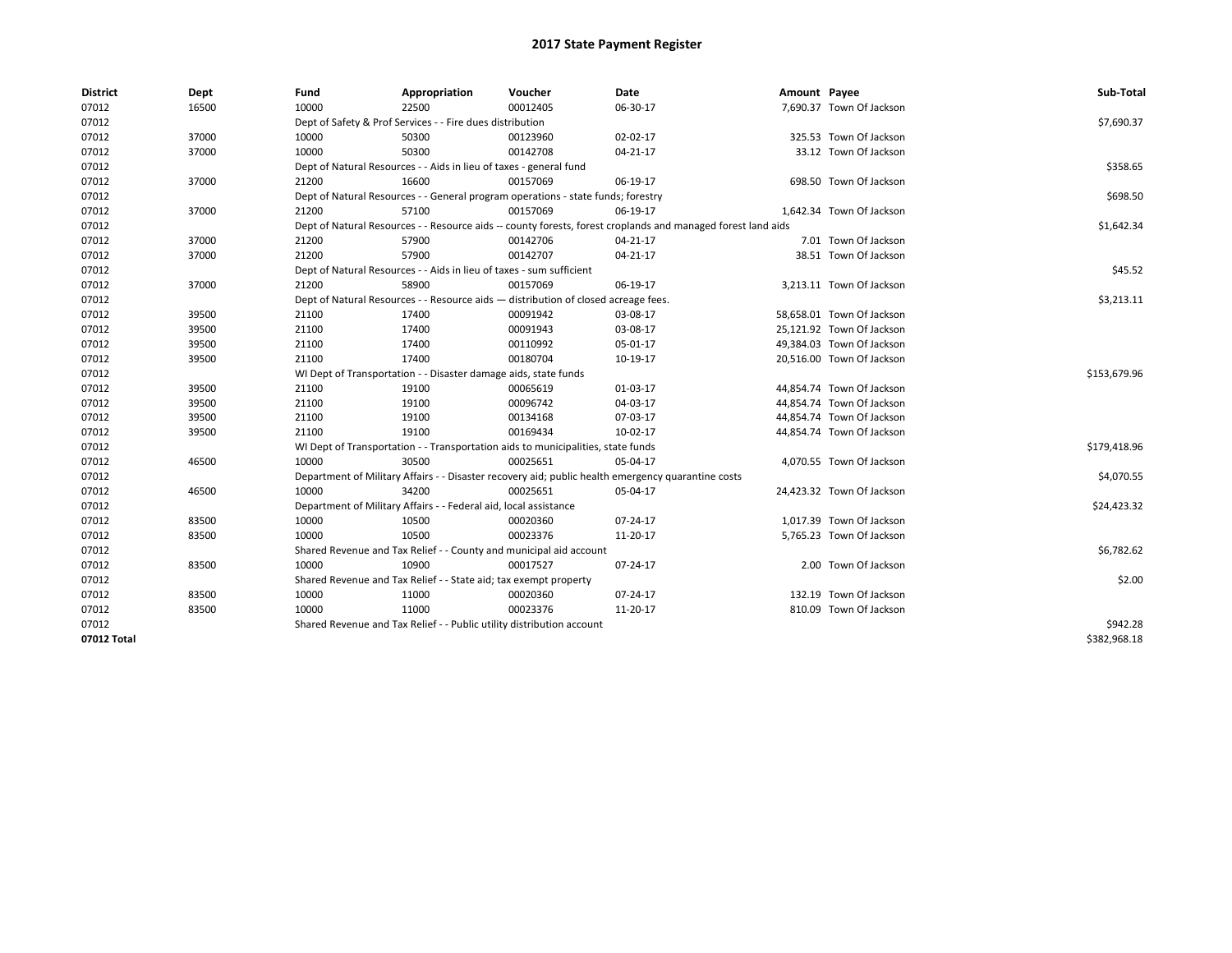| <b>District</b> | Dept  | Fund  | Appropriation                                                                      | Voucher  | Date                                                                                                         | Amount Payee |                           | Sub-Total    |
|-----------------|-------|-------|------------------------------------------------------------------------------------|----------|--------------------------------------------------------------------------------------------------------------|--------------|---------------------------|--------------|
| 07012           | 16500 | 10000 | 22500                                                                              | 00012405 | 06-30-17                                                                                                     |              | 7,690.37 Town Of Jackson  |              |
| 07012           |       |       | Dept of Safety & Prof Services - - Fire dues distribution                          |          |                                                                                                              |              |                           | \$7,690.37   |
| 07012           | 37000 | 10000 | 50300                                                                              | 00123960 | 02-02-17                                                                                                     |              | 325.53 Town Of Jackson    |              |
| 07012           | 37000 | 10000 | 50300                                                                              | 00142708 | 04-21-17                                                                                                     |              | 33.12 Town Of Jackson     |              |
| 07012           |       |       | Dept of Natural Resources - - Aids in lieu of taxes - general fund                 |          |                                                                                                              |              |                           | \$358.65     |
| 07012           | 37000 | 21200 | 16600                                                                              | 00157069 | 06-19-17                                                                                                     |              | 698.50 Town Of Jackson    |              |
| 07012           |       |       | Dept of Natural Resources - - General program operations - state funds; forestry   |          |                                                                                                              |              |                           | \$698.50     |
| 07012           | 37000 | 21200 | 57100                                                                              | 00157069 | 06-19-17                                                                                                     |              | 1,642.34 Town Of Jackson  |              |
| 07012           |       |       |                                                                                    |          | Dept of Natural Resources - - Resource aids -- county forests, forest croplands and managed forest land aids |              |                           | \$1,642.34   |
| 07012           | 37000 | 21200 | 57900                                                                              | 00142706 | 04-21-17                                                                                                     |              | 7.01 Town Of Jackson      |              |
| 07012           | 37000 | 21200 | 57900                                                                              | 00142707 | 04-21-17                                                                                                     |              | 38.51 Town Of Jackson     |              |
| 07012           |       |       | Dept of Natural Resources - - Aids in lieu of taxes - sum sufficient               |          |                                                                                                              |              |                           | \$45.52      |
| 07012           | 37000 | 21200 | 58900                                                                              | 00157069 | 06-19-17                                                                                                     |              | 3,213.11 Town Of Jackson  |              |
| 07012           |       |       | Dept of Natural Resources - - Resource aids - distribution of closed acreage fees. |          |                                                                                                              |              |                           | \$3,213.11   |
| 07012           | 39500 | 21100 | 17400                                                                              | 00091942 | 03-08-17                                                                                                     |              | 58,658.01 Town Of Jackson |              |
| 07012           | 39500 | 21100 | 17400                                                                              | 00091943 | 03-08-17                                                                                                     |              | 25,121.92 Town Of Jackson |              |
| 07012           | 39500 | 21100 | 17400                                                                              | 00110992 | 05-01-17                                                                                                     |              | 49,384.03 Town Of Jackson |              |
| 07012           | 39500 | 21100 | 17400                                                                              | 00180704 | 10-19-17                                                                                                     |              | 20,516.00 Town Of Jackson |              |
| 07012           |       |       | WI Dept of Transportation - - Disaster damage aids, state funds                    |          |                                                                                                              |              |                           | \$153,679.96 |
| 07012           | 39500 | 21100 | 19100                                                                              | 00065619 | 01-03-17                                                                                                     |              | 44,854.74 Town Of Jackson |              |
| 07012           | 39500 | 21100 | 19100                                                                              | 00096742 | 04-03-17                                                                                                     |              | 44,854.74 Town Of Jackson |              |
| 07012           | 39500 | 21100 | 19100                                                                              | 00134168 | 07-03-17                                                                                                     |              | 44,854.74 Town Of Jackson |              |
| 07012           | 39500 | 21100 | 19100                                                                              | 00169434 | 10-02-17                                                                                                     |              | 44,854.74 Town Of Jackson |              |
| 07012           |       |       | WI Dept of Transportation - - Transportation aids to municipalities, state funds   |          |                                                                                                              |              |                           | \$179,418.96 |
| 07012           | 46500 | 10000 | 30500                                                                              | 00025651 | 05-04-17                                                                                                     |              | 4,070.55 Town Of Jackson  |              |
| 07012           |       |       |                                                                                    |          | Department of Military Affairs - - Disaster recovery aid; public health emergency quarantine costs           |              |                           | \$4,070.55   |
| 07012           | 46500 | 10000 | 34200                                                                              | 00025651 | 05-04-17                                                                                                     |              | 24,423.32 Town Of Jackson |              |
| 07012           |       |       | Department of Military Affairs - - Federal aid, local assistance                   |          |                                                                                                              |              |                           | \$24,423.32  |
| 07012           | 83500 | 10000 | 10500                                                                              | 00020360 | 07-24-17                                                                                                     |              | 1,017.39 Town Of Jackson  |              |
| 07012           | 83500 | 10000 | 10500                                                                              | 00023376 | 11-20-17                                                                                                     |              | 5,765.23 Town Of Jackson  |              |
| 07012           |       |       | Shared Revenue and Tax Relief - - County and municipal aid account                 |          |                                                                                                              |              |                           | \$6,782.62   |
| 07012           | 83500 | 10000 | 10900                                                                              | 00017527 | 07-24-17                                                                                                     |              | 2.00 Town Of Jackson      |              |
| 07012           |       |       | Shared Revenue and Tax Relief - - State aid; tax exempt property                   |          |                                                                                                              |              |                           | \$2.00       |
| 07012           | 83500 | 10000 | 11000                                                                              | 00020360 | 07-24-17                                                                                                     |              | 132.19 Town Of Jackson    |              |
| 07012           | 83500 | 10000 | 11000                                                                              | 00023376 | 11-20-17                                                                                                     |              | 810.09 Town Of Jackson    |              |
| 07012           |       |       | Shared Revenue and Tax Relief - - Public utility distribution account              |          |                                                                                                              |              |                           | \$942.28     |
| 07012 Total     |       |       |                                                                                    |          |                                                                                                              |              |                           | \$382,968.18 |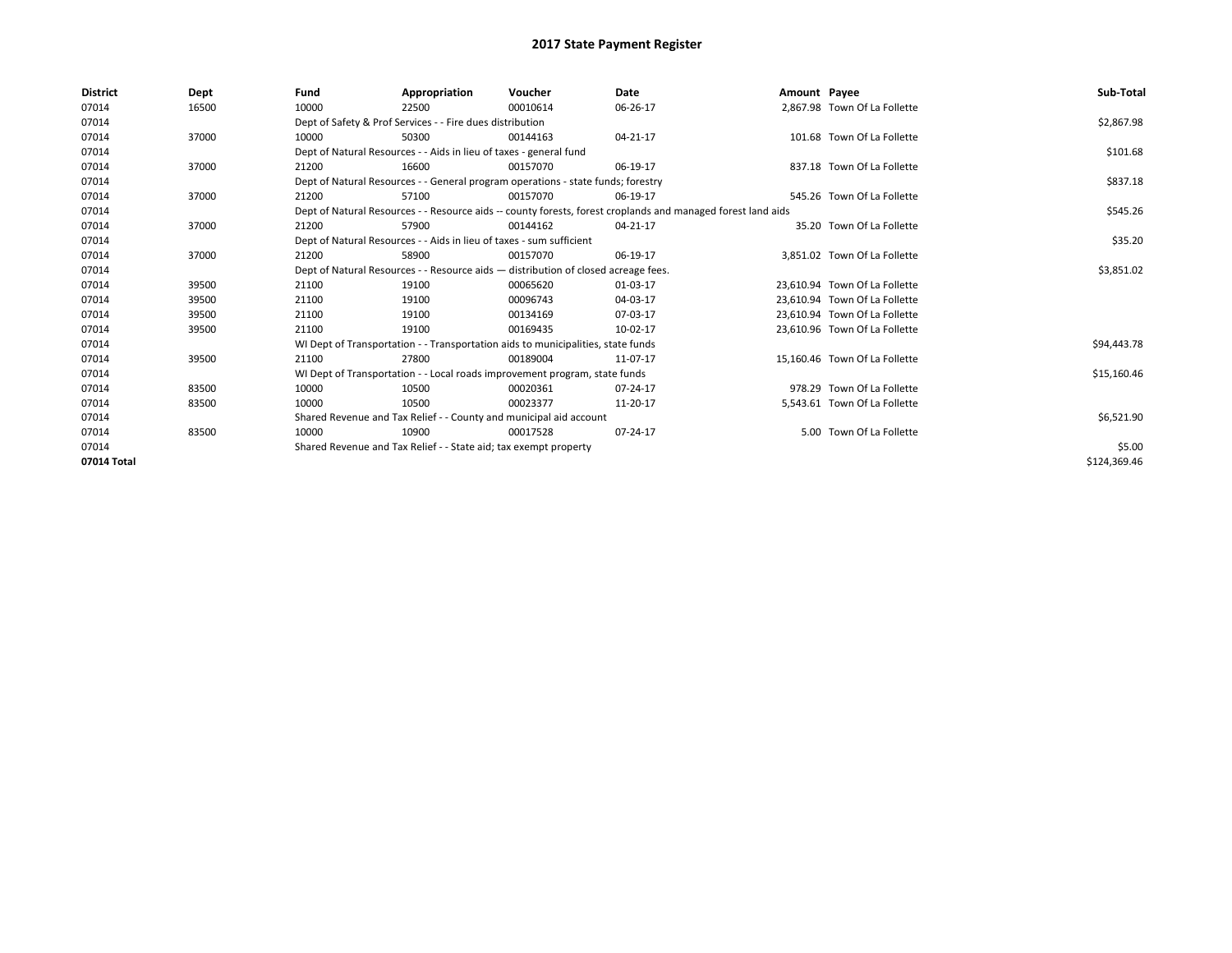| <b>District</b> | Dept  | Fund                                                             | Appropriation                                                                      | Voucher  | Date                                                                                                         | Amount Payee |                               | Sub-Total    |
|-----------------|-------|------------------------------------------------------------------|------------------------------------------------------------------------------------|----------|--------------------------------------------------------------------------------------------------------------|--------------|-------------------------------|--------------|
| 07014           | 16500 | 10000                                                            | 22500                                                                              | 00010614 | 06-26-17                                                                                                     |              | 2.867.98 Town Of La Follette  |              |
| 07014           |       |                                                                  | Dept of Safety & Prof Services - - Fire dues distribution                          |          |                                                                                                              |              |                               | \$2,867.98   |
| 07014           | 37000 | 10000                                                            | 50300                                                                              | 00144163 | 04-21-17                                                                                                     |              | 101.68 Town Of La Follette    |              |
| 07014           |       |                                                                  | Dept of Natural Resources - - Aids in lieu of taxes - general fund                 |          |                                                                                                              |              |                               | \$101.68     |
| 07014           | 37000 | 21200                                                            | 16600                                                                              | 00157070 | 06-19-17                                                                                                     |              | 837.18 Town Of La Follette    |              |
| 07014           |       |                                                                  | Dept of Natural Resources - - General program operations - state funds; forestry   |          |                                                                                                              |              |                               | \$837.18     |
| 07014           | 37000 | 21200                                                            | 57100                                                                              | 00157070 | 06-19-17                                                                                                     |              | 545.26 Town Of La Follette    |              |
| 07014           |       |                                                                  |                                                                                    |          | Dept of Natural Resources - - Resource aids -- county forests, forest croplands and managed forest land aids |              |                               | \$545.26     |
| 07014           | 37000 | 21200                                                            | 57900                                                                              | 00144162 | 04-21-17                                                                                                     |              | 35.20 Town Of La Follette     |              |
| 07014           |       |                                                                  | Dept of Natural Resources - - Aids in lieu of taxes - sum sufficient               |          |                                                                                                              |              |                               | \$35.20      |
| 07014           | 37000 | 21200                                                            | 58900                                                                              | 00157070 | 06-19-17                                                                                                     |              | 3,851.02 Town Of La Follette  |              |
| 07014           |       |                                                                  | Dept of Natural Resources - - Resource aids - distribution of closed acreage fees. |          |                                                                                                              |              |                               | \$3,851.02   |
| 07014           | 39500 | 21100                                                            | 19100                                                                              | 00065620 | 01-03-17                                                                                                     |              | 23,610.94 Town Of La Follette |              |
| 07014           | 39500 | 21100                                                            | 19100                                                                              | 00096743 | 04-03-17                                                                                                     |              | 23.610.94 Town Of La Follette |              |
| 07014           | 39500 | 21100                                                            | 19100                                                                              | 00134169 | 07-03-17                                                                                                     |              | 23,610.94 Town Of La Follette |              |
| 07014           | 39500 | 21100                                                            | 19100                                                                              | 00169435 | 10-02-17                                                                                                     |              | 23.610.96 Town Of La Follette |              |
| 07014           |       |                                                                  | WI Dept of Transportation - - Transportation aids to municipalities, state funds   |          |                                                                                                              |              |                               | \$94,443.78  |
| 07014           | 39500 | 21100                                                            | 27800                                                                              | 00189004 | 11-07-17                                                                                                     |              | 15,160.46 Town Of La Follette |              |
| 07014           |       |                                                                  | WI Dept of Transportation - - Local roads improvement program, state funds         |          |                                                                                                              |              |                               | \$15,160.46  |
| 07014           | 83500 | 10000                                                            | 10500                                                                              | 00020361 | 07-24-17                                                                                                     |              | 978.29 Town Of La Follette    |              |
| 07014           | 83500 | 10000                                                            | 10500                                                                              | 00023377 | 11-20-17                                                                                                     |              | 5,543.61 Town Of La Follette  |              |
| 07014           |       |                                                                  | Shared Revenue and Tax Relief - - County and municipal aid account                 |          |                                                                                                              |              |                               | \$6,521.90   |
| 07014           | 83500 | 10000                                                            | 10900                                                                              | 00017528 | 07-24-17                                                                                                     |              | 5.00 Town Of La Follette      |              |
| 07014           |       | Shared Revenue and Tax Relief - - State aid; tax exempt property |                                                                                    | \$5.00   |                                                                                                              |              |                               |              |
| 07014 Total     |       |                                                                  |                                                                                    |          |                                                                                                              |              |                               | \$124,369.46 |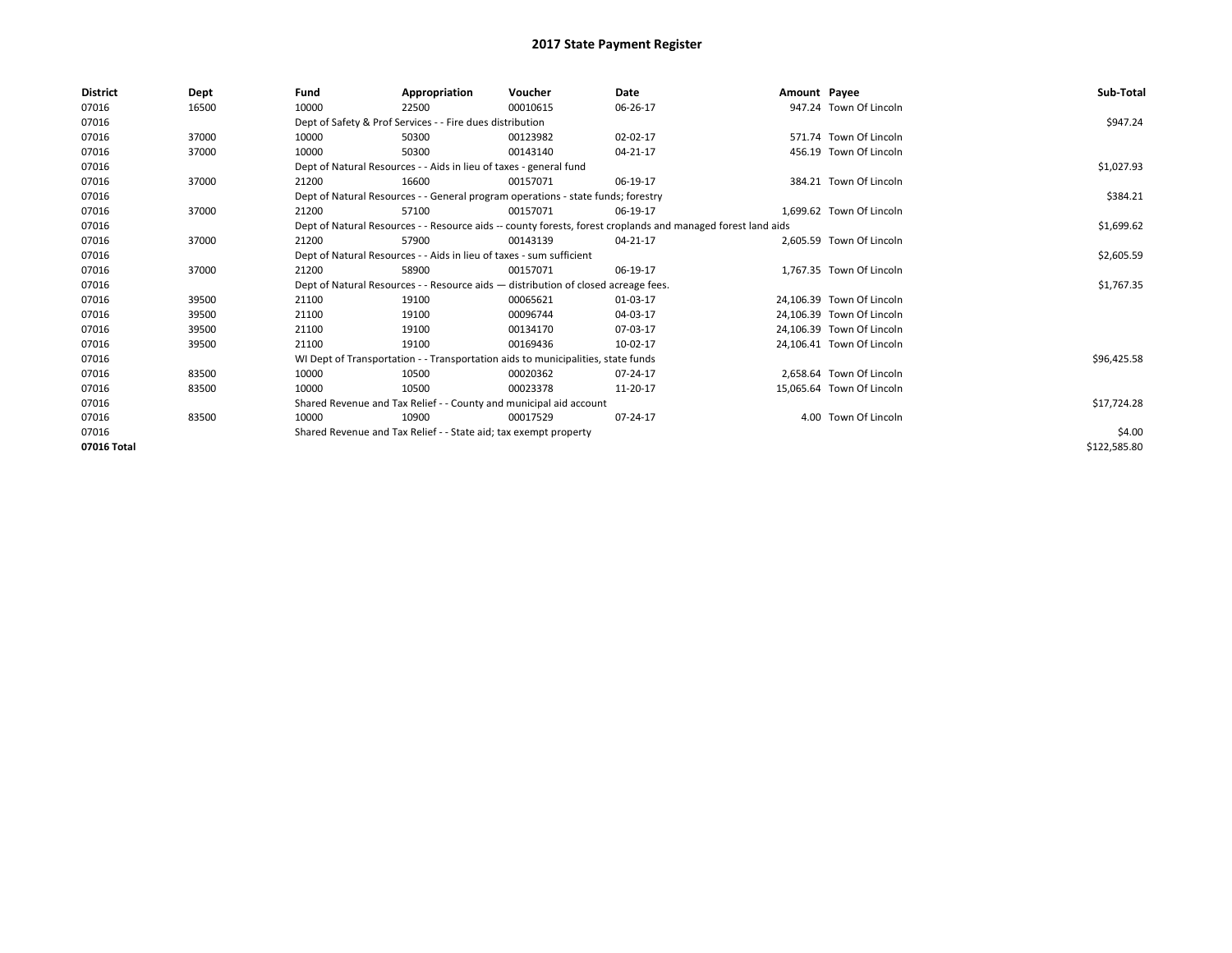| <b>District</b> | Dept  | Fund                                                             | Appropriation                                                        | Voucher                                                                            | Date                                                                                                         | Amount Payee |                           | Sub-Total    |
|-----------------|-------|------------------------------------------------------------------|----------------------------------------------------------------------|------------------------------------------------------------------------------------|--------------------------------------------------------------------------------------------------------------|--------------|---------------------------|--------------|
| 07016           | 16500 | 10000                                                            | 22500                                                                | 00010615                                                                           | 06-26-17                                                                                                     |              | 947.24 Town Of Lincoln    |              |
| 07016           |       |                                                                  | Dept of Safety & Prof Services - - Fire dues distribution            |                                                                                    |                                                                                                              |              |                           | \$947.24     |
| 07016           | 37000 | 10000                                                            | 50300                                                                | 00123982                                                                           | 02-02-17                                                                                                     |              | 571.74 Town Of Lincoln    |              |
| 07016           | 37000 | 10000                                                            | 50300                                                                | 00143140                                                                           | 04-21-17                                                                                                     |              | 456.19 Town Of Lincoln    |              |
| 07016           |       |                                                                  | Dept of Natural Resources - - Aids in lieu of taxes - general fund   |                                                                                    |                                                                                                              |              |                           | \$1,027.93   |
| 07016           | 37000 | 21200                                                            | 16600                                                                | 00157071                                                                           | 06-19-17                                                                                                     |              | 384.21 Town Of Lincoln    |              |
| 07016           |       |                                                                  |                                                                      | Dept of Natural Resources - - General program operations - state funds; forestry   |                                                                                                              |              |                           | \$384.21     |
| 07016           | 37000 | 21200                                                            | 57100                                                                | 00157071                                                                           | 06-19-17                                                                                                     |              | 1.699.62 Town Of Lincoln  |              |
| 07016           |       |                                                                  |                                                                      |                                                                                    | Dept of Natural Resources - - Resource aids -- county forests, forest croplands and managed forest land aids |              |                           | \$1,699.62   |
| 07016           | 37000 | 21200                                                            | 57900                                                                | 00143139                                                                           | 04-21-17                                                                                                     |              | 2,605.59 Town Of Lincoln  |              |
| 07016           |       |                                                                  | Dept of Natural Resources - - Aids in lieu of taxes - sum sufficient |                                                                                    |                                                                                                              |              |                           | \$2,605.59   |
| 07016           | 37000 | 21200                                                            | 58900                                                                | 00157071                                                                           | 06-19-17                                                                                                     |              | 1.767.35 Town Of Lincoln  |              |
| 07016           |       |                                                                  |                                                                      | Dept of Natural Resources - - Resource aids - distribution of closed acreage fees. |                                                                                                              |              |                           | \$1,767.35   |
| 07016           | 39500 | 21100                                                            | 19100                                                                | 00065621                                                                           | 01-03-17                                                                                                     |              | 24,106.39 Town Of Lincoln |              |
| 07016           | 39500 | 21100                                                            | 19100                                                                | 00096744                                                                           | 04-03-17                                                                                                     |              | 24,106.39 Town Of Lincoln |              |
| 07016           | 39500 | 21100                                                            | 19100                                                                | 00134170                                                                           | 07-03-17                                                                                                     |              | 24,106.39 Town Of Lincoln |              |
| 07016           | 39500 | 21100                                                            | 19100                                                                | 00169436                                                                           | 10-02-17                                                                                                     |              | 24,106.41 Town Of Lincoln |              |
| 07016           |       |                                                                  |                                                                      | WI Dept of Transportation - - Transportation aids to municipalities, state funds   |                                                                                                              |              |                           | \$96,425.58  |
| 07016           | 83500 | 10000                                                            | 10500                                                                | 00020362                                                                           | 07-24-17                                                                                                     |              | 2.658.64 Town Of Lincoln  |              |
| 07016           | 83500 | 10000                                                            | 10500                                                                | 00023378                                                                           | 11-20-17                                                                                                     |              | 15,065.64 Town Of Lincoln |              |
| 07016           |       |                                                                  |                                                                      | Shared Revenue and Tax Relief - - County and municipal aid account                 |                                                                                                              |              |                           | \$17,724.28  |
| 07016           | 83500 | 10000                                                            | 10900                                                                | 00017529                                                                           | 07-24-17                                                                                                     |              | 4.00 Town Of Lincoln      |              |
| 07016           |       | Shared Revenue and Tax Relief - - State aid; tax exempt property |                                                                      | \$4.00                                                                             |                                                                                                              |              |                           |              |
| 07016 Total     |       |                                                                  |                                                                      |                                                                                    |                                                                                                              |              |                           | \$122,585.80 |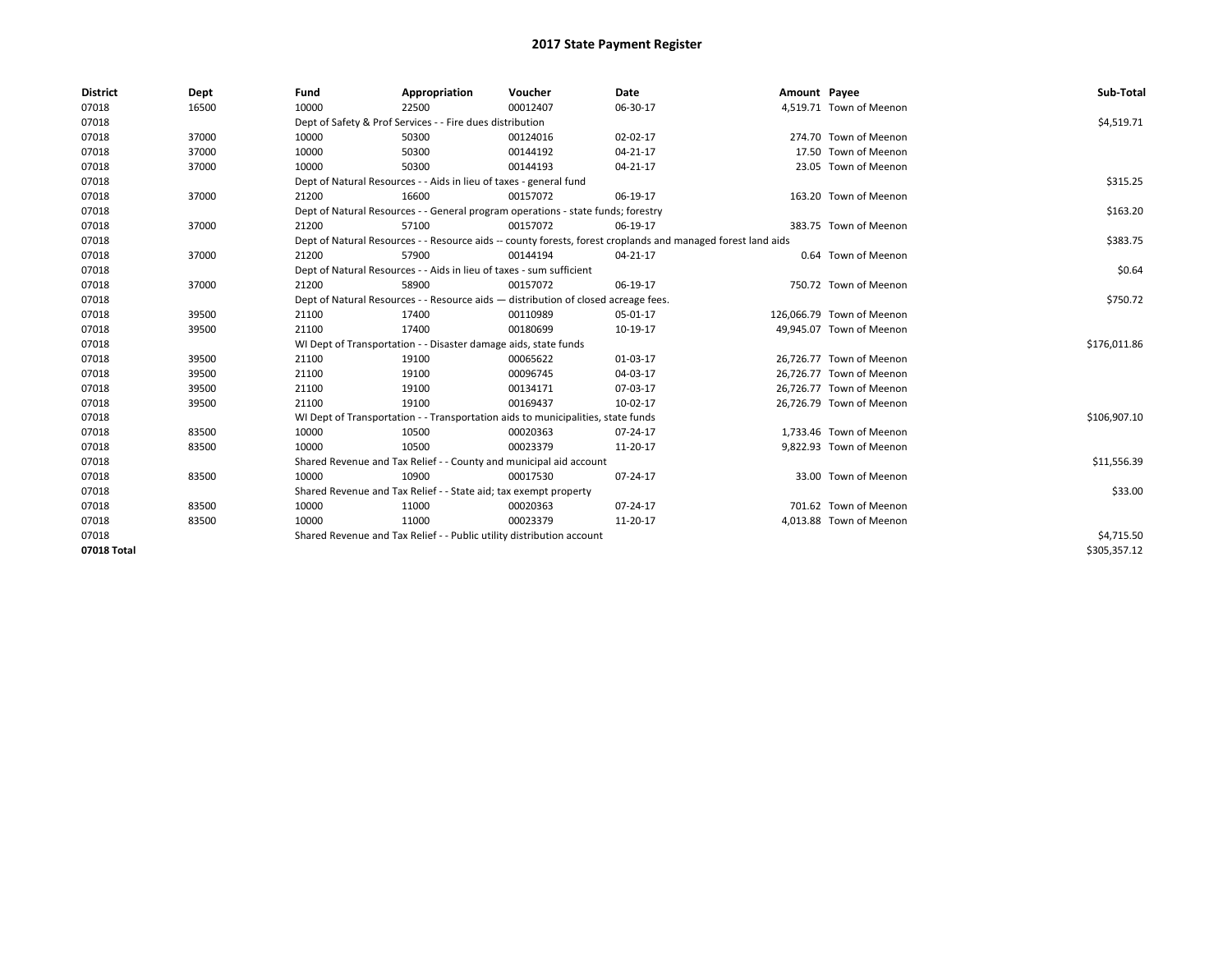| <b>District</b> | Dept  | Fund  | Appropriation                                                                                                | Voucher  | Date       | Amount Payee |                           | Sub-Total    |
|-----------------|-------|-------|--------------------------------------------------------------------------------------------------------------|----------|------------|--------------|---------------------------|--------------|
| 07018           | 16500 | 10000 | 22500                                                                                                        | 00012407 | 06-30-17   |              | 4,519.71 Town of Meenon   |              |
| 07018           |       |       | Dept of Safety & Prof Services - - Fire dues distribution                                                    |          |            |              |                           | \$4,519.71   |
| 07018           | 37000 | 10000 | 50300                                                                                                        | 00124016 | 02-02-17   |              | 274.70 Town of Meenon     |              |
| 07018           | 37000 | 10000 | 50300                                                                                                        | 00144192 | 04-21-17   |              | 17.50 Town of Meenon      |              |
| 07018           | 37000 | 10000 | 50300                                                                                                        | 00144193 | 04-21-17   |              | 23.05 Town of Meenon      |              |
| 07018           |       |       | Dept of Natural Resources - - Aids in lieu of taxes - general fund                                           |          |            |              |                           | \$315.25     |
| 07018           | 37000 | 21200 | 16600                                                                                                        | 00157072 | 06-19-17   |              | 163.20 Town of Meenon     |              |
| 07018           |       |       | Dept of Natural Resources - - General program operations - state funds; forestry                             |          |            |              |                           | \$163.20     |
| 07018           | 37000 | 21200 | 57100                                                                                                        | 00157072 | 06-19-17   |              | 383.75 Town of Meenon     |              |
| 07018           |       |       | Dept of Natural Resources - - Resource aids -- county forests, forest croplands and managed forest land aids |          |            |              |                           | \$383.75     |
| 07018           | 37000 | 21200 | 57900                                                                                                        | 00144194 | 04-21-17   |              | 0.64 Town of Meenon       |              |
| 07018           |       |       | Dept of Natural Resources - - Aids in lieu of taxes - sum sufficient                                         |          |            |              |                           | \$0.64       |
| 07018           | 37000 | 21200 | 58900                                                                                                        | 00157072 | 06-19-17   |              | 750.72 Town of Meenon     |              |
| 07018           |       |       | Dept of Natural Resources - - Resource aids - distribution of closed acreage fees.                           |          |            |              |                           | \$750.72     |
| 07018           | 39500 | 21100 | 17400                                                                                                        | 00110989 | 05-01-17   |              | 126,066.79 Town of Meenon |              |
| 07018           | 39500 | 21100 | 17400                                                                                                        | 00180699 | 10-19-17   |              | 49,945.07 Town of Meenon  |              |
| 07018           |       |       | WI Dept of Transportation - - Disaster damage aids, state funds                                              |          |            |              |                           | \$176,011.86 |
| 07018           | 39500 | 21100 | 19100                                                                                                        | 00065622 | 01-03-17   |              | 26,726.77 Town of Meenon  |              |
| 07018           | 39500 | 21100 | 19100                                                                                                        | 00096745 | 04-03-17   |              | 26,726.77 Town of Meenon  |              |
| 07018           | 39500 | 21100 | 19100                                                                                                        | 00134171 | 07-03-17   |              | 26,726.77 Town of Meenon  |              |
| 07018           | 39500 | 21100 | 19100                                                                                                        | 00169437 | 10-02-17   |              | 26,726.79 Town of Meenon  |              |
| 07018           |       |       | WI Dept of Transportation - - Transportation aids to municipalities, state funds                             |          |            |              |                           | \$106,907.10 |
| 07018           | 83500 | 10000 | 10500                                                                                                        | 00020363 | 07-24-17   |              | 1,733.46 Town of Meenon   |              |
| 07018           | 83500 | 10000 | 10500                                                                                                        | 00023379 | 11-20-17   |              | 9,822.93 Town of Meenon   |              |
| 07018           |       |       | Shared Revenue and Tax Relief - - County and municipal aid account                                           |          |            |              |                           | \$11,556.39  |
| 07018           | 83500 | 10000 | 10900                                                                                                        | 00017530 | 07-24-17   |              | 33.00 Town of Meenon      |              |
| 07018           |       |       | Shared Revenue and Tax Relief - - State aid; tax exempt property                                             |          |            |              |                           | \$33.00      |
| 07018           | 83500 | 10000 | 11000                                                                                                        | 00020363 | 07-24-17   |              | 701.62 Town of Meenon     |              |
| 07018           | 83500 | 10000 | 11000                                                                                                        | 00023379 | 11-20-17   |              | 4,013.88 Town of Meenon   |              |
| 07018           |       |       | Shared Revenue and Tax Relief - - Public utility distribution account                                        |          | \$4,715.50 |              |                           |              |
| 07018 Total     |       |       |                                                                                                              |          |            |              |                           | \$305,357.12 |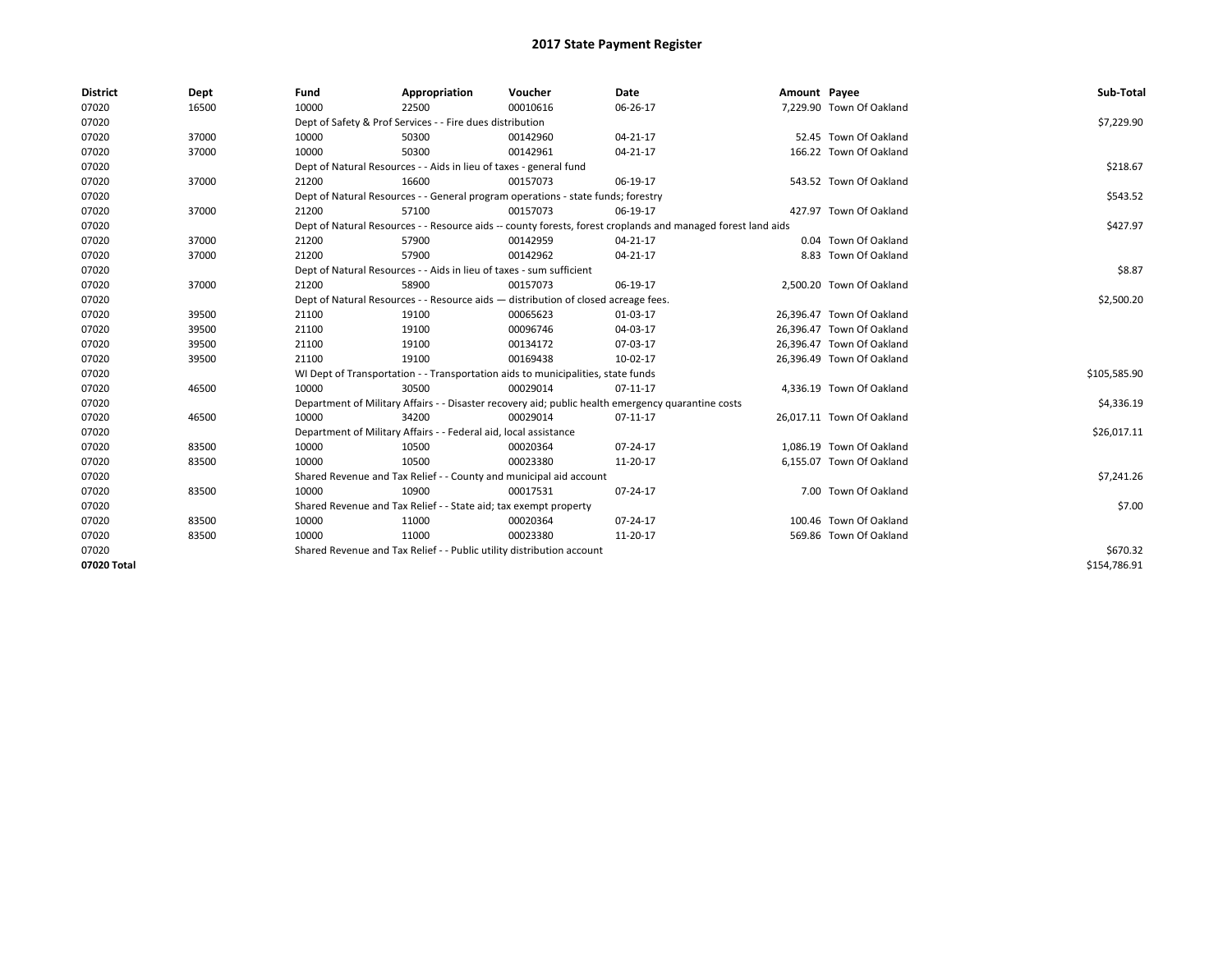| <b>District</b> | Dept  | Fund  | Appropriation                                                                                                | Voucher  | Date                                                                                               | Amount Payee |                           | Sub-Total    |  |  |
|-----------------|-------|-------|--------------------------------------------------------------------------------------------------------------|----------|----------------------------------------------------------------------------------------------------|--------------|---------------------------|--------------|--|--|
| 07020           | 16500 | 10000 | 22500                                                                                                        | 00010616 | 06-26-17                                                                                           |              | 7,229.90 Town Of Oakland  |              |  |  |
| 07020           |       |       | Dept of Safety & Prof Services - - Fire dues distribution                                                    |          |                                                                                                    |              |                           | \$7,229.90   |  |  |
| 07020           | 37000 | 10000 | 50300                                                                                                        | 00142960 | $04 - 21 - 17$                                                                                     |              | 52.45 Town Of Oakland     |              |  |  |
| 07020           | 37000 | 10000 | 50300                                                                                                        | 00142961 | $04 - 21 - 17$                                                                                     |              | 166.22 Town Of Oakland    |              |  |  |
| 07020           |       |       | Dept of Natural Resources - - Aids in lieu of taxes - general fund                                           |          |                                                                                                    |              |                           | \$218.67     |  |  |
| 07020           | 37000 | 21200 | 16600                                                                                                        | 00157073 | 06-19-17                                                                                           |              | 543.52 Town Of Oakland    |              |  |  |
| 07020           |       |       | Dept of Natural Resources - - General program operations - state funds; forestry                             |          |                                                                                                    |              |                           | \$543.52     |  |  |
| 07020           | 37000 | 21200 | 57100                                                                                                        | 00157073 | 06-19-17                                                                                           |              | 427.97 Town Of Oakland    |              |  |  |
| 07020           |       |       | Dept of Natural Resources - - Resource aids -- county forests, forest croplands and managed forest land aids |          |                                                                                                    |              |                           |              |  |  |
| 07020           | 37000 | 21200 | 57900                                                                                                        | 00142959 | $04 - 21 - 17$                                                                                     |              | 0.04 Town Of Oakland      |              |  |  |
| 07020           | 37000 | 21200 | 57900                                                                                                        | 00142962 | 04-21-17                                                                                           |              | 8.83 Town Of Oakland      |              |  |  |
| 07020           |       |       | Dept of Natural Resources - - Aids in lieu of taxes - sum sufficient                                         |          | \$8.87                                                                                             |              |                           |              |  |  |
| 07020           | 37000 | 21200 | 58900                                                                                                        | 00157073 | 06-19-17                                                                                           |              | 2,500.20 Town Of Oakland  |              |  |  |
| 07020           |       |       | Dept of Natural Resources - - Resource aids - distribution of closed acreage fees.                           |          | \$2,500.20                                                                                         |              |                           |              |  |  |
| 07020           | 39500 | 21100 | 19100                                                                                                        | 00065623 | 01-03-17                                                                                           |              | 26,396.47 Town Of Oakland |              |  |  |
| 07020           | 39500 | 21100 | 19100                                                                                                        | 00096746 | 04-03-17                                                                                           |              | 26,396.47 Town Of Oakland |              |  |  |
| 07020           | 39500 | 21100 | 19100                                                                                                        | 00134172 | 07-03-17                                                                                           |              | 26,396.47 Town Of Oakland |              |  |  |
| 07020           | 39500 | 21100 | 19100                                                                                                        | 00169438 | 10-02-17                                                                                           |              | 26,396.49 Town Of Oakland |              |  |  |
| 07020           |       |       | WI Dept of Transportation - - Transportation aids to municipalities, state funds                             |          |                                                                                                    |              |                           | \$105,585.90 |  |  |
| 07020           | 46500 | 10000 | 30500                                                                                                        | 00029014 | 07-11-17                                                                                           |              | 4,336.19 Town Of Oakland  |              |  |  |
| 07020           |       |       |                                                                                                              |          | Department of Military Affairs - - Disaster recovery aid; public health emergency quarantine costs |              |                           | \$4,336.19   |  |  |
| 07020           | 46500 | 10000 | 34200                                                                                                        | 00029014 | 07-11-17                                                                                           |              | 26,017.11 Town Of Oakland |              |  |  |
| 07020           |       |       | Department of Military Affairs - - Federal aid, local assistance                                             |          |                                                                                                    |              |                           | \$26,017.11  |  |  |
| 07020           | 83500 | 10000 | 10500                                                                                                        | 00020364 | $07 - 24 - 17$                                                                                     |              | 1.086.19 Town Of Oakland  |              |  |  |
| 07020           | 83500 | 10000 | 10500                                                                                                        | 00023380 | 11-20-17                                                                                           |              | 6.155.07 Town Of Oakland  |              |  |  |
| 07020           |       |       | Shared Revenue and Tax Relief - - County and municipal aid account                                           |          |                                                                                                    |              |                           | \$7,241.26   |  |  |
| 07020           | 83500 | 10000 | 10900                                                                                                        | 00017531 | 07-24-17                                                                                           |              | 7.00 Town Of Oakland      |              |  |  |
| 07020           |       |       | Shared Revenue and Tax Relief - - State aid; tax exempt property                                             |          |                                                                                                    |              |                           | \$7.00       |  |  |
| 07020           | 83500 | 10000 | 11000                                                                                                        | 00020364 | $07 - 24 - 17$                                                                                     |              | 100.46 Town Of Oakland    |              |  |  |
| 07020           | 83500 | 10000 | 11000                                                                                                        | 00023380 | 11-20-17                                                                                           |              | 569.86 Town Of Oakland    |              |  |  |
| 07020           |       |       | Shared Revenue and Tax Relief - - Public utility distribution account                                        |          |                                                                                                    |              |                           | \$670.32     |  |  |
| 07020 Total     |       |       |                                                                                                              |          |                                                                                                    |              |                           | \$154,786.91 |  |  |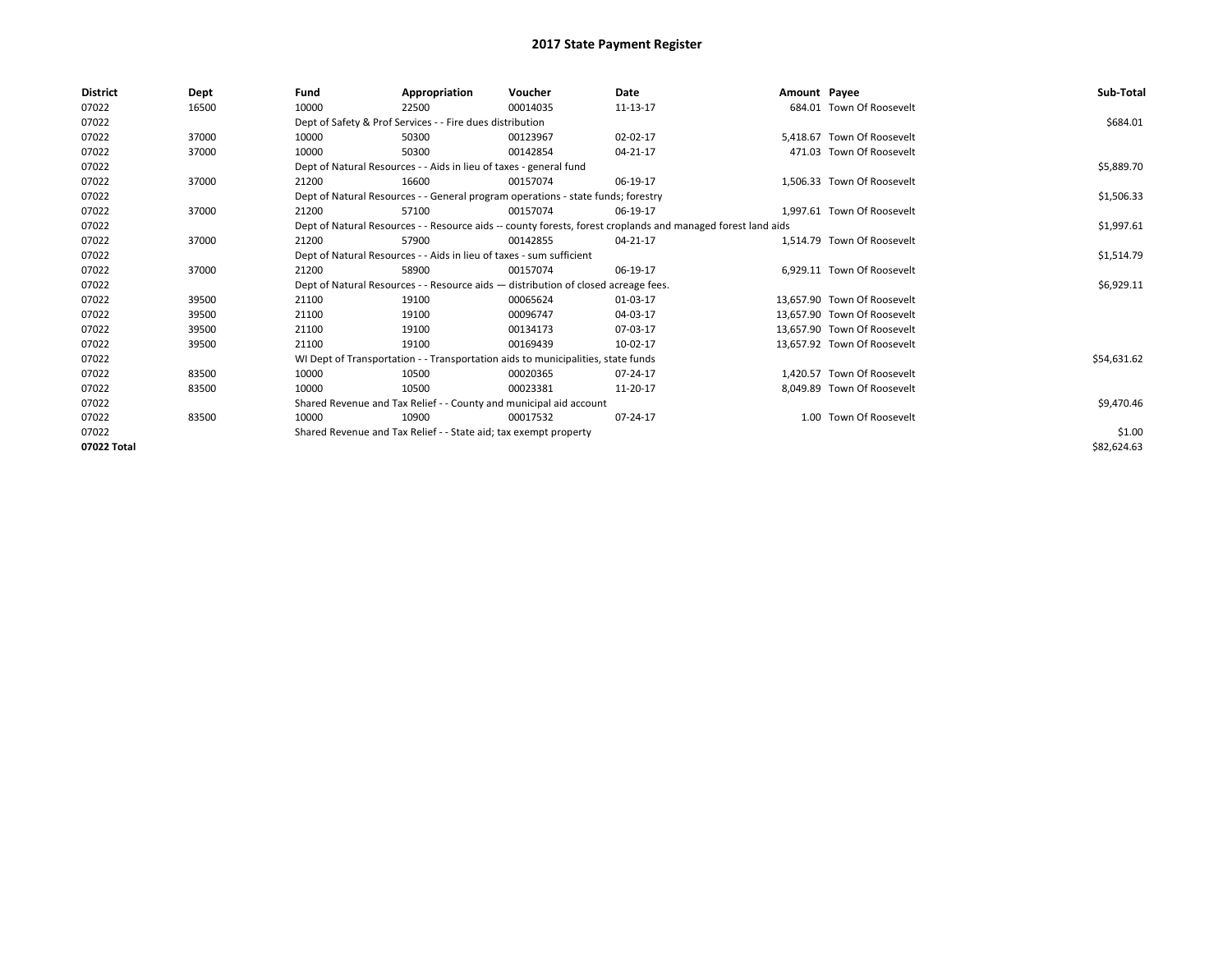| <b>District</b> | Dept  | Fund                                                             | Appropriation                                                                      | Voucher  | Date                                                                                                         | Amount Payee |                             | Sub-Total   |
|-----------------|-------|------------------------------------------------------------------|------------------------------------------------------------------------------------|----------|--------------------------------------------------------------------------------------------------------------|--------------|-----------------------------|-------------|
| 07022           | 16500 | 10000                                                            | 22500                                                                              | 00014035 | 11-13-17                                                                                                     |              | 684.01 Town Of Roosevelt    |             |
| 07022           |       |                                                                  | Dept of Safety & Prof Services - - Fire dues distribution                          |          |                                                                                                              |              |                             | \$684.01    |
| 07022           | 37000 | 10000                                                            | 50300                                                                              | 00123967 | 02-02-17                                                                                                     |              | 5.418.67 Town Of Roosevelt  |             |
| 07022           | 37000 | 10000                                                            | 50300                                                                              | 00142854 | 04-21-17                                                                                                     |              | 471.03 Town Of Roosevelt    |             |
| 07022           |       |                                                                  | Dept of Natural Resources - - Aids in lieu of taxes - general fund                 |          |                                                                                                              |              |                             | \$5,889.70  |
| 07022           | 37000 | 21200                                                            | 16600                                                                              | 00157074 | 06-19-17                                                                                                     |              | 1.506.33 Town Of Roosevelt  |             |
| 07022           |       |                                                                  | Dept of Natural Resources - - General program operations - state funds; forestry   |          |                                                                                                              |              |                             | \$1,506.33  |
| 07022           | 37000 | 21200                                                            | 57100                                                                              | 00157074 | 06-19-17                                                                                                     |              | 1.997.61 Town Of Roosevelt  |             |
| 07022           |       |                                                                  |                                                                                    |          | Dept of Natural Resources - - Resource aids -- county forests, forest croplands and managed forest land aids |              |                             | \$1,997.61  |
| 07022           | 37000 | 21200                                                            | 57900                                                                              | 00142855 | 04-21-17                                                                                                     |              | 1.514.79 Town Of Roosevelt  |             |
| 07022           |       |                                                                  | Dept of Natural Resources - - Aids in lieu of taxes - sum sufficient               |          |                                                                                                              |              |                             | \$1,514.79  |
| 07022           | 37000 | 21200                                                            | 58900                                                                              | 00157074 | 06-19-17                                                                                                     |              | 6.929.11 Town Of Roosevelt  |             |
| 07022           |       |                                                                  | Dept of Natural Resources - - Resource aids - distribution of closed acreage fees. |          |                                                                                                              |              |                             | \$6,929.11  |
| 07022           | 39500 | 21100                                                            | 19100                                                                              | 00065624 | 01-03-17                                                                                                     |              | 13.657.90 Town Of Roosevelt |             |
| 07022           | 39500 | 21100                                                            | 19100                                                                              | 00096747 | 04-03-17                                                                                                     |              | 13,657.90 Town Of Roosevelt |             |
| 07022           | 39500 | 21100                                                            | 19100                                                                              | 00134173 | 07-03-17                                                                                                     |              | 13.657.90 Town Of Roosevelt |             |
| 07022           | 39500 | 21100                                                            | 19100                                                                              | 00169439 | 10-02-17                                                                                                     |              | 13,657.92 Town Of Roosevelt |             |
| 07022           |       |                                                                  | WI Dept of Transportation - - Transportation aids to municipalities, state funds   |          |                                                                                                              |              |                             | \$54,631.62 |
| 07022           | 83500 | 10000                                                            | 10500                                                                              | 00020365 | 07-24-17                                                                                                     |              | 1,420.57 Town Of Roosevelt  |             |
| 07022           | 83500 | 10000                                                            | 10500                                                                              | 00023381 | 11-20-17                                                                                                     |              | 8.049.89 Town Of Roosevelt  |             |
| 07022           |       |                                                                  | Shared Revenue and Tax Relief - - County and municipal aid account                 |          |                                                                                                              |              |                             | \$9,470.46  |
| 07022           | 83500 | 10000                                                            | 10900                                                                              | 00017532 | 07-24-17                                                                                                     |              | 1.00 Town Of Roosevelt      |             |
| 07022           |       | Shared Revenue and Tax Relief - - State aid; tax exempt property |                                                                                    | \$1.00   |                                                                                                              |              |                             |             |
| 07022 Total     |       |                                                                  |                                                                                    |          |                                                                                                              |              |                             | \$82,624.63 |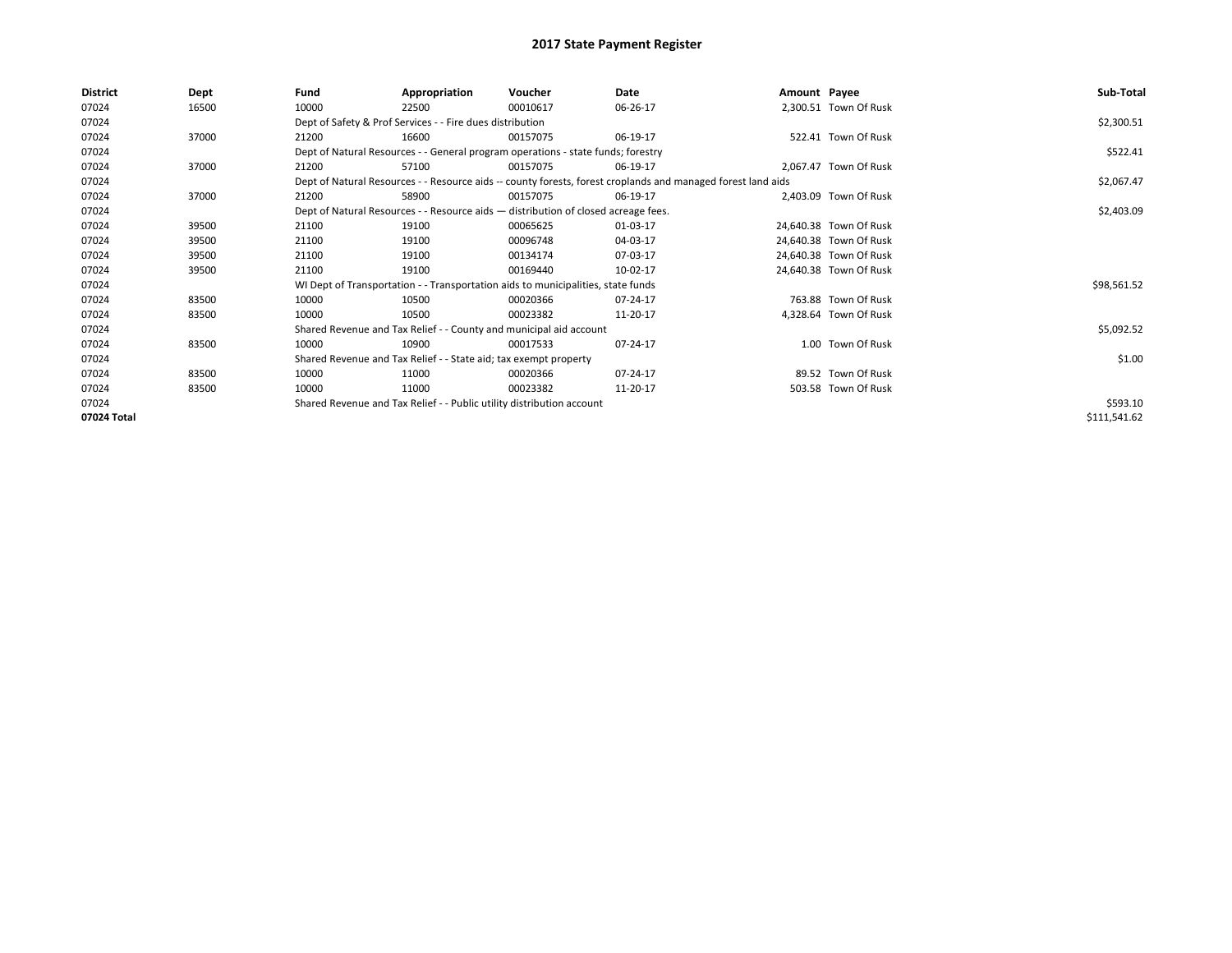| <b>District</b> | Dept  | Fund  | Appropriation                                                                      | Voucher  | Date                                                                                                         | Amount Payee |                        | Sub-Total    |
|-----------------|-------|-------|------------------------------------------------------------------------------------|----------|--------------------------------------------------------------------------------------------------------------|--------------|------------------------|--------------|
| 07024           | 16500 | 10000 | 22500                                                                              | 00010617 | 06-26-17                                                                                                     |              | 2,300.51 Town Of Rusk  |              |
| 07024           |       |       | Dept of Safety & Prof Services - - Fire dues distribution                          |          |                                                                                                              |              |                        | \$2,300.51   |
| 07024           | 37000 | 21200 | 16600                                                                              | 00157075 | 06-19-17                                                                                                     |              | 522.41 Town Of Rusk    |              |
| 07024           |       |       | Dept of Natural Resources - - General program operations - state funds; forestry   |          |                                                                                                              |              |                        | \$522.41     |
| 07024           | 37000 | 21200 | 57100                                                                              | 00157075 | 06-19-17                                                                                                     |              | 2,067.47 Town Of Rusk  |              |
| 07024           |       |       |                                                                                    |          | Dept of Natural Resources - - Resource aids -- county forests, forest croplands and managed forest land aids |              |                        | \$2,067.47   |
| 07024           | 37000 | 21200 | 58900                                                                              | 00157075 | 06-19-17                                                                                                     |              | 2,403.09 Town Of Rusk  |              |
| 07024           |       |       | Dept of Natural Resources - - Resource aids - distribution of closed acreage fees. |          | \$2,403.09                                                                                                   |              |                        |              |
| 07024           | 39500 | 21100 | 19100                                                                              | 00065625 | 01-03-17                                                                                                     |              | 24,640.38 Town Of Rusk |              |
| 07024           | 39500 | 21100 | 19100                                                                              | 00096748 | 04-03-17                                                                                                     |              | 24,640.38 Town Of Rusk |              |
| 07024           | 39500 | 21100 | 19100                                                                              | 00134174 | 07-03-17                                                                                                     |              | 24,640.38 Town Of Rusk |              |
| 07024           | 39500 | 21100 | 19100                                                                              | 00169440 | 10-02-17                                                                                                     |              | 24,640.38 Town Of Rusk |              |
| 07024           |       |       | WI Dept of Transportation - - Transportation aids to municipalities, state funds   |          |                                                                                                              |              |                        | \$98,561.52  |
| 07024           | 83500 | 10000 | 10500                                                                              | 00020366 | 07-24-17                                                                                                     |              | 763.88 Town Of Rusk    |              |
| 07024           | 83500 | 10000 | 10500                                                                              | 00023382 | 11-20-17                                                                                                     |              | 4,328.64 Town Of Rusk  |              |
| 07024           |       |       | Shared Revenue and Tax Relief - - County and municipal aid account                 |          |                                                                                                              |              |                        | \$5,092.52   |
| 07024           | 83500 | 10000 | 10900                                                                              | 00017533 | 07-24-17                                                                                                     |              | 1.00 Town Of Rusk      |              |
| 07024           |       |       | Shared Revenue and Tax Relief - - State aid; tax exempt property                   |          |                                                                                                              |              |                        | \$1.00       |
| 07024           | 83500 | 10000 | 11000                                                                              | 00020366 | 07-24-17                                                                                                     |              | 89.52 Town Of Rusk     |              |
| 07024           | 83500 | 10000 | 11000                                                                              | 00023382 | 11-20-17                                                                                                     |              | 503.58 Town Of Rusk    |              |
| 07024           |       |       | Shared Revenue and Tax Relief - - Public utility distribution account              |          |                                                                                                              |              |                        | \$593.10     |
| 07024 Total     |       |       |                                                                                    |          |                                                                                                              |              |                        | \$111,541.62 |
|                 |       |       |                                                                                    |          |                                                                                                              |              |                        |              |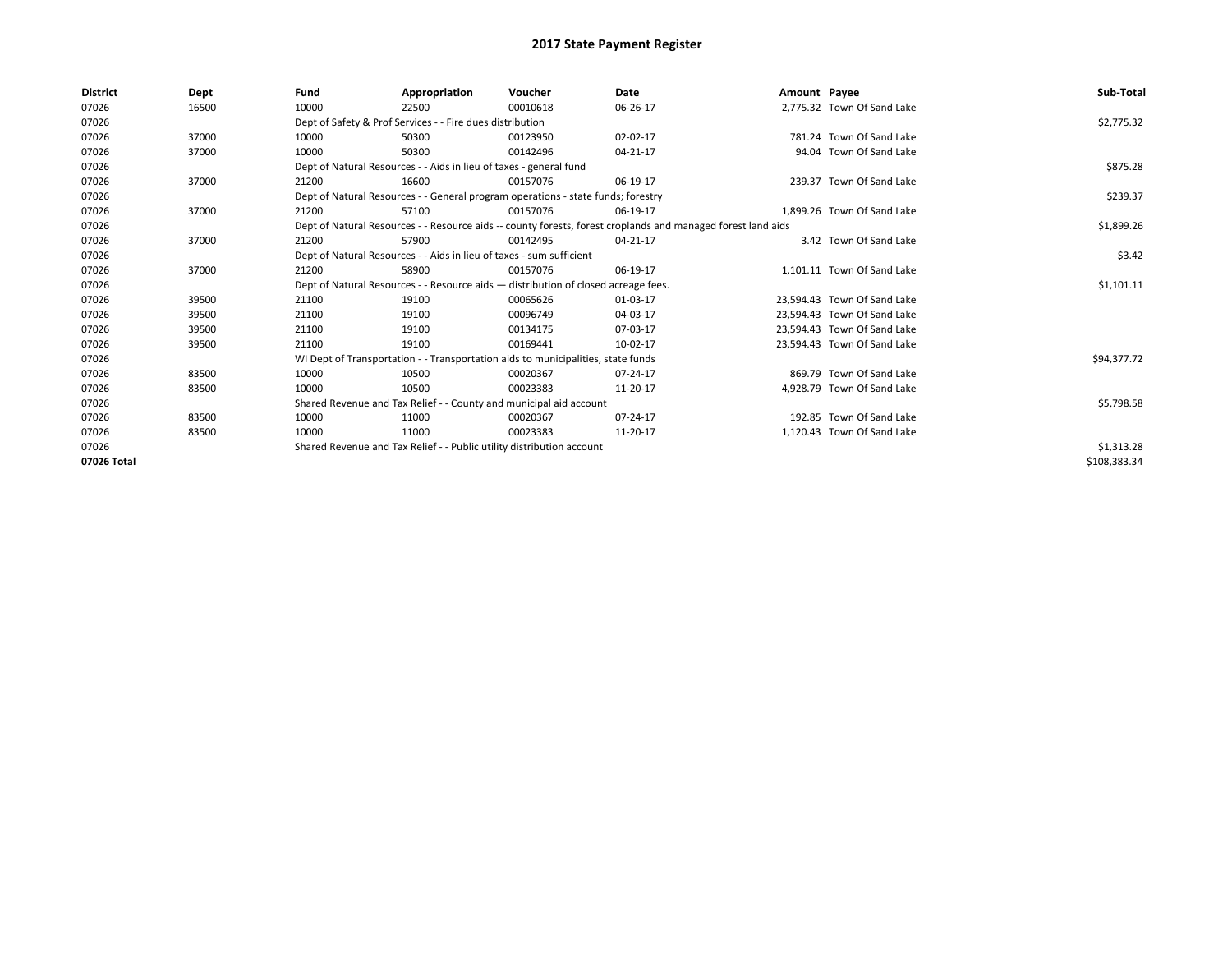| <b>District</b> | Dept  | Fund                                                                  | Appropriation                                                                      | Voucher    | Date                                                                                                         | Amount Payee |                             | Sub-Total    |  |  |
|-----------------|-------|-----------------------------------------------------------------------|------------------------------------------------------------------------------------|------------|--------------------------------------------------------------------------------------------------------------|--------------|-----------------------------|--------------|--|--|
| 07026           | 16500 | 10000                                                                 | 22500                                                                              | 00010618   | 06-26-17                                                                                                     |              | 2,775.32 Town Of Sand Lake  |              |  |  |
| 07026           |       |                                                                       | Dept of Safety & Prof Services - - Fire dues distribution                          |            |                                                                                                              |              |                             | \$2,775.32   |  |  |
| 07026           | 37000 | 10000                                                                 | 50300                                                                              | 00123950   | 02-02-17                                                                                                     |              | 781.24 Town Of Sand Lake    |              |  |  |
| 07026           | 37000 | 10000                                                                 | 50300                                                                              | 00142496   | 04-21-17                                                                                                     |              | 94.04 Town Of Sand Lake     |              |  |  |
| 07026           |       |                                                                       | Dept of Natural Resources - - Aids in lieu of taxes - general fund                 |            |                                                                                                              |              |                             | \$875.28     |  |  |
| 07026           | 37000 | 21200                                                                 | 16600                                                                              | 00157076   | 06-19-17                                                                                                     |              | 239.37 Town Of Sand Lake    |              |  |  |
| 07026           |       |                                                                       | Dept of Natural Resources - - General program operations - state funds; forestry   |            |                                                                                                              |              |                             |              |  |  |
| 07026           | 37000 | 21200                                                                 | 57100                                                                              | 00157076   | 06-19-17                                                                                                     |              | 1.899.26 Town Of Sand Lake  |              |  |  |
| 07026           |       |                                                                       |                                                                                    |            | Dept of Natural Resources - - Resource aids -- county forests, forest croplands and managed forest land aids |              |                             | \$1,899.26   |  |  |
| 07026           | 37000 | 21200                                                                 | 57900                                                                              | 00142495   | 04-21-17                                                                                                     |              | 3.42 Town Of Sand Lake      |              |  |  |
| 07026           |       | Dept of Natural Resources - - Aids in lieu of taxes - sum sufficient  |                                                                                    | \$3.42     |                                                                                                              |              |                             |              |  |  |
| 07026           | 37000 | 21200                                                                 | 58900                                                                              | 00157076   | 06-19-17                                                                                                     |              | 1.101.11 Town Of Sand Lake  |              |  |  |
| 07026           |       |                                                                       | Dept of Natural Resources - - Resource aids - distribution of closed acreage fees. |            |                                                                                                              |              |                             | \$1,101.11   |  |  |
| 07026           | 39500 | 21100                                                                 | 19100                                                                              | 00065626   | 01-03-17                                                                                                     |              | 23.594.43 Town Of Sand Lake |              |  |  |
| 07026           | 39500 | 21100                                                                 | 19100                                                                              | 00096749   | 04-03-17                                                                                                     |              | 23.594.43 Town Of Sand Lake |              |  |  |
| 07026           | 39500 | 21100                                                                 | 19100                                                                              | 00134175   | 07-03-17                                                                                                     |              | 23.594.43 Town Of Sand Lake |              |  |  |
| 07026           | 39500 | 21100                                                                 | 19100                                                                              | 00169441   | 10-02-17                                                                                                     |              | 23,594.43 Town Of Sand Lake |              |  |  |
| 07026           |       |                                                                       | WI Dept of Transportation - - Transportation aids to municipalities, state funds   |            |                                                                                                              |              |                             | \$94,377.72  |  |  |
| 07026           | 83500 | 10000                                                                 | 10500                                                                              | 00020367   | 07-24-17                                                                                                     |              | 869.79 Town Of Sand Lake    |              |  |  |
| 07026           | 83500 | 10000                                                                 | 10500                                                                              | 00023383   | 11-20-17                                                                                                     |              | 4,928.79 Town Of Sand Lake  |              |  |  |
| 07026           |       |                                                                       | Shared Revenue and Tax Relief - - County and municipal aid account                 |            |                                                                                                              |              |                             | \$5,798.58   |  |  |
| 07026           | 83500 | 10000                                                                 | 11000                                                                              | 00020367   | 07-24-17                                                                                                     |              | 192.85 Town Of Sand Lake    |              |  |  |
| 07026           | 83500 | 10000                                                                 | 11000                                                                              | 00023383   | 11-20-17                                                                                                     |              | 1.120.43 Town Of Sand Lake  |              |  |  |
| 07026           |       | Shared Revenue and Tax Relief - - Public utility distribution account |                                                                                    | \$1,313.28 |                                                                                                              |              |                             |              |  |  |
| 07026 Total     |       |                                                                       |                                                                                    |            |                                                                                                              |              |                             | \$108,383.34 |  |  |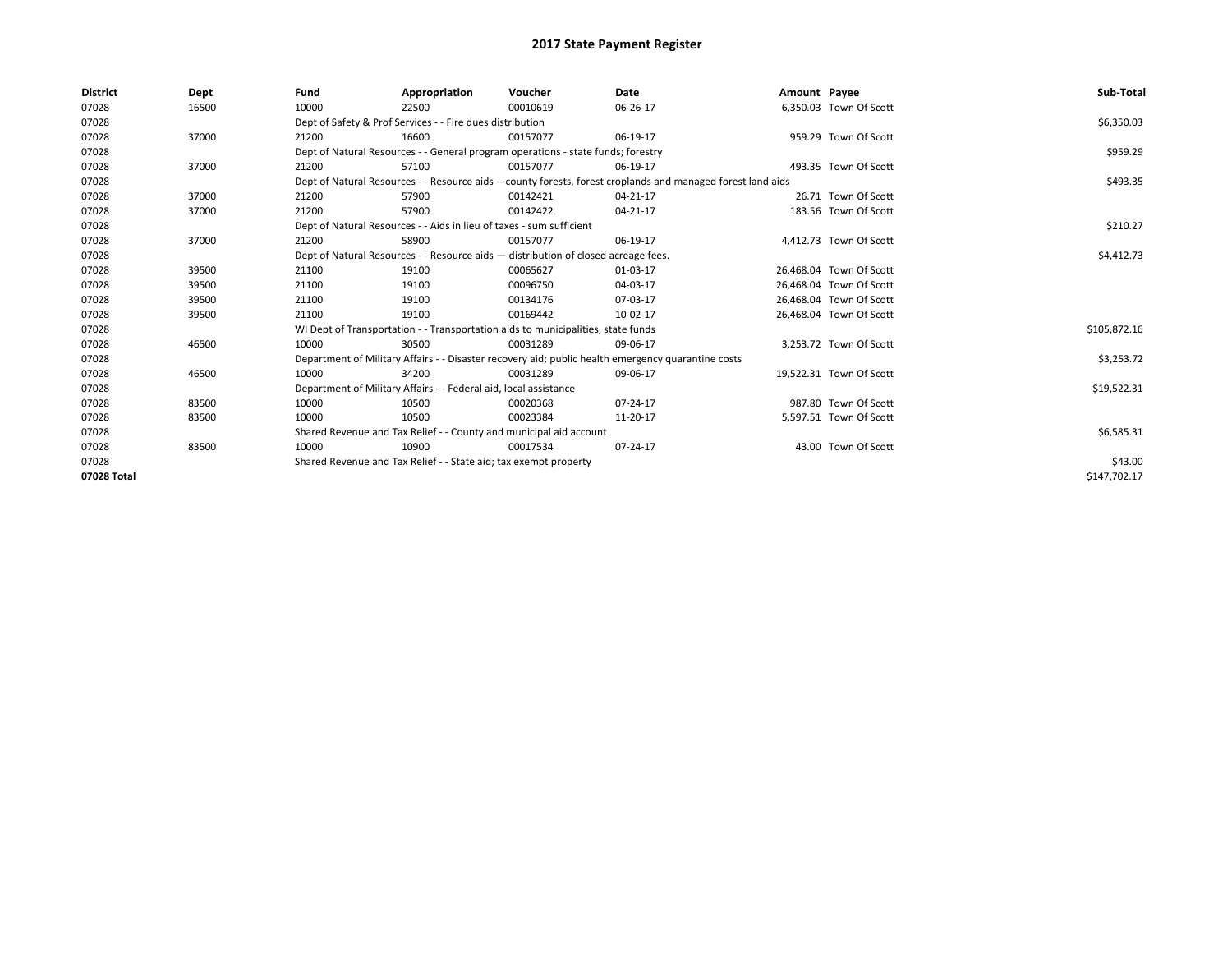| <b>District</b> | Dept  | Fund                                                               | Appropriation                                                                      | Voucher    | Date                                                                                                         | Amount Payee |                         | Sub-Total    |
|-----------------|-------|--------------------------------------------------------------------|------------------------------------------------------------------------------------|------------|--------------------------------------------------------------------------------------------------------------|--------------|-------------------------|--------------|
| 07028           | 16500 | 10000                                                              | 22500                                                                              | 00010619   | 06-26-17                                                                                                     |              | 6,350.03 Town Of Scott  |              |
| 07028           |       |                                                                    | Dept of Safety & Prof Services - - Fire dues distribution                          |            |                                                                                                              |              |                         | \$6,350.03   |
| 07028           | 37000 | 21200                                                              | 16600                                                                              | 00157077   | 06-19-17                                                                                                     |              | 959.29 Town Of Scott    |              |
| 07028           |       |                                                                    | Dept of Natural Resources - - General program operations - state funds; forestry   |            |                                                                                                              |              |                         | \$959.29     |
| 07028           | 37000 | 21200                                                              | 57100                                                                              | 00157077   | 06-19-17                                                                                                     |              | 493.35 Town Of Scott    |              |
| 07028           |       |                                                                    |                                                                                    |            | Dept of Natural Resources - - Resource aids -- county forests, forest croplands and managed forest land aids |              |                         | \$493.35     |
| 07028           | 37000 | 21200                                                              | 57900                                                                              | 00142421   | $04 - 21 - 17$                                                                                               |              | 26.71 Town Of Scott     |              |
| 07028           | 37000 | 21200                                                              | 57900                                                                              | 00142422   | 04-21-17                                                                                                     |              | 183.56 Town Of Scott    |              |
| 07028           |       |                                                                    | Dept of Natural Resources - - Aids in lieu of taxes - sum sufficient               |            |                                                                                                              |              |                         | \$210.27     |
| 07028           | 37000 | 21200                                                              | 58900                                                                              | 00157077   | 06-19-17                                                                                                     |              | 4,412.73 Town Of Scott  |              |
| 07028           |       |                                                                    | Dept of Natural Resources - - Resource aids - distribution of closed acreage fees. |            | \$4,412.73                                                                                                   |              |                         |              |
| 07028           | 39500 | 21100                                                              | 19100                                                                              | 00065627   | 01-03-17                                                                                                     |              | 26,468.04 Town Of Scott |              |
| 07028           | 39500 | 21100                                                              | 19100                                                                              | 00096750   | 04-03-17                                                                                                     |              | 26,468.04 Town Of Scott |              |
| 07028           | 39500 | 21100                                                              | 19100                                                                              | 00134176   | 07-03-17                                                                                                     |              | 26,468.04 Town Of Scott |              |
| 07028           | 39500 | 21100                                                              | 19100                                                                              | 00169442   | 10-02-17                                                                                                     |              | 26,468.04 Town Of Scott |              |
| 07028           |       |                                                                    | WI Dept of Transportation - - Transportation aids to municipalities, state funds   |            |                                                                                                              |              |                         | \$105,872.16 |
| 07028           | 46500 | 10000                                                              | 30500                                                                              | 00031289   | 09-06-17                                                                                                     |              | 3,253.72 Town Of Scott  |              |
| 07028           |       |                                                                    |                                                                                    |            | Department of Military Affairs - - Disaster recovery aid; public health emergency quarantine costs           |              |                         | \$3,253.72   |
| 07028           | 46500 | 10000                                                              | 34200                                                                              | 00031289   | 09-06-17                                                                                                     |              | 19,522.31 Town Of Scott |              |
| 07028           |       |                                                                    | Department of Military Affairs - - Federal aid, local assistance                   |            |                                                                                                              |              |                         | \$19,522.31  |
| 07028           | 83500 | 10000                                                              | 10500                                                                              | 00020368   | $07 - 24 - 17$                                                                                               |              | 987.80 Town Of Scott    |              |
| 07028           | 83500 | 10000                                                              | 10500                                                                              | 00023384   | 11-20-17                                                                                                     |              | 5,597.51 Town Of Scott  |              |
| 07028           |       | Shared Revenue and Tax Relief - - County and municipal aid account |                                                                                    | \$6,585.31 |                                                                                                              |              |                         |              |
| 07028           | 83500 | 10000                                                              | 10900                                                                              | 00017534   | 07-24-17                                                                                                     |              | 43.00 Town Of Scott     |              |
| 07028           |       |                                                                    | Shared Revenue and Tax Relief - - State aid; tax exempt property                   |            | \$43.00                                                                                                      |              |                         |              |
| 07028 Total     |       |                                                                    |                                                                                    |            |                                                                                                              |              |                         | \$147,702.17 |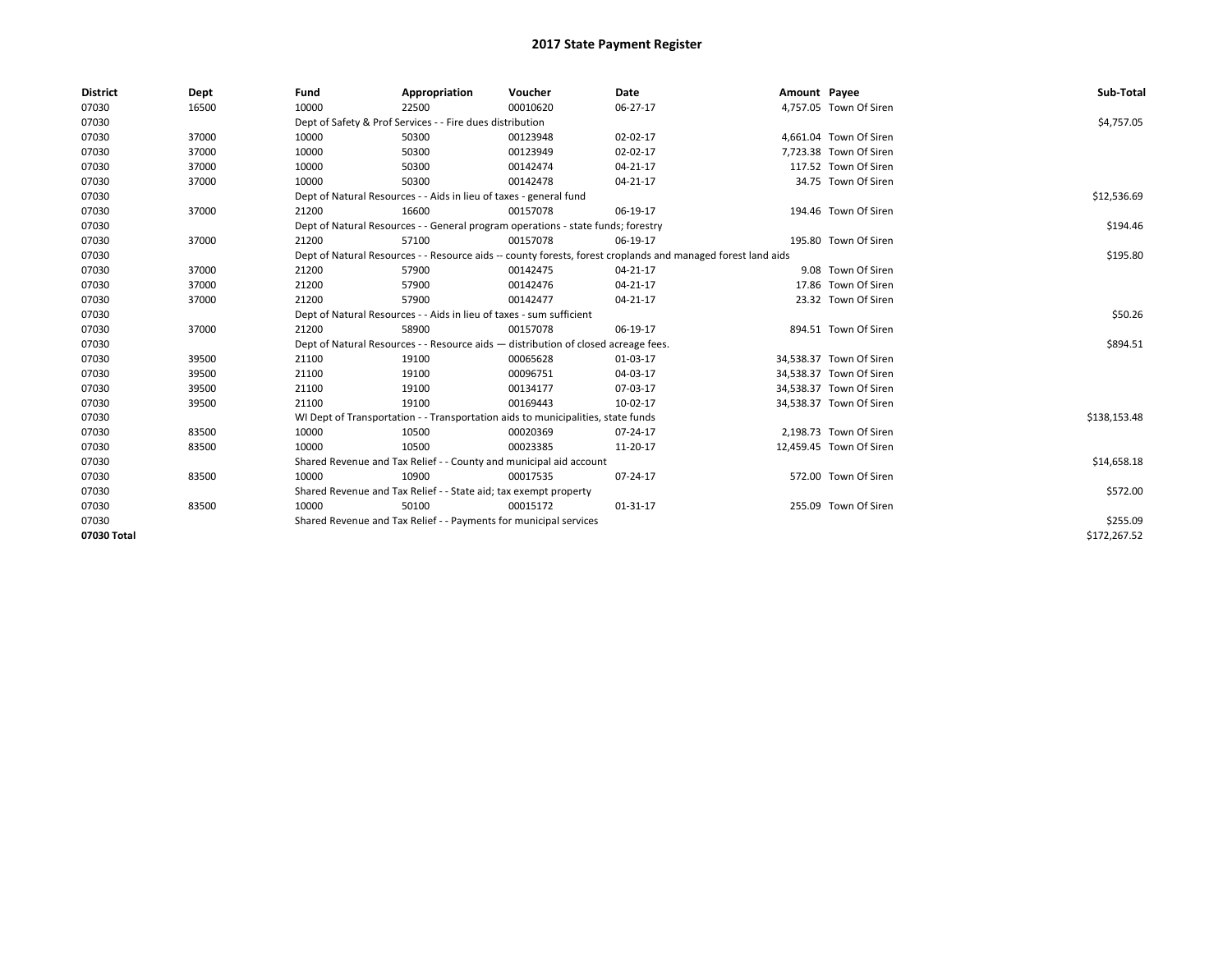| <b>District</b> | Dept  | Fund                                                                 | Appropriation                                                                                                | Voucher  | Date     | Amount Payee |                         | Sub-Total    |
|-----------------|-------|----------------------------------------------------------------------|--------------------------------------------------------------------------------------------------------------|----------|----------|--------------|-------------------------|--------------|
| 07030           | 16500 | 10000                                                                | 22500                                                                                                        | 00010620 | 06-27-17 |              | 4,757.05 Town Of Siren  |              |
| 07030           |       |                                                                      | Dept of Safety & Prof Services - - Fire dues distribution                                                    |          |          |              |                         | \$4,757.05   |
| 07030           | 37000 | 10000                                                                | 50300                                                                                                        | 00123948 | 02-02-17 |              | 4,661.04 Town Of Siren  |              |
| 07030           | 37000 | 10000                                                                | 50300                                                                                                        | 00123949 | 02-02-17 |              | 7,723.38 Town Of Siren  |              |
| 07030           | 37000 | 10000                                                                | 50300                                                                                                        | 00142474 | 04-21-17 |              | 117.52 Town Of Siren    |              |
| 07030           | 37000 | 10000                                                                | 50300                                                                                                        | 00142478 | 04-21-17 |              | 34.75 Town Of Siren     |              |
| 07030           |       |                                                                      | Dept of Natural Resources - - Aids in lieu of taxes - general fund                                           |          |          |              |                         | \$12,536.69  |
| 07030           | 37000 | 21200                                                                | 16600                                                                                                        | 00157078 | 06-19-17 |              | 194.46 Town Of Siren    |              |
| 07030           |       |                                                                      | Dept of Natural Resources - - General program operations - state funds; forestry                             |          |          |              |                         | \$194.46     |
| 07030           | 37000 | 21200                                                                | 57100                                                                                                        | 00157078 | 06-19-17 |              | 195.80 Town Of Siren    |              |
| 07030           |       |                                                                      | Dept of Natural Resources - - Resource aids -- county forests, forest croplands and managed forest land aids |          | \$195.80 |              |                         |              |
| 07030           | 37000 | 21200                                                                | 57900                                                                                                        | 00142475 | 04-21-17 |              | 9.08 Town Of Siren      |              |
| 07030           | 37000 | 21200                                                                | 57900                                                                                                        | 00142476 | 04-21-17 |              | 17.86 Town Of Siren     |              |
| 07030           | 37000 | 21200                                                                | 57900                                                                                                        | 00142477 | 04-21-17 |              | 23.32 Town Of Siren     |              |
| 07030           |       | Dept of Natural Resources - - Aids in lieu of taxes - sum sufficient |                                                                                                              | \$50.26  |          |              |                         |              |
| 07030           | 37000 | 21200                                                                | 58900                                                                                                        | 00157078 | 06-19-17 |              | 894.51 Town Of Siren    |              |
| 07030           |       |                                                                      | Dept of Natural Resources - - Resource aids - distribution of closed acreage fees.                           |          |          |              |                         | \$894.51     |
| 07030           | 39500 | 21100                                                                | 19100                                                                                                        | 00065628 | 01-03-17 |              | 34,538.37 Town Of Siren |              |
| 07030           | 39500 | 21100                                                                | 19100                                                                                                        | 00096751 | 04-03-17 |              | 34,538.37 Town Of Siren |              |
| 07030           | 39500 | 21100                                                                | 19100                                                                                                        | 00134177 | 07-03-17 |              | 34,538.37 Town Of Siren |              |
| 07030           | 39500 | 21100                                                                | 19100                                                                                                        | 00169443 | 10-02-17 |              | 34,538.37 Town Of Siren |              |
| 07030           |       |                                                                      | WI Dept of Transportation - - Transportation aids to municipalities, state funds                             |          |          |              |                         | \$138,153.48 |
| 07030           | 83500 | 10000                                                                | 10500                                                                                                        | 00020369 | 07-24-17 |              | 2,198.73 Town Of Siren  |              |
| 07030           | 83500 | 10000                                                                | 10500                                                                                                        | 00023385 | 11-20-17 |              | 12,459.45 Town Of Siren |              |
| 07030           |       |                                                                      | Shared Revenue and Tax Relief - - County and municipal aid account                                           |          |          |              |                         | \$14,658.18  |
| 07030           | 83500 | 10000                                                                | 10900                                                                                                        | 00017535 | 07-24-17 |              | 572.00 Town Of Siren    |              |
| 07030           |       |                                                                      | Shared Revenue and Tax Relief - - State aid; tax exempt property                                             |          |          |              |                         | \$572.00     |
| 07030           | 83500 | 10000                                                                | 50100                                                                                                        | 00015172 | 01-31-17 |              | 255.09 Town Of Siren    |              |
| 07030           |       | Shared Revenue and Tax Relief - - Payments for municipal services    |                                                                                                              | \$255.09 |          |              |                         |              |
| 07030 Total     |       |                                                                      |                                                                                                              |          |          |              |                         | \$172,267.52 |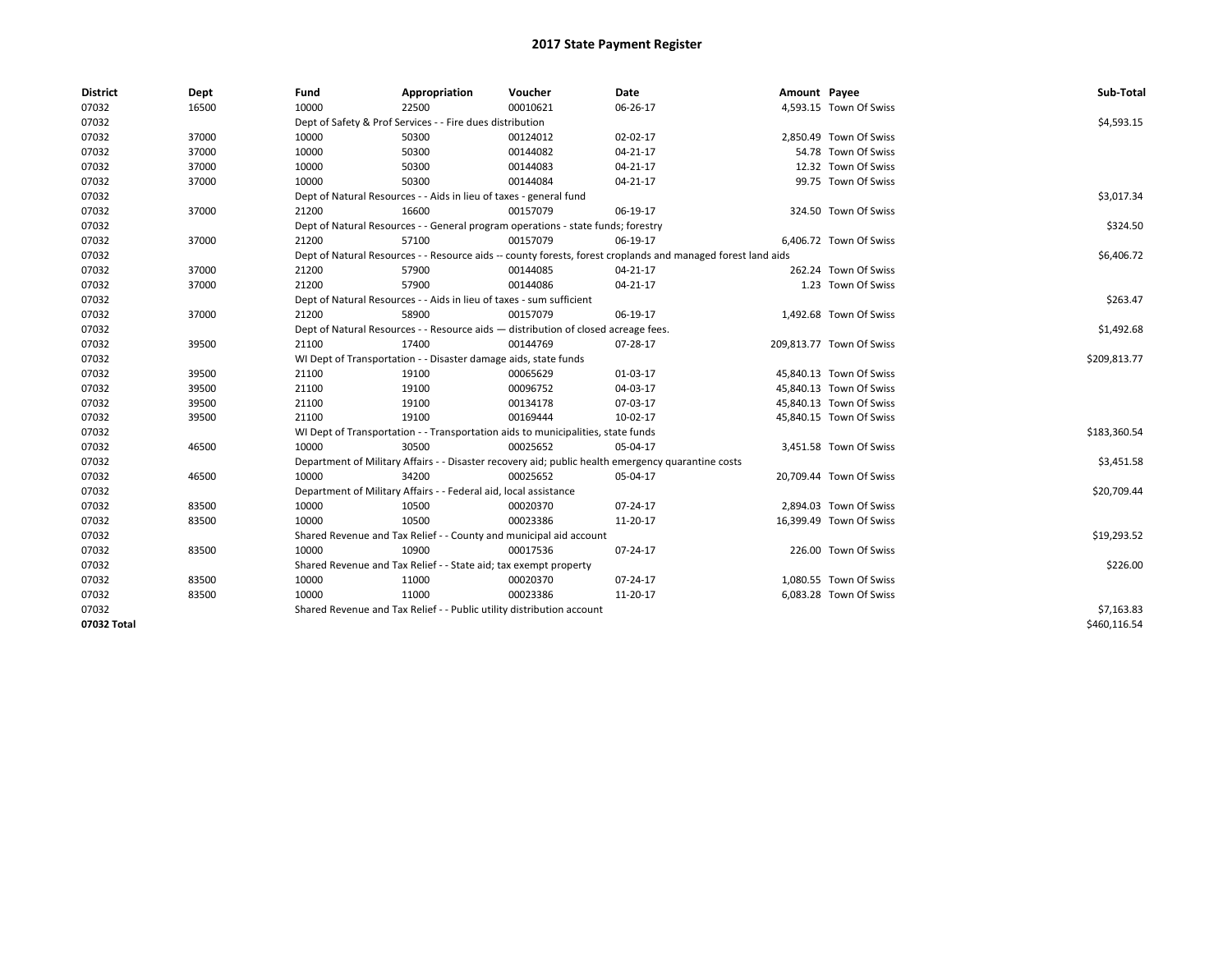| <b>District</b> | Dept  | Fund  | Appropriation                                                                      | Voucher  | Date                                                                                                         | Amount Payee |                          | Sub-Total    |  |  |
|-----------------|-------|-------|------------------------------------------------------------------------------------|----------|--------------------------------------------------------------------------------------------------------------|--------------|--------------------------|--------------|--|--|
| 07032           | 16500 | 10000 | 22500                                                                              | 00010621 | 06-26-17                                                                                                     |              | 4,593.15 Town Of Swiss   |              |  |  |
| 07032           |       |       | Dept of Safety & Prof Services - - Fire dues distribution                          |          |                                                                                                              |              |                          | \$4,593.15   |  |  |
| 07032           | 37000 | 10000 | 50300                                                                              | 00124012 | 02-02-17                                                                                                     |              | 2,850.49 Town Of Swiss   |              |  |  |
| 07032           | 37000 | 10000 | 50300                                                                              | 00144082 | 04-21-17                                                                                                     |              | 54.78 Town Of Swiss      |              |  |  |
| 07032           | 37000 | 10000 | 50300                                                                              | 00144083 | 04-21-17                                                                                                     |              | 12.32 Town Of Swiss      |              |  |  |
| 07032           | 37000 | 10000 | 50300                                                                              | 00144084 | 04-21-17                                                                                                     |              | 99.75 Town Of Swiss      |              |  |  |
| 07032           |       |       | Dept of Natural Resources - - Aids in lieu of taxes - general fund                 |          |                                                                                                              |              |                          | \$3,017.34   |  |  |
| 07032           | 37000 | 21200 | 16600                                                                              | 00157079 | 06-19-17                                                                                                     |              | 324.50 Town Of Swiss     |              |  |  |
| 07032           |       |       | Dept of Natural Resources - - General program operations - state funds; forestry   |          | \$324.50                                                                                                     |              |                          |              |  |  |
| 07032           | 37000 | 21200 | 57100                                                                              | 00157079 | 06-19-17                                                                                                     |              | 6,406.72 Town Of Swiss   |              |  |  |
| 07032           |       |       |                                                                                    |          | Dept of Natural Resources - - Resource aids -- county forests, forest croplands and managed forest land aids |              |                          | \$6,406.72   |  |  |
| 07032           | 37000 | 21200 | 57900                                                                              | 00144085 | 04-21-17                                                                                                     |              | 262.24 Town Of Swiss     |              |  |  |
| 07032           | 37000 | 21200 | 57900                                                                              | 00144086 | 04-21-17                                                                                                     |              | 1.23 Town Of Swiss       |              |  |  |
| 07032           |       |       | Dept of Natural Resources - - Aids in lieu of taxes - sum sufficient               |          | \$263.47                                                                                                     |              |                          |              |  |  |
| 07032           | 37000 | 21200 | 58900                                                                              | 00157079 | 06-19-17                                                                                                     |              | 1,492.68 Town Of Swiss   |              |  |  |
| 07032           |       |       | Dept of Natural Resources - - Resource aids - distribution of closed acreage fees. |          |                                                                                                              |              |                          | \$1,492.68   |  |  |
| 07032           | 39500 | 21100 | 17400                                                                              | 00144769 | 07-28-17                                                                                                     |              | 209,813.77 Town Of Swiss |              |  |  |
| 07032           |       |       | WI Dept of Transportation - - Disaster damage aids, state funds                    |          |                                                                                                              |              |                          |              |  |  |
| 07032           | 39500 | 21100 | 19100                                                                              | 00065629 | 01-03-17                                                                                                     |              | 45,840.13 Town Of Swiss  |              |  |  |
| 07032           | 39500 | 21100 | 19100                                                                              | 00096752 | 04-03-17                                                                                                     |              | 45,840.13 Town Of Swiss  |              |  |  |
| 07032           | 39500 | 21100 | 19100                                                                              | 00134178 | 07-03-17                                                                                                     |              | 45,840.13 Town Of Swiss  |              |  |  |
| 07032           | 39500 | 21100 | 19100                                                                              | 00169444 | 10-02-17                                                                                                     |              | 45,840.15 Town Of Swiss  |              |  |  |
| 07032           |       |       | WI Dept of Transportation - - Transportation aids to municipalities, state funds   |          |                                                                                                              |              |                          | \$183,360.54 |  |  |
| 07032           | 46500 | 10000 | 30500                                                                              | 00025652 | 05-04-17                                                                                                     |              | 3,451.58 Town Of Swiss   |              |  |  |
| 07032           |       |       |                                                                                    |          | Department of Military Affairs - - Disaster recovery aid; public health emergency quarantine costs           |              |                          | \$3,451.58   |  |  |
| 07032           | 46500 | 10000 | 34200                                                                              | 00025652 | 05-04-17                                                                                                     |              | 20,709.44 Town Of Swiss  |              |  |  |
| 07032           |       |       | Department of Military Affairs - - Federal aid, local assistance                   |          |                                                                                                              |              |                          | \$20,709.44  |  |  |
| 07032           | 83500 | 10000 | 10500                                                                              | 00020370 | 07-24-17                                                                                                     |              | 2,894.03 Town Of Swiss   |              |  |  |
| 07032           | 83500 | 10000 | 10500                                                                              | 00023386 | 11-20-17                                                                                                     |              | 16,399.49 Town Of Swiss  |              |  |  |
| 07032           |       |       | Shared Revenue and Tax Relief - - County and municipal aid account                 |          |                                                                                                              |              |                          | \$19,293.52  |  |  |
| 07032           | 83500 | 10000 | 10900                                                                              | 00017536 | 07-24-17                                                                                                     |              | 226.00 Town Of Swiss     |              |  |  |
| 07032           |       |       | Shared Revenue and Tax Relief - - State aid; tax exempt property                   |          |                                                                                                              |              |                          | \$226.00     |  |  |
| 07032           | 83500 | 10000 | 11000                                                                              | 00020370 | 07-24-17                                                                                                     |              | 1,080.55 Town Of Swiss   |              |  |  |
| 07032           | 83500 | 10000 | 11000                                                                              | 00023386 | 11-20-17                                                                                                     |              | 6,083.28 Town Of Swiss   |              |  |  |
| 07032           |       |       | Shared Revenue and Tax Relief - - Public utility distribution account              |          |                                                                                                              |              |                          | \$7,163.83   |  |  |
| 07032 Total     |       |       |                                                                                    |          |                                                                                                              |              |                          | \$460,116.54 |  |  |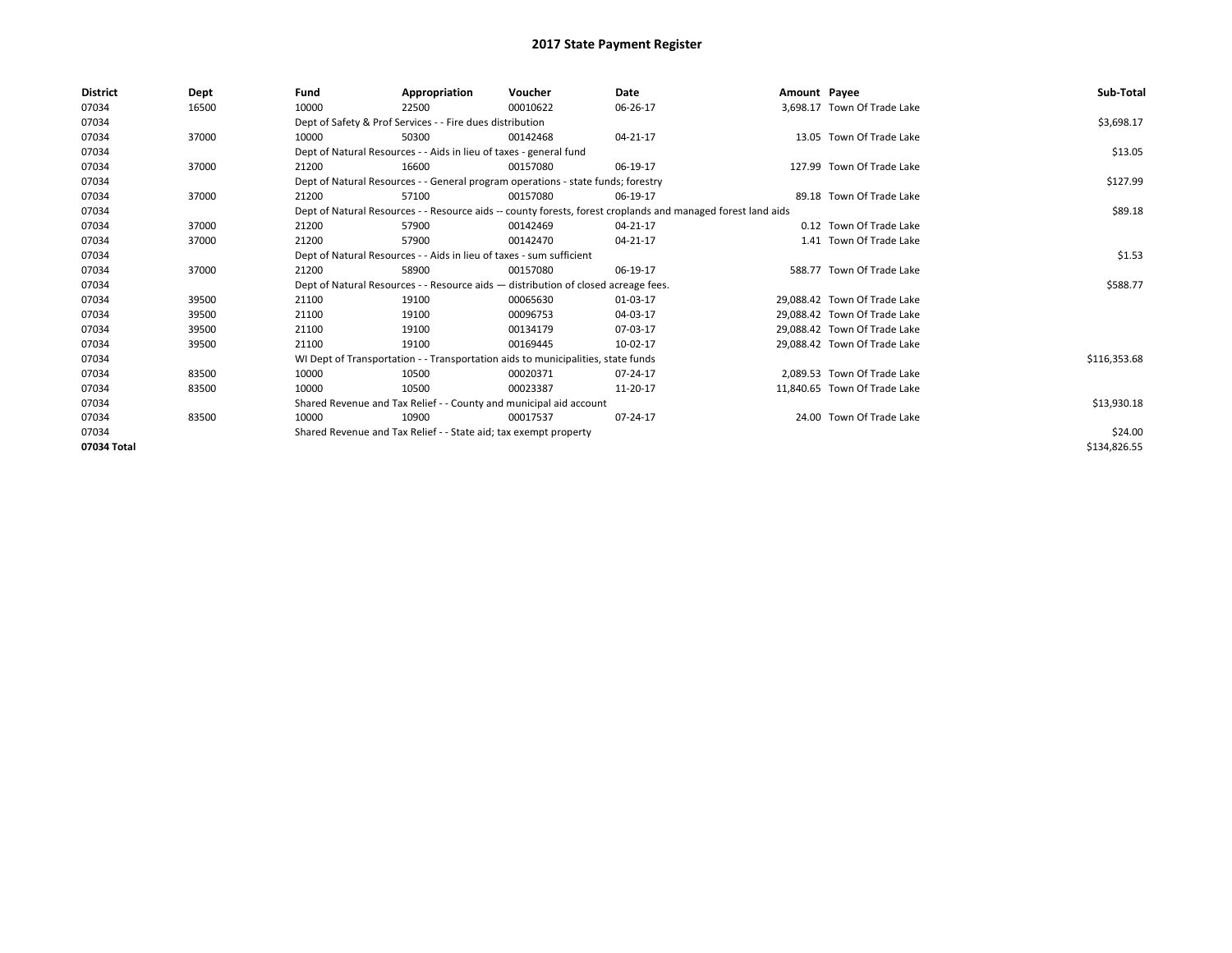| <b>District</b> | Dept  | Fund  | Appropriation                                                                                                | Voucher                                                                            | Date     | Amount Payee |                              | Sub-Total    |
|-----------------|-------|-------|--------------------------------------------------------------------------------------------------------------|------------------------------------------------------------------------------------|----------|--------------|------------------------------|--------------|
| 07034           | 16500 | 10000 | 22500                                                                                                        | 00010622                                                                           | 06-26-17 |              | 3,698.17 Town Of Trade Lake  |              |
| 07034           |       |       | Dept of Safety & Prof Services - - Fire dues distribution                                                    |                                                                                    |          |              |                              | \$3,698.17   |
| 07034           | 37000 | 10000 | 50300                                                                                                        | 00142468                                                                           | 04-21-17 |              | 13.05 Town Of Trade Lake     |              |
| 07034           |       |       | Dept of Natural Resources - - Aids in lieu of taxes - general fund                                           |                                                                                    |          |              |                              | \$13.05      |
| 07034           | 37000 | 21200 | 16600                                                                                                        | 00157080                                                                           | 06-19-17 |              | 127.99 Town Of Trade Lake    |              |
| 07034           |       |       |                                                                                                              | Dept of Natural Resources - - General program operations - state funds; forestry   |          |              |                              | \$127.99     |
| 07034           | 37000 | 21200 | 57100                                                                                                        | 00157080                                                                           | 06-19-17 |              | 89.18 Town Of Trade Lake     |              |
| 07034           |       |       | Dept of Natural Resources - - Resource aids -- county forests, forest croplands and managed forest land aids |                                                                                    | \$89.18  |              |                              |              |
| 07034           | 37000 | 21200 | 57900                                                                                                        | 00142469                                                                           | 04-21-17 |              | 0.12 Town Of Trade Lake      |              |
| 07034           | 37000 | 21200 | 57900                                                                                                        | 00142470                                                                           | 04-21-17 |              | 1.41 Town Of Trade Lake      |              |
| 07034           |       |       | Dept of Natural Resources - - Aids in lieu of taxes - sum sufficient                                         |                                                                                    |          |              |                              | \$1.53       |
| 07034           | 37000 | 21200 | 58900                                                                                                        | 00157080                                                                           | 06-19-17 |              | 588.77 Town Of Trade Lake    |              |
| 07034           |       |       |                                                                                                              | Dept of Natural Resources - - Resource aids - distribution of closed acreage fees. |          |              |                              | \$588.77     |
| 07034           | 39500 | 21100 | 19100                                                                                                        | 00065630                                                                           | 01-03-17 |              | 29.088.42 Town Of Trade Lake |              |
| 07034           | 39500 | 21100 | 19100                                                                                                        | 00096753                                                                           | 04-03-17 |              | 29.088.42 Town Of Trade Lake |              |
| 07034           | 39500 | 21100 | 19100                                                                                                        | 00134179                                                                           | 07-03-17 |              | 29.088.42 Town Of Trade Lake |              |
| 07034           | 39500 | 21100 | 19100                                                                                                        | 00169445                                                                           | 10-02-17 |              | 29,088.42 Town Of Trade Lake |              |
| 07034           |       |       |                                                                                                              | WI Dept of Transportation - - Transportation aids to municipalities, state funds   |          |              |                              | \$116,353.68 |
| 07034           | 83500 | 10000 | 10500                                                                                                        | 00020371                                                                           | 07-24-17 |              | 2.089.53 Town Of Trade Lake  |              |
| 07034           | 83500 | 10000 | 10500                                                                                                        | 00023387                                                                           | 11-20-17 |              | 11,840.65 Town Of Trade Lake |              |
| 07034           |       |       | Shared Revenue and Tax Relief - - County and municipal aid account                                           |                                                                                    |          |              |                              | \$13,930.18  |
| 07034           | 83500 | 10000 | 10900                                                                                                        | 00017537                                                                           | 07-24-17 |              | 24.00 Town Of Trade Lake     |              |
| 07034           |       |       | Shared Revenue and Tax Relief - - State aid; tax exempt property                                             |                                                                                    |          |              |                              | \$24.00      |
| 07034 Total     |       |       |                                                                                                              |                                                                                    |          |              |                              | \$134,826.55 |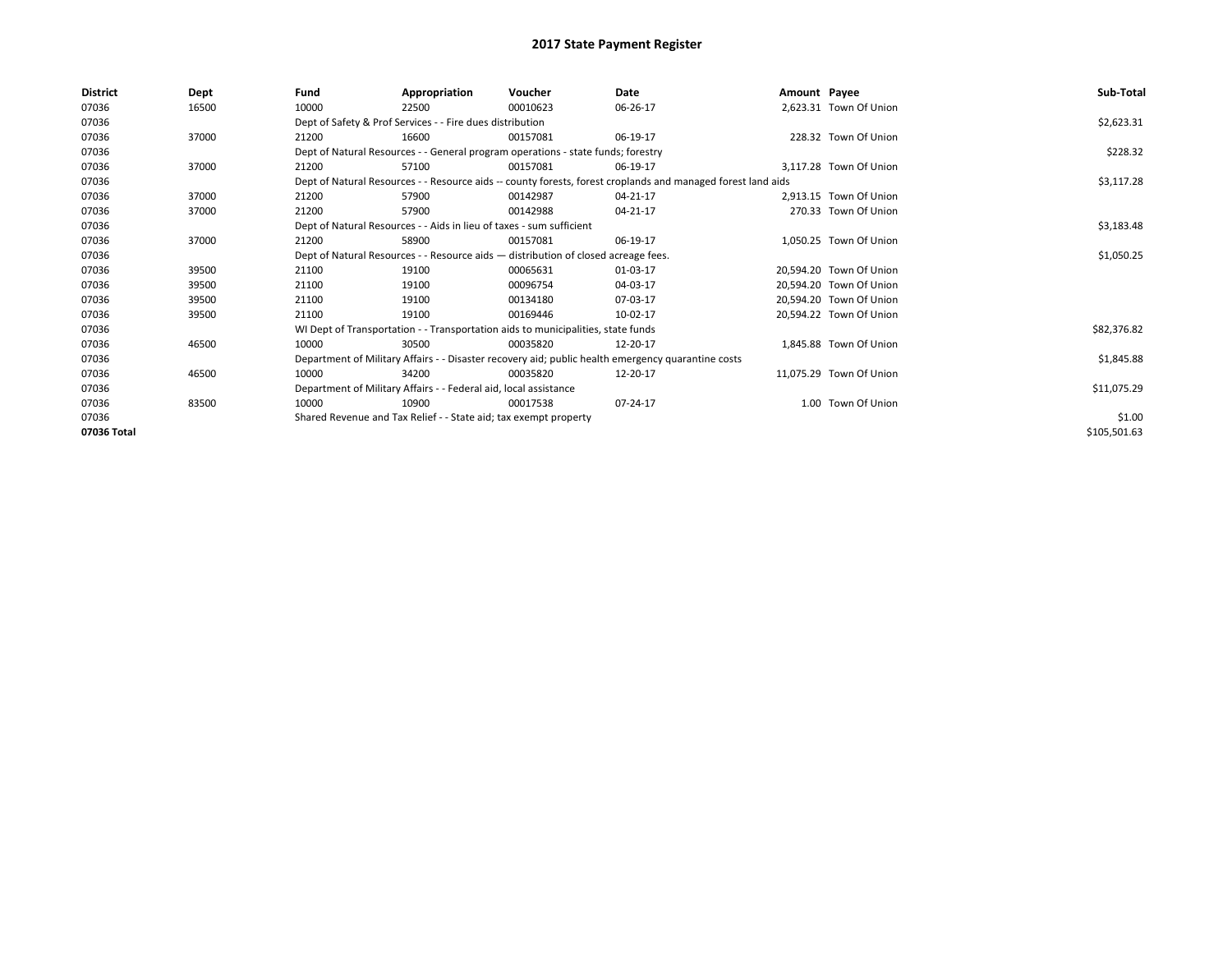| <b>District</b> | Dept  | Fund  | Appropriation                                                                      | Voucher  | Date                                                                                                         | Amount Payee |                         | Sub-Total    |
|-----------------|-------|-------|------------------------------------------------------------------------------------|----------|--------------------------------------------------------------------------------------------------------------|--------------|-------------------------|--------------|
| 07036           | 16500 | 10000 | 22500                                                                              | 00010623 | 06-26-17                                                                                                     |              | 2,623.31 Town Of Union  |              |
| 07036           |       |       | Dept of Safety & Prof Services - - Fire dues distribution                          |          |                                                                                                              |              |                         | \$2,623.31   |
| 07036           | 37000 | 21200 | 16600                                                                              | 00157081 | 06-19-17                                                                                                     |              | 228.32 Town Of Union    |              |
| 07036           |       |       | Dept of Natural Resources - - General program operations - state funds; forestry   |          |                                                                                                              |              |                         | \$228.32     |
| 07036           | 37000 | 21200 | 57100                                                                              | 00157081 | 06-19-17                                                                                                     |              | 3.117.28 Town Of Union  |              |
| 07036           |       |       |                                                                                    |          | Dept of Natural Resources - - Resource aids -- county forests, forest croplands and managed forest land aids |              |                         | \$3,117.28   |
| 07036           | 37000 | 21200 | 57900                                                                              | 00142987 | 04-21-17                                                                                                     |              | 2,913.15 Town Of Union  |              |
| 07036           | 37000 | 21200 | 57900                                                                              | 00142988 | 04-21-17                                                                                                     |              | 270.33 Town Of Union    |              |
| 07036           |       |       | Dept of Natural Resources - - Aids in lieu of taxes - sum sufficient               |          | \$3,183.48                                                                                                   |              |                         |              |
| 07036           | 37000 | 21200 | 58900                                                                              | 00157081 | 06-19-17                                                                                                     |              | 1.050.25 Town Of Union  |              |
| 07036           |       |       | Dept of Natural Resources - - Resource aids - distribution of closed acreage fees. |          | \$1,050.25                                                                                                   |              |                         |              |
| 07036           | 39500 | 21100 | 19100                                                                              | 00065631 | 01-03-17                                                                                                     |              | 20,594.20 Town Of Union |              |
| 07036           | 39500 | 21100 | 19100                                                                              | 00096754 | 04-03-17                                                                                                     |              | 20.594.20 Town Of Union |              |
| 07036           | 39500 | 21100 | 19100                                                                              | 00134180 | 07-03-17                                                                                                     |              | 20,594.20 Town Of Union |              |
| 07036           | 39500 | 21100 | 19100                                                                              | 00169446 | 10-02-17                                                                                                     |              | 20,594.22 Town Of Union |              |
| 07036           |       |       | WI Dept of Transportation - - Transportation aids to municipalities, state funds   |          |                                                                                                              |              |                         | \$82,376.82  |
| 07036           | 46500 | 10000 | 30500                                                                              | 00035820 | 12-20-17                                                                                                     |              | 1,845.88 Town Of Union  |              |
| 07036           |       |       |                                                                                    |          | Department of Military Affairs - - Disaster recovery aid; public health emergency quarantine costs           |              |                         | \$1,845.88   |
| 07036           | 46500 | 10000 | 34200                                                                              | 00035820 | 12-20-17                                                                                                     |              | 11.075.29 Town Of Union |              |
| 07036           |       |       | Department of Military Affairs - - Federal aid, local assistance                   |          |                                                                                                              |              |                         | \$11,075.29  |
| 07036           | 83500 | 10000 | 10900                                                                              | 00017538 | 07-24-17                                                                                                     |              | 1.00 Town Of Union      |              |
| 07036           |       |       | Shared Revenue and Tax Relief - - State aid; tax exempt property                   |          |                                                                                                              |              |                         | \$1.00       |
| 07036 Total     |       |       |                                                                                    |          |                                                                                                              |              |                         | \$105,501.63 |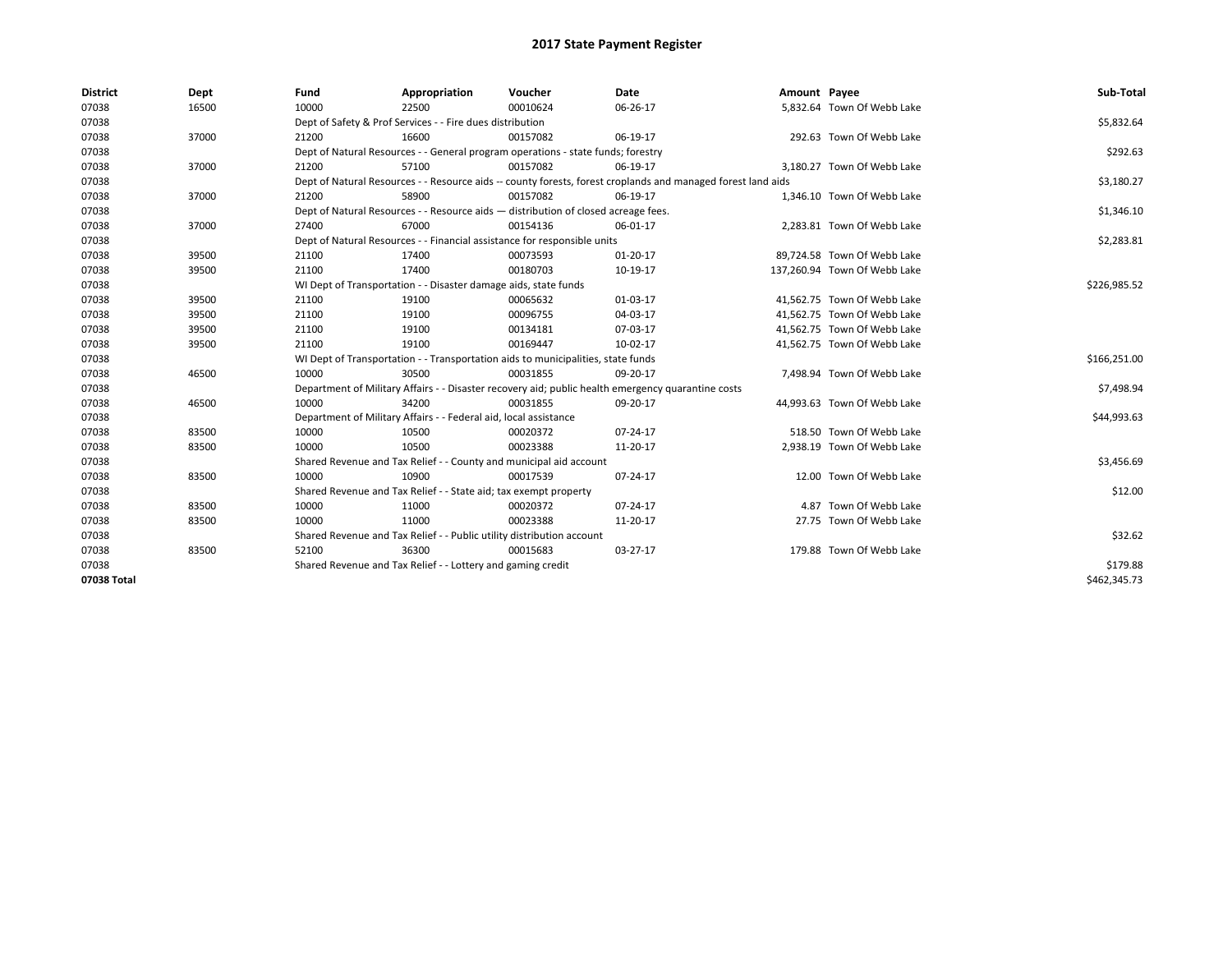| <b>District</b> | Dept  | Fund  | Appropriation                                                         | Voucher                                                                            | <b>Date</b>                                                                                                  | Amount Payee |                              | Sub-Total    |
|-----------------|-------|-------|-----------------------------------------------------------------------|------------------------------------------------------------------------------------|--------------------------------------------------------------------------------------------------------------|--------------|------------------------------|--------------|
| 07038           | 16500 | 10000 | 22500                                                                 | 00010624                                                                           | 06-26-17                                                                                                     |              | 5,832.64 Town Of Webb Lake   |              |
| 07038           |       |       | Dept of Safety & Prof Services - - Fire dues distribution             |                                                                                    |                                                                                                              |              |                              | \$5,832.64   |
| 07038           | 37000 | 21200 | 16600                                                                 | 00157082                                                                           | 06-19-17                                                                                                     |              | 292.63 Town Of Webb Lake     |              |
| 07038           |       |       |                                                                       | Dept of Natural Resources - - General program operations - state funds; forestry   |                                                                                                              |              |                              | \$292.63     |
| 07038           | 37000 | 21200 | 57100                                                                 | 00157082                                                                           | 06-19-17                                                                                                     |              | 3,180.27 Town Of Webb Lake   |              |
| 07038           |       |       |                                                                       |                                                                                    | Dept of Natural Resources - - Resource aids -- county forests, forest croplands and managed forest land aids |              |                              | \$3,180.27   |
| 07038           | 37000 | 21200 | 58900                                                                 | 00157082                                                                           | 06-19-17                                                                                                     |              | 1,346.10 Town Of Webb Lake   |              |
| 07038           |       |       |                                                                       | Dept of Natural Resources - - Resource aids - distribution of closed acreage fees. |                                                                                                              |              |                              | \$1,346.10   |
| 07038           | 37000 | 27400 | 67000                                                                 | 00154136                                                                           | 06-01-17                                                                                                     |              | 2,283.81 Town Of Webb Lake   |              |
| 07038           |       |       |                                                                       | Dept of Natural Resources - - Financial assistance for responsible units           |                                                                                                              |              |                              | \$2,283.81   |
| 07038           | 39500 | 21100 | 17400                                                                 | 00073593                                                                           | $01 - 20 - 17$                                                                                               |              | 89.724.58 Town Of Webb Lake  |              |
| 07038           | 39500 | 21100 | 17400                                                                 | 00180703                                                                           | 10-19-17                                                                                                     |              | 137,260.94 Town Of Webb Lake |              |
| 07038           |       |       | WI Dept of Transportation - - Disaster damage aids, state funds       |                                                                                    |                                                                                                              |              |                              | \$226,985.52 |
| 07038           | 39500 | 21100 | 19100                                                                 | 00065632                                                                           | 01-03-17                                                                                                     |              | 41,562.75 Town Of Webb Lake  |              |
| 07038           | 39500 | 21100 | 19100                                                                 | 00096755                                                                           | 04-03-17                                                                                                     |              | 41,562.75 Town Of Webb Lake  |              |
| 07038           | 39500 | 21100 | 19100                                                                 | 00134181                                                                           | 07-03-17                                                                                                     |              | 41.562.75 Town Of Webb Lake  |              |
| 07038           | 39500 | 21100 | 19100                                                                 | 00169447                                                                           | 10-02-17                                                                                                     |              | 41,562.75 Town Of Webb Lake  |              |
| 07038           |       |       |                                                                       | WI Dept of Transportation - - Transportation aids to municipalities, state funds   |                                                                                                              |              |                              | \$166,251.00 |
| 07038           | 46500 | 10000 | 30500                                                                 | 00031855                                                                           | 09-20-17                                                                                                     |              | 7,498.94 Town Of Webb Lake   |              |
| 07038           |       |       |                                                                       |                                                                                    | Department of Military Affairs - - Disaster recovery aid; public health emergency quarantine costs           |              |                              | \$7,498.94   |
| 07038           | 46500 | 10000 | 34200                                                                 | 00031855                                                                           | 09-20-17                                                                                                     |              | 44,993.63 Town Of Webb Lake  |              |
| 07038           |       |       | Department of Military Affairs - - Federal aid, local assistance      |                                                                                    |                                                                                                              |              |                              | \$44,993.63  |
| 07038           | 83500 | 10000 | 10500                                                                 | 00020372                                                                           | 07-24-17                                                                                                     |              | 518.50 Town Of Webb Lake     |              |
| 07038           | 83500 | 10000 | 10500                                                                 | 00023388                                                                           | 11-20-17                                                                                                     |              | 2,938.19 Town Of Webb Lake   |              |
| 07038           |       |       |                                                                       | Shared Revenue and Tax Relief - - County and municipal aid account                 |                                                                                                              |              |                              | \$3,456.69   |
| 07038           | 83500 | 10000 | 10900                                                                 | 00017539                                                                           | 07-24-17                                                                                                     |              | 12.00 Town Of Webb Lake      |              |
| 07038           |       |       | Shared Revenue and Tax Relief - - State aid; tax exempt property      |                                                                                    |                                                                                                              |              |                              | \$12.00      |
| 07038           | 83500 | 10000 | 11000                                                                 | 00020372                                                                           | 07-24-17                                                                                                     |              | 4.87 Town Of Webb Lake       |              |
| 07038           | 83500 | 10000 | 11000                                                                 | 00023388                                                                           | 11-20-17                                                                                                     |              | 27.75 Town Of Webb Lake      |              |
| 07038           |       |       | Shared Revenue and Tax Relief - - Public utility distribution account |                                                                                    |                                                                                                              |              |                              | \$32.62      |
| 07038           | 83500 | 52100 | 36300                                                                 | 00015683                                                                           | 03-27-17                                                                                                     |              | 179.88 Town Of Webb Lake     |              |
| 07038           |       |       | Shared Revenue and Tax Relief - - Lottery and gaming credit           |                                                                                    |                                                                                                              |              |                              | \$179.88     |
| 07038 Total     |       |       |                                                                       |                                                                                    |                                                                                                              |              |                              | \$462,345.73 |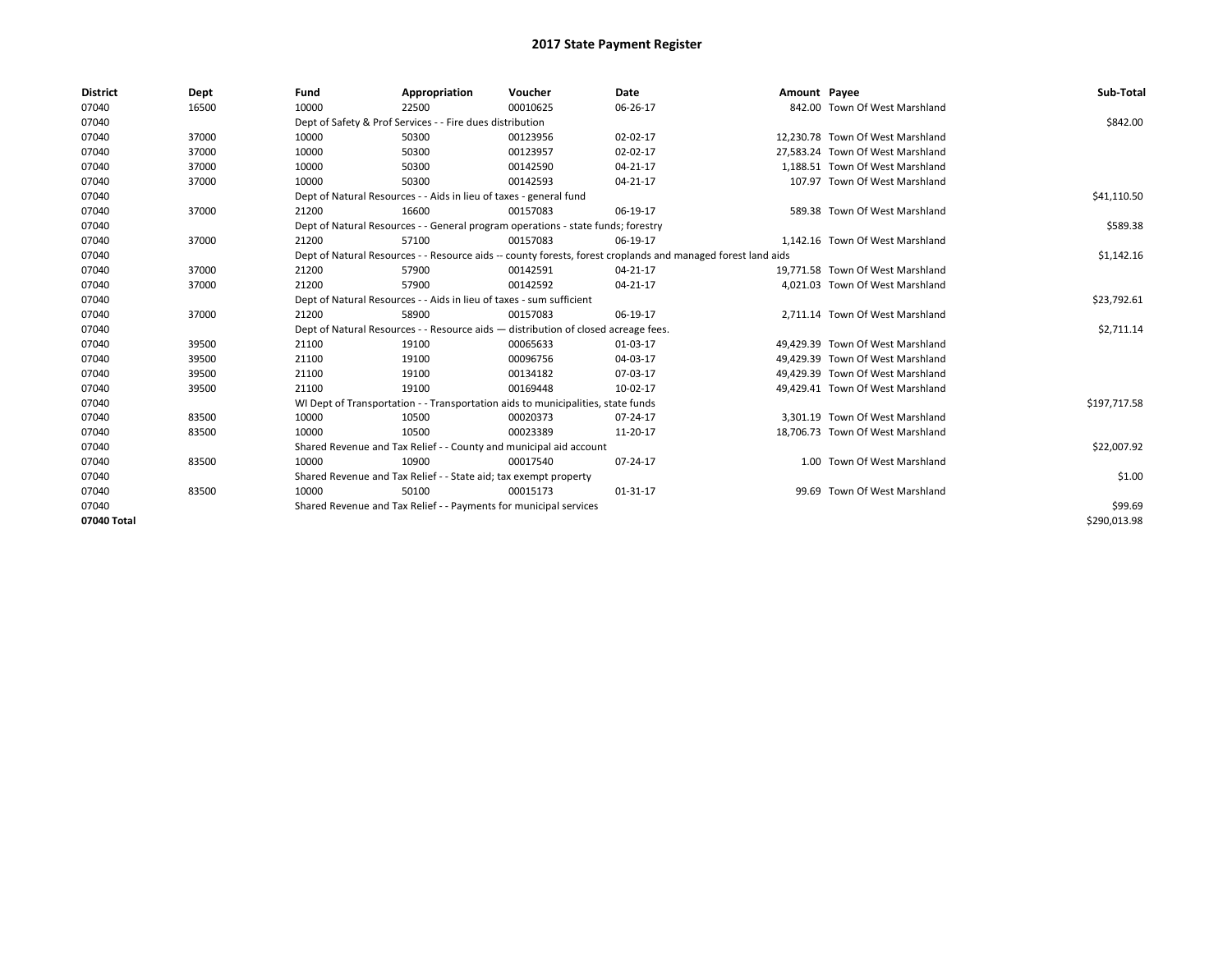| <b>District</b> | Dept  | Fund                                                               | Appropriation                                                                      | Voucher  | <b>Date</b>                                                                                                  | Amount Payee |                                  | Sub-Total    |
|-----------------|-------|--------------------------------------------------------------------|------------------------------------------------------------------------------------|----------|--------------------------------------------------------------------------------------------------------------|--------------|----------------------------------|--------------|
| 07040           | 16500 | 10000                                                              | 22500                                                                              | 00010625 | 06-26-17                                                                                                     |              | 842.00 Town Of West Marshland    |              |
| 07040           |       |                                                                    | Dept of Safety & Prof Services - - Fire dues distribution                          |          |                                                                                                              |              |                                  | \$842.00     |
| 07040           | 37000 | 10000                                                              | 50300                                                                              | 00123956 | 02-02-17                                                                                                     |              | 12,230.78 Town Of West Marshland |              |
| 07040           | 37000 | 10000                                                              | 50300                                                                              | 00123957 | 02-02-17                                                                                                     |              | 27.583.24 Town Of West Marshland |              |
| 07040           | 37000 | 10000                                                              | 50300                                                                              | 00142590 | 04-21-17                                                                                                     |              | 1,188.51 Town Of West Marshland  |              |
| 07040           | 37000 | 10000                                                              | 50300                                                                              | 00142593 | 04-21-17                                                                                                     |              | 107.97 Town Of West Marshland    |              |
| 07040           |       |                                                                    | Dept of Natural Resources - - Aids in lieu of taxes - general fund                 |          |                                                                                                              |              |                                  | \$41,110.50  |
| 07040           | 37000 | 21200                                                              | 16600                                                                              | 00157083 | 06-19-17                                                                                                     |              | 589.38 Town Of West Marshland    |              |
| 07040           |       |                                                                    | Dept of Natural Resources - - General program operations - state funds; forestry   |          |                                                                                                              |              |                                  | \$589.38     |
| 07040           | 37000 | 21200                                                              | 57100                                                                              | 00157083 | 06-19-17                                                                                                     |              | 1,142.16 Town Of West Marshland  |              |
| 07040           |       |                                                                    |                                                                                    |          | Dept of Natural Resources - - Resource aids -- county forests, forest croplands and managed forest land aids |              |                                  | \$1,142.16   |
| 07040           | 37000 | 21200                                                              | 57900                                                                              | 00142591 | 04-21-17                                                                                                     |              | 19,771.58 Town Of West Marshland |              |
| 07040           | 37000 | 21200                                                              | 57900                                                                              | 00142592 | 04-21-17                                                                                                     |              | 4,021.03 Town Of West Marshland  |              |
| 07040           |       |                                                                    | Dept of Natural Resources - - Aids in lieu of taxes - sum sufficient               |          |                                                                                                              |              |                                  | \$23,792.61  |
| 07040           | 37000 | 21200                                                              | 58900                                                                              | 00157083 | 06-19-17                                                                                                     |              | 2,711.14 Town Of West Marshland  |              |
| 07040           |       |                                                                    | Dept of Natural Resources - - Resource aids - distribution of closed acreage fees. |          |                                                                                                              |              |                                  | \$2,711.14   |
| 07040           | 39500 | 21100                                                              | 19100                                                                              | 00065633 | 01-03-17                                                                                                     |              | 49,429.39 Town Of West Marshland |              |
| 07040           | 39500 | 21100                                                              | 19100                                                                              | 00096756 | 04-03-17                                                                                                     |              | 49.429.39 Town Of West Marshland |              |
| 07040           | 39500 | 21100                                                              | 19100                                                                              | 00134182 | 07-03-17                                                                                                     |              | 49,429.39 Town Of West Marshland |              |
| 07040           | 39500 | 21100                                                              | 19100                                                                              | 00169448 | 10-02-17                                                                                                     |              | 49,429.41 Town Of West Marshland |              |
| 07040           |       |                                                                    | WI Dept of Transportation - - Transportation aids to municipalities, state funds   |          |                                                                                                              |              |                                  | \$197,717.58 |
| 07040           | 83500 | 10000                                                              | 10500                                                                              | 00020373 | 07-24-17                                                                                                     |              | 3,301.19 Town Of West Marshland  |              |
| 07040           | 83500 | 10000                                                              | 10500                                                                              | 00023389 | 11-20-17                                                                                                     |              | 18,706.73 Town Of West Marshland |              |
| 07040           |       | Shared Revenue and Tax Relief - - County and municipal aid account |                                                                                    |          |                                                                                                              |              |                                  | \$22,007.92  |
| 07040           | 83500 | 10000                                                              | 10900                                                                              | 00017540 | 07-24-17                                                                                                     |              | 1.00 Town Of West Marshland      |              |
| 07040           |       |                                                                    | Shared Revenue and Tax Relief - - State aid; tax exempt property                   |          |                                                                                                              |              |                                  | \$1.00       |
| 07040           | 83500 | 10000                                                              | 50100                                                                              | 00015173 | 01-31-17                                                                                                     |              | 99.69 Town Of West Marshland     |              |
| 07040           |       |                                                                    | Shared Revenue and Tax Relief - - Payments for municipal services                  |          |                                                                                                              |              |                                  | \$99.69      |
| 07040 Total     |       |                                                                    |                                                                                    |          |                                                                                                              |              |                                  | \$290,013.98 |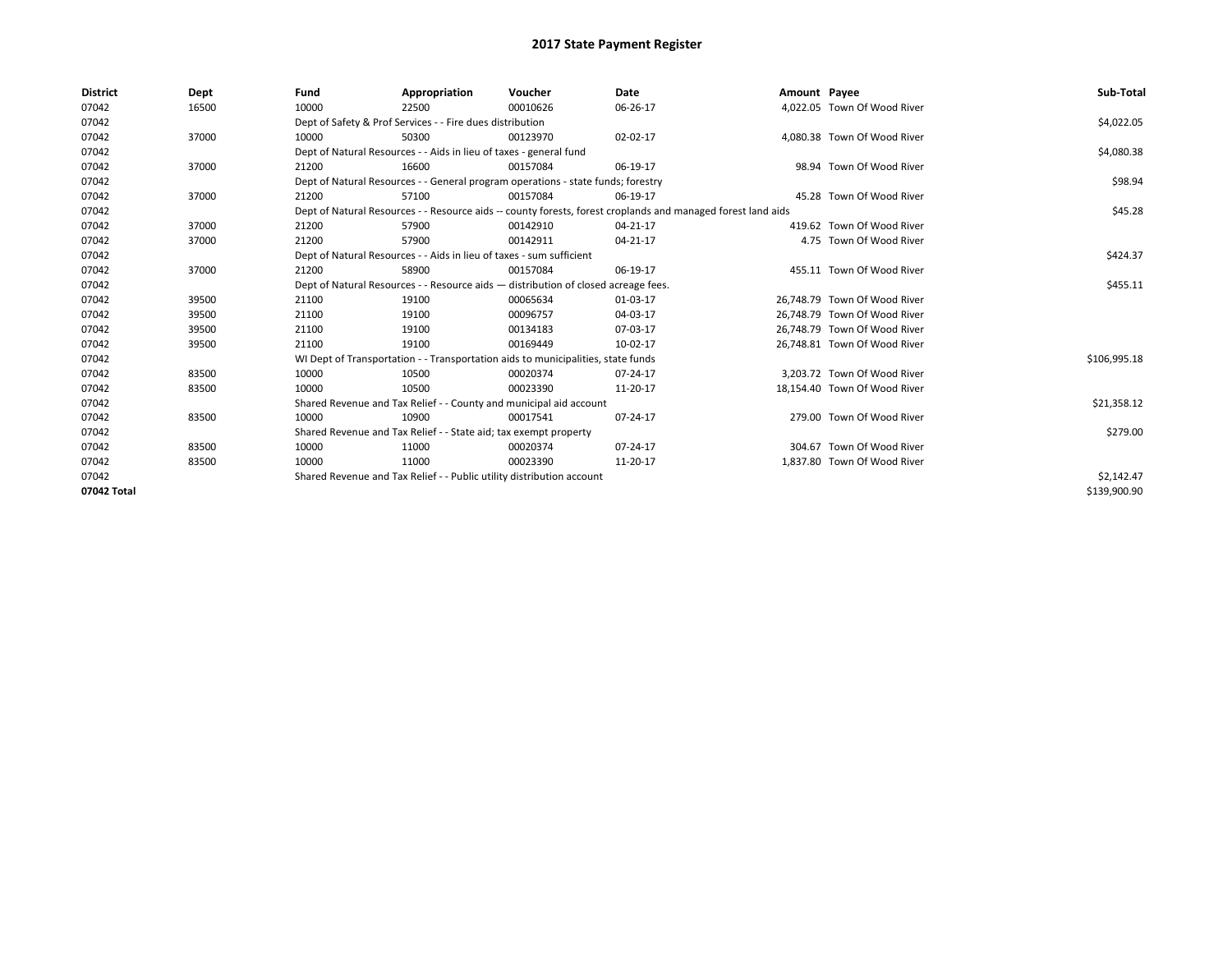| <b>District</b> | Dept  | Fund  | Appropriation                                                                                                | Voucher  | Date     | Amount Payee |                              | Sub-Total    |  |
|-----------------|-------|-------|--------------------------------------------------------------------------------------------------------------|----------|----------|--------------|------------------------------|--------------|--|
| 07042           | 16500 | 10000 | 22500                                                                                                        | 00010626 | 06-26-17 |              | 4.022.05 Town Of Wood River  |              |  |
| 07042           |       |       | Dept of Safety & Prof Services - - Fire dues distribution                                                    |          |          |              |                              |              |  |
| 07042           | 37000 | 10000 | 50300                                                                                                        | 00123970 | 02-02-17 |              | 4,080.38 Town Of Wood River  |              |  |
| 07042           |       |       | Dept of Natural Resources - - Aids in lieu of taxes - general fund                                           |          |          |              |                              | \$4,080.38   |  |
| 07042           | 37000 | 21200 | 16600                                                                                                        | 00157084 | 06-19-17 |              | 98.94 Town Of Wood River     |              |  |
| 07042           |       |       | Dept of Natural Resources - - General program operations - state funds; forestry                             |          |          |              |                              | \$98.94      |  |
| 07042           | 37000 | 21200 | 57100                                                                                                        | 00157084 | 06-19-17 |              | 45.28 Town Of Wood River     |              |  |
| 07042           |       |       | Dept of Natural Resources - - Resource aids -- county forests, forest croplands and managed forest land aids |          |          |              |                              | \$45.28      |  |
| 07042           | 37000 | 21200 | 57900                                                                                                        | 00142910 | 04-21-17 |              | 419.62 Town Of Wood River    |              |  |
| 07042           | 37000 | 21200 | 57900                                                                                                        | 00142911 | 04-21-17 |              | 4.75 Town Of Wood River      |              |  |
| 07042           |       |       | Dept of Natural Resources - - Aids in lieu of taxes - sum sufficient                                         |          |          |              |                              | \$424.37     |  |
| 07042           | 37000 | 21200 | 58900                                                                                                        | 00157084 | 06-19-17 |              | 455.11 Town Of Wood River    |              |  |
| 07042           |       |       | Dept of Natural Resources - - Resource aids - distribution of closed acreage fees.                           |          |          |              |                              | \$455.11     |  |
| 07042           | 39500 | 21100 | 19100                                                                                                        | 00065634 | 01-03-17 |              | 26,748.79 Town Of Wood River |              |  |
| 07042           | 39500 | 21100 | 19100                                                                                                        | 00096757 | 04-03-17 |              | 26,748.79 Town Of Wood River |              |  |
| 07042           | 39500 | 21100 | 19100                                                                                                        | 00134183 | 07-03-17 |              | 26.748.79 Town Of Wood River |              |  |
| 07042           | 39500 | 21100 | 19100                                                                                                        | 00169449 | 10-02-17 |              | 26,748.81 Town Of Wood River |              |  |
| 07042           |       |       | WI Dept of Transportation - - Transportation aids to municipalities, state funds                             |          |          |              |                              | \$106,995.18 |  |
| 07042           | 83500 | 10000 | 10500                                                                                                        | 00020374 | 07-24-17 |              | 3.203.72 Town Of Wood River  |              |  |
| 07042           | 83500 | 10000 | 10500                                                                                                        | 00023390 | 11-20-17 |              | 18,154.40 Town Of Wood River |              |  |
| 07042           |       |       | Shared Revenue and Tax Relief - - County and municipal aid account                                           |          |          |              |                              | \$21,358.12  |  |
| 07042           | 83500 | 10000 | 10900                                                                                                        | 00017541 | 07-24-17 |              | 279.00 Town Of Wood River    |              |  |
| 07042           |       |       | Shared Revenue and Tax Relief - - State aid; tax exempt property                                             |          |          |              |                              | \$279.00     |  |
| 07042           | 83500 | 10000 | 11000                                                                                                        | 00020374 | 07-24-17 |              | 304.67 Town Of Wood River    |              |  |
| 07042           | 83500 | 10000 | 11000                                                                                                        | 00023390 | 11-20-17 |              | 1,837.80 Town Of Wood River  |              |  |
| 07042           |       |       | Shared Revenue and Tax Relief - - Public utility distribution account                                        |          |          |              |                              | \$2,142.47   |  |
| 07042 Total     |       |       |                                                                                                              |          |          |              |                              | \$139,900.90 |  |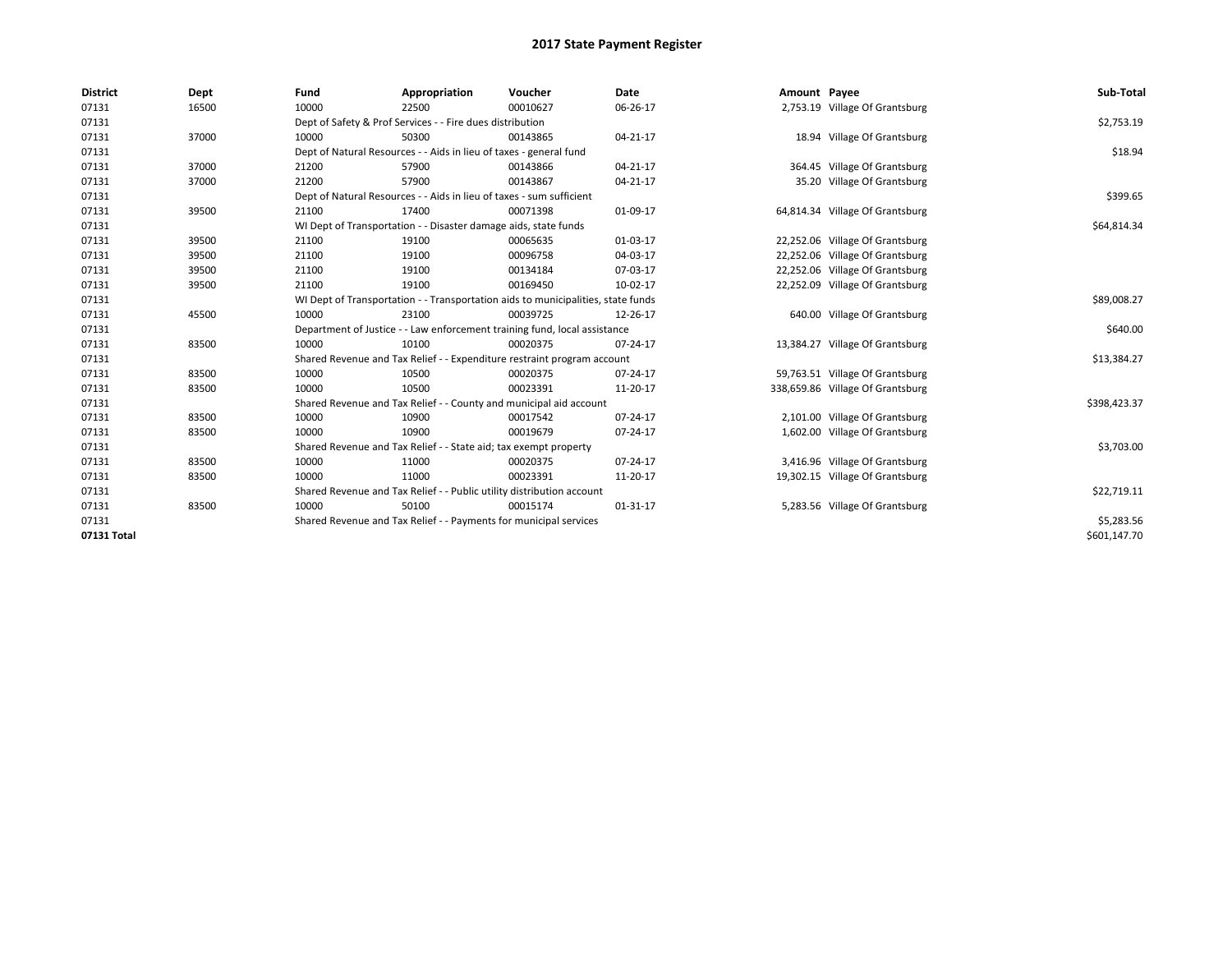| <b>District</b> | Dept  | Fund                                                                    | Appropriation                                                                    | Voucher     | <b>Date</b>    | Amount Payee |                                  | Sub-Total    |  |
|-----------------|-------|-------------------------------------------------------------------------|----------------------------------------------------------------------------------|-------------|----------------|--------------|----------------------------------|--------------|--|
| 07131           | 16500 | 10000                                                                   | 22500                                                                            | 00010627    | 06-26-17       |              | 2,753.19 Village Of Grantsburg   |              |  |
| 07131           |       | Dept of Safety & Prof Services - - Fire dues distribution               |                                                                                  | \$2,753.19  |                |              |                                  |              |  |
| 07131           | 37000 | 10000                                                                   | 50300                                                                            | 00143865    | 04-21-17       |              | 18.94 Village Of Grantsburg      |              |  |
| 07131           |       |                                                                         | Dept of Natural Resources - - Aids in lieu of taxes - general fund               |             |                |              |                                  | \$18.94      |  |
| 07131           | 37000 | 21200                                                                   | 57900                                                                            | 00143866    | $04 - 21 - 17$ |              | 364.45 Village Of Grantsburg     |              |  |
| 07131           | 37000 | 21200                                                                   | 57900                                                                            | 00143867    | 04-21-17       |              | 35.20 Village Of Grantsburg      |              |  |
| 07131           |       |                                                                         | Dept of Natural Resources - - Aids in lieu of taxes - sum sufficient             |             |                |              |                                  | \$399.65     |  |
| 07131           | 39500 | 21100                                                                   | 17400                                                                            | 00071398    | 01-09-17       |              | 64,814.34 Village Of Grantsburg  |              |  |
| 07131           |       |                                                                         | WI Dept of Transportation - - Disaster damage aids, state funds                  |             |                |              |                                  |              |  |
| 07131           | 39500 | 21100                                                                   | 19100                                                                            | 00065635    | 01-03-17       |              | 22,252.06 Village Of Grantsburg  |              |  |
| 07131           | 39500 | 21100                                                                   | 19100                                                                            | 00096758    | 04-03-17       |              | 22,252.06 Village Of Grantsburg  |              |  |
| 07131           | 39500 | 21100                                                                   | 19100                                                                            | 00134184    | 07-03-17       |              | 22,252.06 Village Of Grantsburg  |              |  |
| 07131           | 39500 | 21100                                                                   | 19100                                                                            | 00169450    | 10-02-17       |              | 22,252.09 Village Of Grantsburg  |              |  |
| 07131           |       |                                                                         | WI Dept of Transportation - - Transportation aids to municipalities, state funds |             |                |              |                                  | \$89,008.27  |  |
| 07131           | 45500 | 10000                                                                   | 23100                                                                            | 00039725    | 12-26-17       |              | 640.00 Village Of Grantsburg     |              |  |
| 07131           |       |                                                                         | Department of Justice - - Law enforcement training fund, local assistance        |             |                |              |                                  | \$640.00     |  |
| 07131           | 83500 | 10000                                                                   | 10100                                                                            | 00020375    | 07-24-17       |              | 13,384.27 Village Of Grantsburg  |              |  |
| 07131           |       | Shared Revenue and Tax Relief - - Expenditure restraint program account |                                                                                  | \$13,384.27 |                |              |                                  |              |  |
| 07131           | 83500 | 10000                                                                   | 10500                                                                            | 00020375    | 07-24-17       |              | 59,763.51 Village Of Grantsburg  |              |  |
| 07131           | 83500 | 10000                                                                   | 10500                                                                            | 00023391    | 11-20-17       |              | 338,659.86 Village Of Grantsburg |              |  |
| 07131           |       |                                                                         | Shared Revenue and Tax Relief - - County and municipal aid account               |             |                |              |                                  | \$398,423.37 |  |
| 07131           | 83500 | 10000                                                                   | 10900                                                                            | 00017542    | 07-24-17       |              | 2,101.00 Village Of Grantsburg   |              |  |
| 07131           | 83500 | 10000                                                                   | 10900                                                                            | 00019679    | 07-24-17       |              | 1,602.00 Village Of Grantsburg   |              |  |
| 07131           |       |                                                                         | Shared Revenue and Tax Relief - - State aid; tax exempt property                 |             |                |              |                                  | \$3,703.00   |  |
| 07131           | 83500 | 10000                                                                   | 11000                                                                            | 00020375    | 07-24-17       |              | 3,416.96 Village Of Grantsburg   |              |  |
| 07131           | 83500 | 10000                                                                   | 11000                                                                            | 00023391    | 11-20-17       |              | 19,302.15 Village Of Grantsburg  |              |  |
| 07131           |       |                                                                         | Shared Revenue and Tax Relief - - Public utility distribution account            |             |                |              |                                  | \$22,719.11  |  |
| 07131           | 83500 | 10000                                                                   | 50100                                                                            | 00015174    | 01-31-17       |              | 5,283.56 Village Of Grantsburg   |              |  |
| 07131           |       |                                                                         | Shared Revenue and Tax Relief - - Payments for municipal services                |             |                |              |                                  | \$5,283.56   |  |
| 07131 Total     |       |                                                                         |                                                                                  |             |                |              |                                  | \$601,147.70 |  |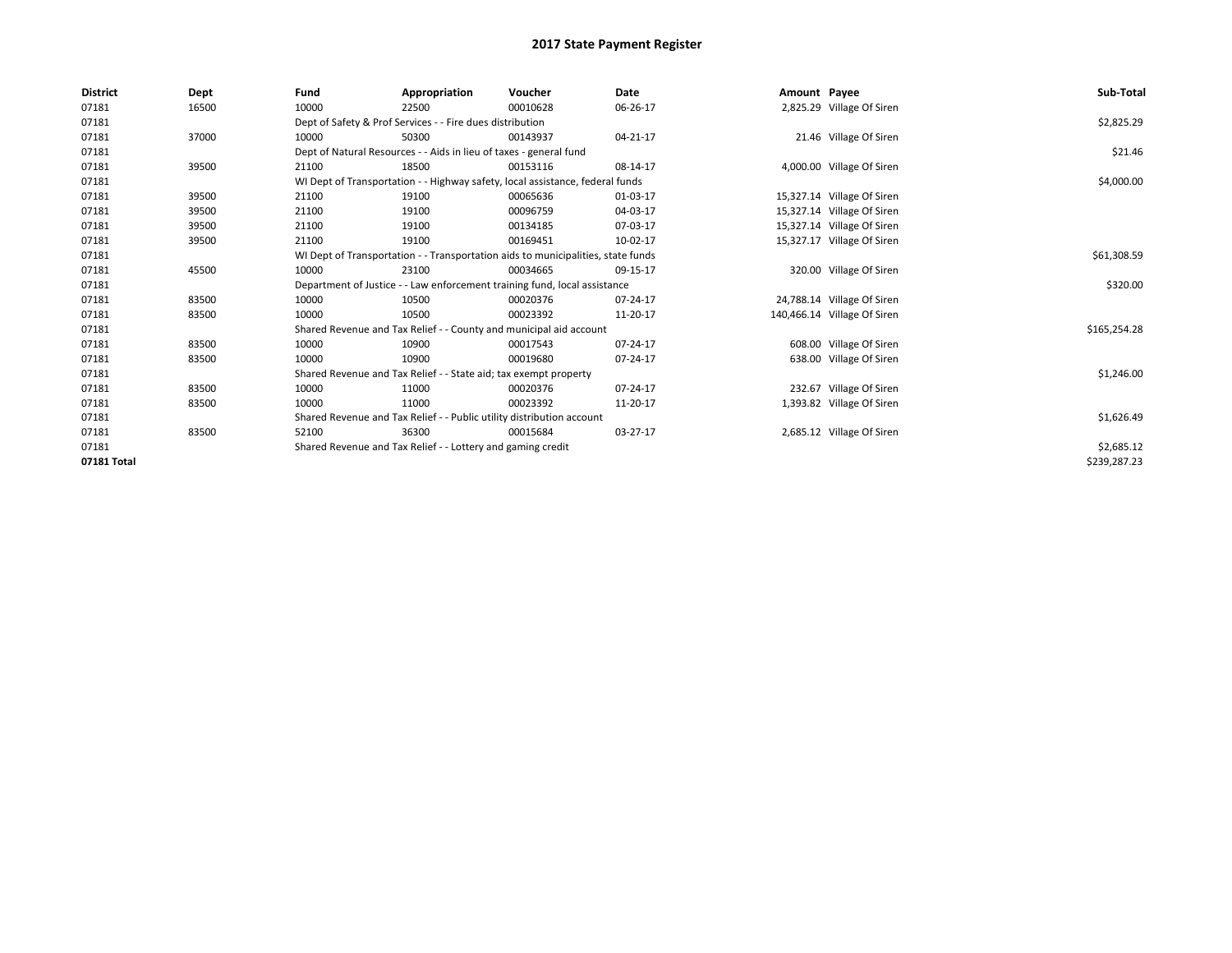| <b>District</b> | Dept  | Fund                                                                  | Appropriation                                                                    | Voucher    | Date     | Amount Payee |                             | Sub-Total    |
|-----------------|-------|-----------------------------------------------------------------------|----------------------------------------------------------------------------------|------------|----------|--------------|-----------------------------|--------------|
| 07181           | 16500 | 10000                                                                 | 22500                                                                            | 00010628   | 06-26-17 |              | 2,825.29 Village Of Siren   |              |
| 07181           |       | Dept of Safety & Prof Services - - Fire dues distribution             |                                                                                  | \$2,825.29 |          |              |                             |              |
| 07181           | 37000 | 10000                                                                 | 50300                                                                            | 00143937   | 04-21-17 |              | 21.46 Village Of Siren      |              |
| 07181           |       |                                                                       | Dept of Natural Resources - - Aids in lieu of taxes - general fund               |            |          |              |                             | \$21.46      |
| 07181           | 39500 | 21100                                                                 | 18500                                                                            | 00153116   | 08-14-17 |              | 4,000.00 Village Of Siren   |              |
| 07181           |       |                                                                       | WI Dept of Transportation - - Highway safety, local assistance, federal funds    |            |          |              |                             | \$4,000.00   |
| 07181           | 39500 | 21100                                                                 | 19100                                                                            | 00065636   | 01-03-17 |              | 15,327.14 Village Of Siren  |              |
| 07181           | 39500 | 21100                                                                 | 19100                                                                            | 00096759   | 04-03-17 |              | 15,327.14 Village Of Siren  |              |
| 07181           | 39500 | 21100                                                                 | 19100                                                                            | 00134185   | 07-03-17 |              | 15,327.14 Village Of Siren  |              |
| 07181           | 39500 | 21100                                                                 | 19100                                                                            | 00169451   | 10-02-17 |              | 15,327.17 Village Of Siren  |              |
| 07181           |       |                                                                       | WI Dept of Transportation - - Transportation aids to municipalities, state funds |            |          |              |                             | \$61,308.59  |
| 07181           | 45500 | 10000                                                                 | 23100                                                                            | 00034665   | 09-15-17 |              | 320.00 Village Of Siren     |              |
| 07181           |       |                                                                       | Department of Justice - - Law enforcement training fund, local assistance        |            |          |              |                             | \$320.00     |
| 07181           | 83500 | 10000                                                                 | 10500                                                                            | 00020376   | 07-24-17 |              | 24,788.14 Village Of Siren  |              |
| 07181           | 83500 | 10000                                                                 | 10500                                                                            | 00023392   | 11-20-17 |              | 140,466.14 Village Of Siren |              |
| 07181           |       |                                                                       | Shared Revenue and Tax Relief - - County and municipal aid account               |            |          |              |                             | \$165,254.28 |
| 07181           | 83500 | 10000                                                                 | 10900                                                                            | 00017543   | 07-24-17 |              | 608.00 Village Of Siren     |              |
| 07181           | 83500 | 10000                                                                 | 10900                                                                            | 00019680   | 07-24-17 |              | 638.00 Village Of Siren     |              |
| 07181           |       |                                                                       | Shared Revenue and Tax Relief - - State aid; tax exempt property                 |            |          |              |                             | \$1,246.00   |
| 07181           | 83500 | 10000                                                                 | 11000                                                                            | 00020376   | 07-24-17 |              | 232.67 Village Of Siren     |              |
| 07181           | 83500 | 10000                                                                 | 11000                                                                            | 00023392   | 11-20-17 |              | 1,393.82 Village Of Siren   |              |
| 07181           |       | Shared Revenue and Tax Relief - - Public utility distribution account |                                                                                  | \$1,626.49 |          |              |                             |              |
| 07181           | 83500 | 52100                                                                 | 36300                                                                            | 00015684   | 03-27-17 |              | 2,685.12 Village Of Siren   |              |
| 07181           |       |                                                                       | Shared Revenue and Tax Relief - - Lottery and gaming credit                      |            |          |              |                             | \$2,685.12   |
| 07181 Total     |       |                                                                       |                                                                                  |            |          |              |                             | \$239,287.23 |